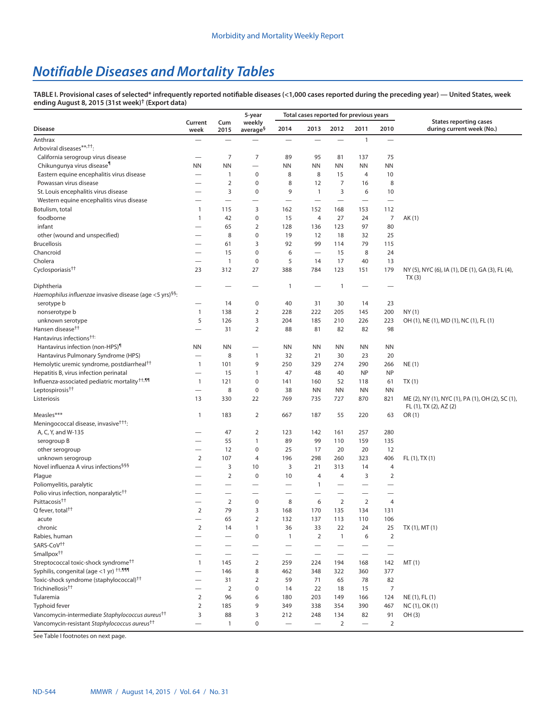## *Notifiable Diseases and Mortality Tables*

**TABLE I. Provisional cases of selected\* infrequently reported notifiable diseases (<1,000 cases reported during the preceding year) — United States, week ending August 8, 2015 (31st week)† [\(Export data](https://data.cdc.gov/NNDSS/NNDSS-Table-I-infrequently-reported-notifiable-dis/pb4z-432k))**

|                                                                      |                          |                                   | 5-year                   |                                  | Total cases reported for previous years |                          |                          |                          |                                                                            |  |  |  |
|----------------------------------------------------------------------|--------------------------|-----------------------------------|--------------------------|----------------------------------|-----------------------------------------|--------------------------|--------------------------|--------------------------|----------------------------------------------------------------------------|--|--|--|
| <b>Disease</b>                                                       | Current<br>week          | Cum<br>2015                       | weekly<br>$average^{\S}$ | 2014                             | 2013                                    | 2012                     | 2011                     | 2010                     | <b>States reporting cases</b><br>during current week (No.)                 |  |  |  |
| Anthrax                                                              | $\overline{\phantom{0}}$ |                                   |                          |                                  |                                         |                          | $\mathbf{1}$             | $\overline{\phantom{0}}$ |                                                                            |  |  |  |
| Arboviral diseases**, <sup>††</sup> :                                |                          |                                   |                          |                                  |                                         |                          |                          |                          |                                                                            |  |  |  |
| California serogroup virus disease                                   |                          | $\overline{7}$                    | $\overline{7}$           | 89                               | 95                                      | 81                       | 137                      | 75                       |                                                                            |  |  |  |
| Chikungunya virus disease <sup>1</sup>                               | <b>NN</b>                | <b>NN</b>                         |                          | ΝN                               | <b>NN</b>                               | <b>NN</b>                | <b>NN</b>                | <b>NN</b>                |                                                                            |  |  |  |
| Eastern equine encephalitis virus disease                            | $\overline{\phantom{0}}$ | 1                                 | $\pmb{0}$                | 8                                | 8                                       | 15                       | 4                        | 10                       |                                                                            |  |  |  |
| Powassan virus disease                                               |                          | $\overline{2}$                    | $\pmb{0}$                | 8                                | 12                                      | 7                        | 16                       | 8                        |                                                                            |  |  |  |
| St. Louis encephalitis virus disease                                 |                          | 3                                 | $\pmb{0}$                | 9                                | $\overline{1}$                          | 3                        | 6                        | 10                       |                                                                            |  |  |  |
| Western equine encephalitis virus disease                            |                          | $\overbrace{\phantom{123221111}}$ |                          | $\overline{\phantom{0}}$         | $\overline{\phantom{0}}$                |                          |                          |                          |                                                                            |  |  |  |
| Botulism, total                                                      | $\mathbf{1}$             | 115                               | 3                        | 162                              | 152                                     | 168                      | 153                      | 112                      |                                                                            |  |  |  |
| foodborne                                                            | $\mathbf{1}$             | 42                                | $\pmb{0}$                | 15                               | 4                                       | 27                       | 24                       | 7                        | AK (1)                                                                     |  |  |  |
| infant                                                               |                          | 65                                | $\overline{2}$           | 128                              | 136                                     | 123                      | 97                       | 80                       |                                                                            |  |  |  |
| other (wound and unspecified)                                        |                          | 8                                 | $\pmb{0}$                | 19                               | 12                                      | 18                       | 32                       | 25                       |                                                                            |  |  |  |
| <b>Brucellosis</b>                                                   |                          | 61                                | 3                        | 92                               | 99                                      | 114                      | 79                       | 115                      |                                                                            |  |  |  |
| Chancroid                                                            | $\overline{\phantom{0}}$ | 15                                | $\pmb{0}$                | 6                                |                                         | 15                       | 8                        | 24                       |                                                                            |  |  |  |
| Cholera                                                              | $\overline{\phantom{0}}$ | $\mathbf{1}$                      | $\pmb{0}$                | 5                                | 14                                      | 17                       | 40                       | 13                       |                                                                            |  |  |  |
| Cyclosporiasis <sup>††</sup>                                         | 23                       | 312                               | 27                       | 388                              | 784                                     | 123                      | 151                      | 179                      | NY (5), NYC (6), IA (1), DE (1), GA (3), FL (4),                           |  |  |  |
|                                                                      |                          |                                   |                          |                                  |                                         |                          |                          |                          | TX(3)                                                                      |  |  |  |
| Diphtheria                                                           |                          | $\overline{\phantom{0}}$          | $\overline{\phantom{0}}$ | $\mathbf{1}$                     |                                         | 1                        |                          |                          |                                                                            |  |  |  |
| Haemophilus influenzae invasive disease (age <5 yrs) <sup>§§</sup> : |                          |                                   |                          |                                  |                                         |                          |                          |                          |                                                                            |  |  |  |
| serotype b                                                           |                          | 14                                | $\pmb{0}$                | 40                               | 31                                      | 30                       | 14                       | 23                       |                                                                            |  |  |  |
| nonserotype b                                                        | 1                        | 138                               | $\overline{2}$           | 228                              | 222                                     | 205                      | 145                      | 200                      | NY(1)                                                                      |  |  |  |
| unknown serotype                                                     | 5                        | 126                               | 3                        | 204                              | 185                                     | 210                      | 226                      | 223                      | OH (1), NE (1), MD (1), NC (1), FL (1)                                     |  |  |  |
| Hansen disease <sup>††</sup>                                         |                          | 31                                | 2                        | 88                               | 81                                      | 82                       | 82                       | 98                       |                                                                            |  |  |  |
| Hantavirus infections <sup>††:</sup>                                 |                          |                                   |                          |                                  |                                         |                          |                          |                          |                                                                            |  |  |  |
| Hantavirus infection (non-HPS)                                       | <b>NN</b>                | <b>NN</b>                         |                          | ΝN                               | <b>NN</b>                               | <b>NN</b>                | <b>NN</b>                | ΝN                       |                                                                            |  |  |  |
| Hantavirus Pulmonary Syndrome (HPS)                                  |                          | 8                                 | 1                        | 32                               | 21                                      | 30                       | 23                       | 20                       |                                                                            |  |  |  |
| Hemolytic uremic syndrome, postdiarrheal <sup>††</sup>               | $\mathbf{1}$             | 101                               | 9                        | 250                              | 329                                     | 274                      | 290                      | 266                      | NE(1)                                                                      |  |  |  |
| Hepatitis B, virus infection perinatal                               |                          | 15                                | $\mathbf{1}$             | 47                               | 48                                      | 40                       | <b>NP</b>                | <b>NP</b>                |                                                                            |  |  |  |
| Influenza-associated pediatric mortality <sup>++,11</sup>            | $\mathbf{1}$             | 121                               | $\pmb{0}$                | 141                              | 160                                     | 52                       | 118                      | 61                       | TX(1)                                                                      |  |  |  |
| Leptospirosis <sup>††</sup>                                          |                          | 8                                 | 0                        | 38                               | <b>NN</b>                               | <b>NN</b>                | <b>NN</b>                | <b>NN</b>                |                                                                            |  |  |  |
| Listeriosis                                                          | 13                       | 330                               | 22                       | 769                              | 735                                     | 727                      | 870                      | 821                      | ME (2), NY (1), NYC (1), PA (1), OH (2), SC (1),<br>FL (1), TX (2), AZ (2) |  |  |  |
| Measles***                                                           | 1                        | 183                               | $\overline{2}$           | 667                              | 187                                     | 55                       | 220                      | 63                       | OR(1)                                                                      |  |  |  |
| Meningococcal disease, invasive <sup>†††</sup> :                     |                          |                                   |                          |                                  |                                         |                          |                          |                          |                                                                            |  |  |  |
| A, C, Y, and W-135                                                   |                          | 47                                | $\overline{2}$           | 123                              | 142                                     | 161                      | 257                      | 280                      |                                                                            |  |  |  |
| serogroup B                                                          |                          | 55                                | $\mathbf{1}$             | 89                               | 99                                      | 110                      | 159                      | 135                      |                                                                            |  |  |  |
| other serogroup                                                      |                          | 12                                | $\pmb{0}$                | 25                               | 17                                      | 20                       | 20                       | 12                       |                                                                            |  |  |  |
| unknown serogroup                                                    | $\overline{2}$           | 107                               | 4                        | 196                              | 298                                     | 260                      | 323                      | 406                      | FL (1), TX (1)                                                             |  |  |  |
| Novel influenza A virus infections <sup>§§§</sup>                    |                          | 3                                 | 10                       | 3                                | 21                                      | 313                      | 14                       | 4                        |                                                                            |  |  |  |
| Plague                                                               |                          | $\mathbf 2$                       | $\pmb{0}$                | 10                               | 4                                       | 4                        | 3                        | $\overline{2}$           |                                                                            |  |  |  |
| Poliomyelitis, paralytic                                             |                          |                                   |                          |                                  | $\overline{1}$                          | $\overline{\phantom{0}}$ |                          | $\overline{\phantom{0}}$ |                                                                            |  |  |  |
| Polio virus infection, nonparalytic <sup>††</sup>                    |                          |                                   | $\overline{\phantom{0}}$ | $\overline{\phantom{0}}$         |                                         |                          |                          |                          |                                                                            |  |  |  |
| Psittacosis <sup>††</sup>                                            |                          | $\overline{2}$                    | 0                        | 8                                | 6                                       | $\overline{2}$           | $\overline{2}$           | 4                        |                                                                            |  |  |  |
| Q fever, total <sup>††</sup>                                         | $\overline{2}$           | 79                                | 3                        | 168                              | 170                                     | 135                      | 134                      | 131                      |                                                                            |  |  |  |
| acute                                                                |                          | 65                                | $\overline{2}$           | 132                              | 137                                     | 113                      | 110                      | 106                      |                                                                            |  |  |  |
| chronic                                                              | $\overline{2}$           | 14                                | $\mathbf{1}$             | 36                               | 33                                      | 22                       | 24                       | 25                       | TX(1), MT(1)                                                               |  |  |  |
| Rabies, human                                                        |                          | —                                 | $\pmb{0}$                | $\mathbf{1}$                     | $\overline{2}$                          | $\mathbf{1}$             | 6                        | 2                        |                                                                            |  |  |  |
| SARS-CoV <sup>++</sup>                                               |                          | —                                 | —                        | $\overline{\phantom{0}}$         |                                         |                          |                          |                          |                                                                            |  |  |  |
| Smallpox <sup>††</sup>                                               |                          |                                   |                          |                                  |                                         |                          |                          |                          |                                                                            |  |  |  |
| Streptococcal toxic-shock syndrome <sup>††</sup>                     | $\mathbf{1}$             | 145                               | $\overline{2}$           | 259                              | 224                                     | 194                      | 168                      | 142                      | MT(1)                                                                      |  |  |  |
| Syphilis, congenital (age <1 yr) $^{++,999}$                         |                          | 146                               | 8                        | 462                              | 348                                     | 322                      | 360                      | 377                      |                                                                            |  |  |  |
| Toxic-shock syndrome (staphylococcal) <sup>††</sup>                  | $\overline{\phantom{0}}$ | 31                                | $\overline{2}$           | 59                               | 71                                      | 65                       | 78                       | 82                       |                                                                            |  |  |  |
| Trichinellosis <sup>††</sup>                                         |                          | $\overline{2}$                    | $\pmb{0}$                | 14                               | 22                                      | 18                       | 15                       | $\overline{7}$           |                                                                            |  |  |  |
| Tularemia                                                            | $\overline{2}$           | 96                                | 6                        | 180                              | 203                                     | 149                      | 166                      | 124                      | NE (1), FL (1)                                                             |  |  |  |
| Typhoid fever                                                        | $\overline{2}$           | 185                               | 9                        | 349                              | 338                                     | 354                      | 390                      | 467                      | NC (1), OK (1)                                                             |  |  |  |
| Vancomycin-intermediate Staphylococcus aureus <sup>††</sup>          | 3                        | 88                                | 3                        | 212                              | 248                                     | 134                      | 82                       | 91                       | OH (3)                                                                     |  |  |  |
| Vancomycin-resistant Staphylococcus aureus <sup>††</sup>             | $\overline{\phantom{0}}$ | $\mathbf{1}$                      | $\pmb{0}$                | $\overbrace{\phantom{12322111}}$ |                                         | 2                        | $\overline{\phantom{0}}$ | $\overline{2}$           |                                                                            |  |  |  |

See Table I footnotes on next page.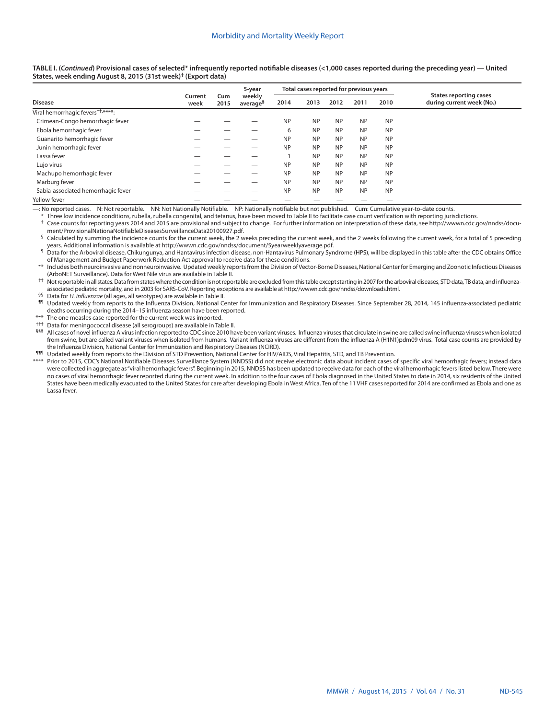**TABLE I. (***Continued***) Provisional cases of selected\* infrequently reported notifiable diseases (<1,000 cases reported during the preceding year) — United States, week ending August 8, 2015 (31st week)† ([Export data\)](https://data.cdc.gov/NNDSS/NNDSS-Table-I-infrequently-reported-notifiable-dis/pb4z-432k)**

|                                               |                 |             | 5-year<br>weekly<br>average <sup>§</sup> |           | Total cases reported for previous years |           |           |           |                                                            |  |  |
|-----------------------------------------------|-----------------|-------------|------------------------------------------|-----------|-----------------------------------------|-----------|-----------|-----------|------------------------------------------------------------|--|--|
| <b>Disease</b>                                | Current<br>week | Cum<br>2015 |                                          | 2014      | 2013                                    | 2012      | 2011      | 2010      | <b>States reporting cases</b><br>during current week (No.) |  |  |
| Viral hemorrhagic fevers <sup>††,****</sup> : |                 |             |                                          |           |                                         |           |           |           |                                                            |  |  |
| Crimean-Congo hemorrhagic fever               |                 |             |                                          | <b>NP</b> | <b>NP</b>                               | <b>NP</b> | <b>NP</b> | <b>NP</b> |                                                            |  |  |
| Ebola hemorrhagic fever                       |                 |             |                                          | 6         | <b>NP</b>                               | <b>NP</b> | <b>NP</b> | <b>NP</b> |                                                            |  |  |
| Guanarito hemorrhagic fever                   |                 |             |                                          | <b>NP</b> | <b>NP</b>                               | <b>NP</b> | <b>NP</b> | <b>NP</b> |                                                            |  |  |
| Junin hemorrhagic fever                       |                 |             |                                          | <b>NP</b> | <b>NP</b>                               | <b>NP</b> | <b>NP</b> | <b>NP</b> |                                                            |  |  |
| Lassa fever                                   |                 |             |                                          |           | <b>NP</b>                               | <b>NP</b> | <b>NP</b> | <b>NP</b> |                                                            |  |  |
| Lujo virus                                    |                 |             |                                          | <b>NP</b> | <b>NP</b>                               | <b>NP</b> | <b>NP</b> | <b>NP</b> |                                                            |  |  |
| Machupo hemorrhagic fever                     |                 |             |                                          | <b>NP</b> | <b>NP</b>                               | <b>NP</b> | <b>NP</b> | <b>NP</b> |                                                            |  |  |
| Marburg fever                                 |                 |             |                                          | <b>NP</b> | <b>NP</b>                               | <b>NP</b> | <b>NP</b> | <b>NP</b> |                                                            |  |  |
| Sabia-associated hemorrhagic fever            |                 |             |                                          | <b>NP</b> | <b>NP</b>                               | <b>NP</b> | <b>NP</b> | <b>NP</b> |                                                            |  |  |
| Yellow fever                                  |                 |             |                                          |           |                                         |           |           |           |                                                            |  |  |

—: No reported cases. N: Not reportable. NN: Not Nationally Notifiable. NP: Nationally notifiable but not published. Cum: Cumulative year-to-date counts.

Three low incidence conditions, rubella, rubella congenital, and tetanus, have been moved to Table II to facilitate case count verification with reporting jurisdictions.

Case counts for reporting years 2014 and 2015 are provisional and subject to change. For further information on interpretation of these data, see http://wwwn.cdc.gov/nndss/docu-<br>ment/ProvisionalNationaNotifiableDiseasesSur

Calculated by summing the incidence counts for the current week, the 2 weeks preceding the current week, and the 2 weeks following the current week, for a total of 5 preceding ears. Additional information is available at<http://wwwn.cdc.gov/nndss/document/5yearweeklyaverage.pdf>.<br>In Data for the Arboviral disease, Chikungunya, and Hantavirus infection disease, non-Hantavirus Pulmonary Syndrome (H

of Management and Budget Paperwork Reduction Act approval to receive data for these conditions.

\*\* Includes both neuroinvasive and nonneuroinvasive. Updated weekly reports from the Division of Vector-Borne Diseases, National Center for Emerging and Zoonotic Infectious Diseases (ArboNET Surveillance). Data for West Nile virus are available in Table II.

†† Not reportable in all states. Data from states where the condition is not reportable are excluded from this table except starting in 2007 for the arboviral diseases, STD data, TB data, and influenzaassociated pediatric mortality, and in 2003 for SARS-CoV. Reporting exceptions are available at<http://wwwn.cdc.gov/nndss/downloads.html>.

§§ Data for *H. influenzae* (all ages, all serotypes) are available in Table II.

Updated weekly from reports to the Influenza Division, National Center for Immunization and Respiratory Diseases. Since September 28, 2014, 145 influenza-associated pediatric deaths occurring during the 2014–15 influenza season have been reported.

The one measles case reported for the current week was imported.

††† Data for meningococcal disease (all serogroups) are available in Table II.

§§§ All cases of novel influenza A virus infection reported to CDC since 2010 have been variant viruses. Influenza viruses that circulate in swine are called swine influenza viruses when isolated from swine, but are called variant viruses when isolated from humans. Variant influenza viruses are different from the influenza A (H1N1)pdm09 virus. Total case counts are provided by the Influenza Division, National Center for Immunization and Respiratory Diseases (NCIRD).

¶¶¶ Updated weekly from reports to the Division of STD Prevention, National Center for HIV/AIDS, Viral Hepatitis, STD, and TB Prevention.

\*\*\*\* Prior to 2015, CDC's National Notifiable Diseases Surveillance System (NNDSS) did not receive electronic data about incident cases of specific viral hemorrhagic fevers; instead data were collected in aggregate as "viral hemorrhagic fevers". Beginning in 2015, NNDSS has been updated to receive data for each of the viral hemorrhagic fevers listed below. There were no cases of viral hemorrhagic fever reported during the current week. In addition to the four cases of Ebola diagnosed in the United States to date in 2014, six residents of the United States have been medically evacuated to the United States for care after developing Ebola in West Africa. Ten of the 11 VHF cases reported for 2014 are confirmed as Ebola and one as Lassa fever.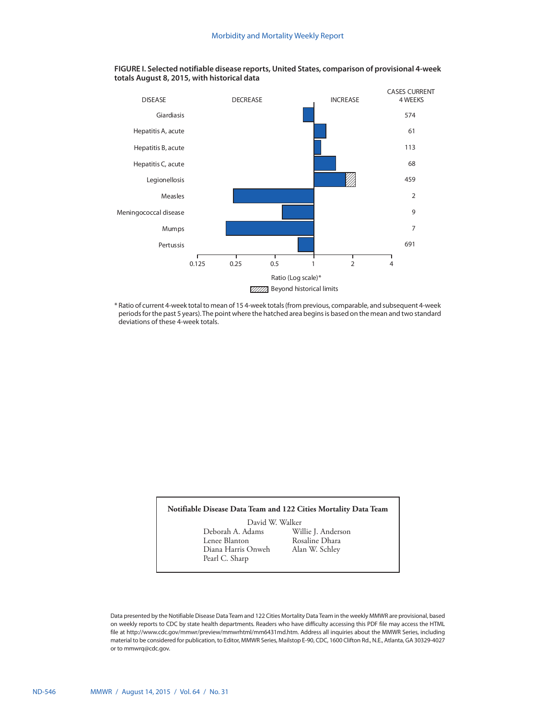

## **FIGURE I. Selected notifiable disease reports, United States, comparison of provisional 4-week totals August 8, 2015, with historical data**

\* Ratio of current 4-week total to mean of 15 4-week totals (from previous, comparable, and subsequent 4-week periods for the past 5 years). The point where the hatched area begins is based on the mean and two standard deviations of these 4-week totals.

## **Notifiable Disease Data Team and 122 Cities Mortality Data Team**

David W. Walker<br>Deborah A. Adams Wi Deborah A. Adams Willie J. Anderson Diana Harris Onweh Pearl C. Sharp

Rosaline Dhara<br>Alan W. Schley

Data presented by the Notifiable Disease Data Team and 122 Cities Mortality Data Team in the weekly MMWR are provisional, based on weekly reports to CDC by state health departments. Readers who have difficulty accessing this PDF file may access the HTML file at http://www.cdc.gov/mmwr/preview/mmwrhtml/mm6431md.htm. Address all inquiries about the MMWR Series, including material to be considered for publication, to Editor, MMWR Series, Mailstop E-90, CDC, 1600 Clifton Rd., N.E., Atlanta, GA 30329-4027 or to [mmwrq@cdc.gov](mailto:mmwrq@cdc.gov).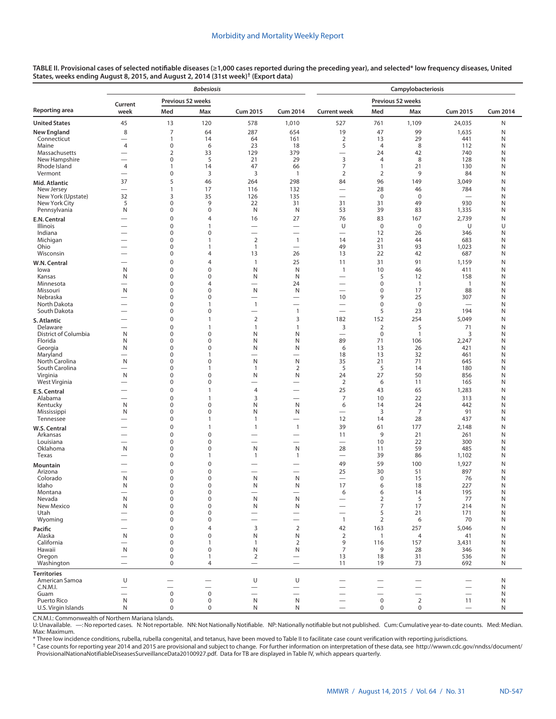| TABLE II. Provisional cases of selected notifiable diseases (≥1,000 cases reported during the preceding year), and selected* low frequency diseases, United |  |
|-------------------------------------------------------------------------------------------------------------------------------------------------------------|--|
| States, weeks ending August 8, 2015, and August 2, 2014 (31st week) <sup>†</sup> (Export data)                                                              |  |

|                                      |                                                      |                            | <b>Babesiosis</b>             |                                            |                                                      | Campylobacteriosis                |                                |                                 |                          |                 |  |  |  |
|--------------------------------------|------------------------------------------------------|----------------------------|-------------------------------|--------------------------------------------|------------------------------------------------------|-----------------------------------|--------------------------------|---------------------------------|--------------------------|-----------------|--|--|--|
|                                      | Current                                              | Previous 52 weeks          |                               |                                            |                                                      |                                   |                                | Previous 52 weeks               |                          |                 |  |  |  |
| Reporting area                       | week                                                 | Med                        | Max                           | <b>Cum 2015</b>                            | <b>Cum 2014</b>                                      | <b>Current week</b>               | Med                            | Max                             | <b>Cum 2015</b>          | <b>Cum 2014</b> |  |  |  |
| <b>United States</b>                 | 45                                                   | 13                         | 120                           | 578                                        | 1,010                                                | 527                               | 761                            | 1,109                           | 24,035                   | Ν               |  |  |  |
| <b>New England</b>                   | 8                                                    | $\overline{7}$             | 64                            | 287                                        | 654                                                  | 19                                | 47                             | 99                              | 1,635                    | Ν               |  |  |  |
| Connecticut<br>Maine                 | $\overline{\phantom{0}}$<br>4                        | $\mathbf{1}$<br>$\pmb{0}$  | 14<br>6                       | 64<br>23                                   | 161<br>18                                            | $\overline{2}$<br>5               | 13<br>4                        | 29<br>8                         | 441<br>112               | Ν<br>Ν          |  |  |  |
| Massachusetts                        |                                                      | 2                          | 33                            | 129                                        | 379                                                  |                                   | 24                             | 42                              | 740                      | Ν               |  |  |  |
| New Hampshire                        | $\overline{\phantom{0}}$                             | $\pmb{0}$                  | 5                             | 21                                         | 29                                                   | 3                                 | 4                              | 8                               | 128                      | Ν               |  |  |  |
| Rhode Island<br>Vermont              | $\overline{4}$                                       | $\mathbf{1}$<br>$\pmb{0}$  | 14<br>3                       | 47<br>3                                    | 66<br>$\overline{1}$                                 | $\overline{7}$<br>$\overline{2}$  | $\mathbf{1}$<br>$\overline{2}$ | 21<br>9                         | 130<br>84                | Ν<br>Ν          |  |  |  |
| Mid. Atlantic                        | 37                                                   | 5                          | 46                            | 264                                        | 298                                                  | 84                                | 96                             | 149                             | 3,049                    | Ν               |  |  |  |
| New Jersey                           |                                                      | $\mathbf{1}$               | 17                            | 116                                        | 132                                                  | $\overline{\phantom{0}}$          | 28                             | 46                              | 784                      | Ν               |  |  |  |
| New York (Upstate)                   | 32                                                   | 3                          | 35                            | 126                                        | 135                                                  | $\overline{\phantom{0}}$          | $\mathbf 0$                    | $\mathbf 0$                     | $\overline{\phantom{0}}$ | Ν               |  |  |  |
| New York City<br>Pennsylvania        | 5<br>N                                               | $\pmb{0}$<br>0             | 9<br>$\mathbf 0$              | 22<br>N                                    | 31<br>N                                              | 31<br>53                          | 31<br>39                       | 49<br>83                        | 930<br>1,335             | Ν<br>Ν          |  |  |  |
|                                      | $\overline{\phantom{0}}$                             | $\pmb{0}$                  | $\overline{4}$                | 16                                         | 27                                                   | 76                                | 83                             | 167                             | 2,739                    | N               |  |  |  |
| E.N. Central<br>Illinois             | $\overline{\phantom{0}}$                             | $\mathbf 0$                | $\mathbf{1}$                  |                                            | $\qquad \qquad$                                      | U                                 | $\mathbf 0$                    | $\mathbf 0$                     | U                        | U               |  |  |  |
| Indiana                              |                                                      | 0                          | $\mathbf 0$                   | $\overline{\phantom{0}}$                   |                                                      | $\overline{\phantom{0}}$          | 12                             | 26                              | 346                      | Ν               |  |  |  |
| Michigan<br>Ohio                     | $\overline{\phantom{0}}$<br>$\overline{\phantom{0}}$ | 0<br>0                     | $\mathbf{1}$<br>$\mathbf{1}$  | $\overline{2}$<br>$\mathbf{1}$             | $\overline{1}$<br>$\overline{\phantom{0}}$           | 14<br>49                          | 21<br>31                       | 44<br>93                        | 683<br>1,023             | Ν<br>Ν          |  |  |  |
| Wisconsin                            |                                                      | $\mathbf 0$                | $\overline{4}$                | 13                                         | 26                                                   | 13                                | 22                             | 42                              | 687                      | Ν               |  |  |  |
| W.N. Central                         | $\overline{\phantom{0}}$                             | $\mathbf 0$                | 4                             | $\mathbf{1}$                               | 25                                                   | 11                                | 31                             | 91                              | 1,159                    | N               |  |  |  |
| lowa                                 | N                                                    | $\mathbf 0$                | $\mathbf 0$                   | N                                          | N                                                    | $\overline{1}$                    | 10                             | 46                              | 411                      | Ν               |  |  |  |
| Kansas                               | N                                                    | 0                          | $\mathbf 0$                   | N                                          | N                                                    |                                   | 5                              | 12                              | 158                      | Ν               |  |  |  |
| Minnesota<br>Missouri                | N                                                    | 0<br>0                     | $\overline{4}$<br>$\mathbf 0$ | N                                          | 24<br>N                                              | $\overbrace{\phantom{12322111}}$  | 0<br>0                         | $\overline{\phantom{a}}$<br>17  | $\overline{1}$<br>88     | Ν<br>Ν          |  |  |  |
| Nebraska                             | $\overline{\phantom{0}}$                             | $\mathbf 0$                | $\mathbf 0$                   | $\overline{\phantom{0}}$                   | $\overline{\phantom{0}}$                             | 10                                | 9                              | 25                              | 307                      | N               |  |  |  |
| North Dakota                         | $\overline{\phantom{0}}$                             | $\mathbf 0$                | $\mathbf{1}$                  | $\mathbf{1}$                               | $\overline{\phantom{0}}$                             |                                   | 0                              | $\mathbf 0$                     | $\overline{\phantom{0}}$ | N               |  |  |  |
| South Dakota                         |                                                      | $\mathbf 0$                | $\mathbf 0$                   | $\overline{\phantom{0}}$                   | $\mathbf{1}$                                         | $\overline{\phantom{0}}$          | 5                              | 23                              | 194                      | N               |  |  |  |
| S. Atlantic<br>Delaware              | $\overline{\phantom{0}}$<br>$\overline{\phantom{0}}$ | $\mathbf 0$<br>$\mathbf 0$ | $\mathbf{1}$<br>$\mathbf{1}$  | $\overline{2}$<br>1                        | 3<br>1                                               | 182<br>3                          | 152<br>$\overline{2}$          | 254<br>5                        | 5,049<br>71              | Ν<br>N          |  |  |  |
| District of Columbia                 | N                                                    | $\mathbf 0$                | $\mathbf 0$                   | N                                          | N                                                    | $\overbrace{\phantom{12322111}}$  | $\mathbf 0$                    | $\mathbf{1}$                    | 3                        | N               |  |  |  |
| Florida                              | N                                                    | $\mathbf 0$                | $\mathbf 0$                   | N                                          | N                                                    | 89                                | 71                             | 106                             | 2,247                    | N               |  |  |  |
| Georgia<br>Maryland                  | N<br>$\overline{\phantom{0}}$                        | $\mathbf 0$<br>$\mathbf 0$ | $\mathbf 0$<br>$\mathbf{1}$   | N<br>-                                     | N                                                    | 6<br>18                           | 13<br>13                       | 26<br>32                        | 421<br>461               | N<br>N          |  |  |  |
| North Carolina                       | N                                                    | $\mathbf 0$                | $\mathbf 0$                   | N                                          | N                                                    | 35                                | 21                             | 71                              | 645                      | Ν               |  |  |  |
| South Carolina                       | $\overline{\phantom{0}}$                             | $\mathbf 0$                | $\mathbf{1}$                  | $\mathbf{1}$                               | $\overline{2}$                                       | 5                                 | 5                              | 14                              | 180                      | N               |  |  |  |
| Virginia                             | N                                                    | $\mathbf 0$                | $\mathbf 0$                   | N                                          | N                                                    | 24                                | 27                             | 50                              | 856                      | N               |  |  |  |
| West Virginia                        | $\overline{\phantom{0}}$                             | $\mathbf 0$<br>$\mathbf 0$ | $\mathbf 0$<br>$\mathbf{1}$   | $\overline{\phantom{0}}$<br>$\overline{4}$ | $\overline{\phantom{0}}$<br>$\overline{\phantom{0}}$ | $\overline{2}$<br>25              | 6<br>43                        | 11<br>65                        | 165<br>1,283             | Ν<br>N          |  |  |  |
| E.S. Central<br>Alabama              |                                                      | $\mathbf 0$                | $\mathbf{1}$                  | 3                                          |                                                      | $\overline{7}$                    | 10                             | 22                              | 313                      | N               |  |  |  |
| Kentucky                             | N                                                    | $\mathbf 0$                | $\mathbf 0$                   | N                                          | N                                                    | 6                                 | 14                             | 24                              | 442                      | N               |  |  |  |
| Mississippi                          | N                                                    | $\mathbf 0$                | $\mathbf 0$                   | N                                          | N                                                    | $\overline{\phantom{0}}$          | 3                              | $\overline{7}$                  | 91                       | Ν               |  |  |  |
| Tennessee                            |                                                      | $\mathbf 0$<br>$\mathbf 0$ | $\mathbf{1}$<br>$\mathbf{1}$  | 1<br>$\mathbf{1}$                          | $\overline{\phantom{0}}$<br>$\overline{1}$           | 12<br>39                          | 14<br>61                       | 28<br>177                       | 437                      | N<br>N          |  |  |  |
| W.S. Central<br>Arkansas             |                                                      | $\mathbf 0$                | $\mathbf 0$                   |                                            | $\overline{\phantom{0}}$                             | 11                                | 9                              | 21                              | 2,148<br>261             | Ν               |  |  |  |
| Louisiana                            | $\overline{\phantom{0}}$                             | $\mathbf 0$                | $\mathbf 0$                   |                                            |                                                      |                                   | 10                             | 22                              | 300                      | N               |  |  |  |
| Oklahoma                             | N                                                    | $\mathbf 0$                | $\mathbf 0$                   | N                                          | N                                                    | 28                                | 11                             | 59                              | 485                      | N               |  |  |  |
| Texas                                | $\overline{\phantom{0}}$                             | $\mathbf 0$                | $\mathbf{1}$                  | $\mathbf{1}$                               | $\mathbf{1}$                                         |                                   | 39                             | 86                              | 1,102                    | Ν               |  |  |  |
| Mountain<br>Arizona                  |                                                      | $\mathbf 0$<br>$\mathbf 0$ | $\mathbf 0$<br>$\mathbf 0$    | -                                          |                                                      | 49<br>25                          | 59<br>30                       | 100<br>51                       | 1,927<br>897             | Ν<br>N          |  |  |  |
| Colorado                             | N                                                    | $\mathbf 0$                | $\mathbf 0$                   | N                                          | N                                                    |                                   | $\mathbf 0$                    | 15                              | 76                       | Ν               |  |  |  |
| Idaho                                | N                                                    | $\mathbf 0$                | $\mathbf 0$                   | N                                          | N                                                    | 17                                | 6                              | 18                              | 227                      | N               |  |  |  |
| Montana<br>Nevada                    | ${\sf N}$                                            | $\pmb{0}$<br>$\mathbf 0$   | $\pmb{0}$<br>$\mathbf 0$      | N                                          | $\mathsf{N}$                                         | 6                                 | 6<br>$\overline{2}$            | 14<br>5                         | 195<br>77                | N<br>N          |  |  |  |
| New Mexico                           | N                                                    | $\mathbf 0$                | $\mathbf 0$                   | N                                          | N                                                    | $\overbrace{\phantom{123221111}}$ | $\overline{7}$                 | 17                              | 214                      | N               |  |  |  |
| Utah                                 | $\overline{\phantom{0}}$                             | $\mathbf 0$                | $\mathbf 0$                   | $\overline{\phantom{0}}$                   | $\overline{\phantom{0}}$                             | $\overbrace{\phantom{1232211}}$   | 5                              | 21                              | 171                      | N               |  |  |  |
| Wyoming                              | $\overline{\phantom{0}}$                             | 0                          | $\mathbf 0$                   | $\overline{\phantom{0}}$                   | $\overline{\phantom{0}}$                             | $\overline{1}$                    | 2                              | 6                               | 70                       | N               |  |  |  |
| Pacific<br>Alaska                    | —<br>N                                               | $\mathbf 0$<br>$\mathbf 0$ | 4<br>$\mathbf 0$              | 3<br>N                                     | $\mathbf 2$<br>N                                     | 42<br>$\overline{2}$              | 163<br>$\mathbf{1}$            | 257<br>$\overline{4}$           | 5,046<br>41              | N<br>N          |  |  |  |
| California                           | $\overline{\phantom{0}}$                             | $\mathbf 0$                | 1                             | $\mathbf{1}$                               | $\overline{2}$                                       | 9                                 | 116                            | 157                             | 3,431                    | N               |  |  |  |
| Hawaii                               | N                                                    | $\mathbf 0$                | $\mathbf 0$                   | N                                          | N                                                    | $\overline{7}$                    | 9                              | 28                              | 346                      | N               |  |  |  |
| Oregon                               | $\qquad \qquad$                                      | 0                          | $\mathbf{1}$                  | $\overline{2}$                             | $\qquad \qquad$                                      | 13                                | 18                             | 31                              | 536                      | N               |  |  |  |
| Washington                           |                                                      | $\mathbf 0$                | $\overline{4}$                | $\overline{\phantom{0}}$                   | $\overline{\phantom{0}}$                             | 11                                | 19                             | 73                              | 692                      | N               |  |  |  |
| <b>Territories</b><br>American Samoa | U                                                    |                            |                               | U                                          | U                                                    |                                   |                                |                                 |                          | N               |  |  |  |
| C.N.M.I.                             |                                                      |                            |                               | $\overline{\phantom{0}}$                   |                                                      |                                   |                                | $\overline{\phantom{0}}$        |                          | N               |  |  |  |
| Guam                                 |                                                      | $\mathsf 0$                | $\pmb{0}$                     |                                            |                                                      |                                   | $\overline{\phantom{0}}$       | $\overbrace{\phantom{1232211}}$ | $\overline{\phantom{0}}$ | N               |  |  |  |
| Puerto Rico<br>U.S. Virgin Islands   | N<br>N                                               | $\mathbf 0$<br>0           | $\pmb{0}$<br>0                | N<br>N                                     | N<br>N                                               |                                   | $\mathbf 0$<br>$\mathbf 0$     | $\overline{2}$<br>0             | 11<br>$\qquad \qquad -$  | N<br>N          |  |  |  |
|                                      |                                                      |                            |                               |                                            |                                                      |                                   |                                |                                 |                          |                 |  |  |  |

C.N.M.I.: Commonwealth of Northern Mariana Islands.

U: Unavailable. —: No reported cases. N: Not reportable. NN: Not Nationally Notifiable. NP: Nationally notifiable but not published. Cum: Cumulative year-to-date counts. Med: Median. Max: Maximum.

\* Three low incidence conditions, rubella, rubella congenital, and tetanus, have been moved to Table II to facilitate case count verification with reporting jurisdictions.

† Case counts for reporting year 2014 and 2015 are provisional and subject to change. For further information on interpretation of these data, see [http://wwwn.cdc.gov/nndss/document/](http://wwwn.cdc.gov/nndss/document/ProvisionalNationaNotifiableDiseasesSurveillanceData20100927.pdf) [ProvisionalNationaNotifiableDiseasesSurveillanceData20100927.pdf](http://wwwn.cdc.gov/nndss/document/ProvisionalNationaNotifiableDiseasesSurveillanceData20100927.pdf). Data for TB are displayed in Table IV, which appears quarterly.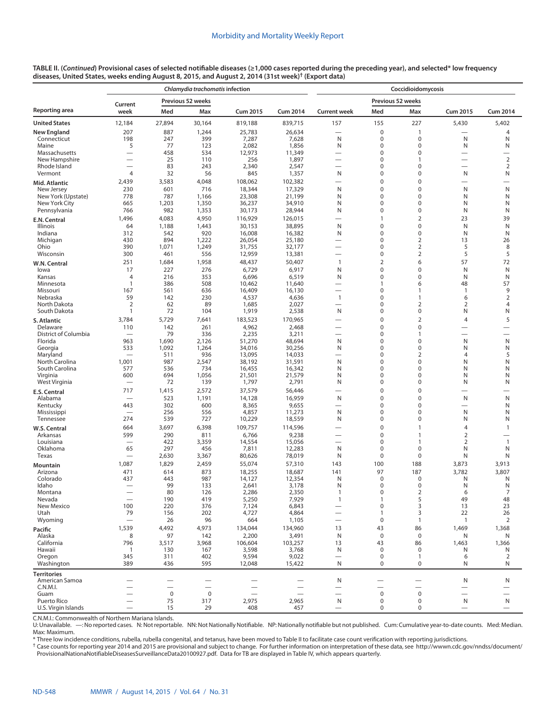|                                      |                          |                          | Chlamydia trachomatis infection |                  |                  | Coccidioidomycosis            |                          |                                  |                               |                     |  |  |  |
|--------------------------------------|--------------------------|--------------------------|---------------------------------|------------------|------------------|-------------------------------|--------------------------|----------------------------------|-------------------------------|---------------------|--|--|--|
|                                      | Current                  |                          | Previous 52 weeks               |                  |                  | Previous 52 weeks             |                          |                                  |                               |                     |  |  |  |
| Reporting area                       | week                     | Med                      | Max                             | <b>Cum 2015</b>  | <b>Cum 2014</b>  | <b>Current week</b>           | Med                      | Max                              | <b>Cum 2015</b>               | <b>Cum 2014</b>     |  |  |  |
| <b>United States</b>                 | 12,184                   | 27,894                   | 30,164                          | 819,188          | 839,715          | 157                           | 155                      | 227                              | 5,430                         | 5,402               |  |  |  |
| New England                          | 207                      | 887                      | 1,244                           | 25,783           | 26,634           | $\overline{\phantom{0}}$      | $\mathbf 0$              | 1                                |                               | 4                   |  |  |  |
| Connecticut<br>Maine                 | 198<br>5                 | 247<br>77                | 399<br>123                      | 7,287<br>2,082   | 7,628<br>1,856   | N<br>N                        | 0<br>0                   | 0<br>0                           | N<br>Ν                        | N<br>N              |  |  |  |
| Massachusetts                        | $\overline{\phantom{0}}$ | 458                      | 534                             | 12,973           | 11,349           | $\overline{\phantom{0}}$      | 0                        | 0                                | $\overline{\phantom{0}}$      |                     |  |  |  |
| New Hampshire                        |                          | 25                       | 110                             | 256              | 1,897            | $\overline{\phantom{0}}$      | 0                        | 1                                | $\overline{\phantom{0}}$      | $\sqrt{2}$          |  |  |  |
| Rhode Island                         | $\overline{\phantom{0}}$ | 83                       | 243                             | 2,340            | 2,547            | $\overline{\phantom{0}}$      | 0                        | 0                                |                               | $\overline{2}$      |  |  |  |
| Vermont                              | $\overline{4}$           | 32                       | 56                              | 845              | 1,357            | N                             | 0                        | 0                                | N                             | N                   |  |  |  |
| Mid. Atlantic                        | 2,439                    | 3,583                    | 4,048                           | 108,062          | 102,382          |                               | 0                        | 0                                | -                             |                     |  |  |  |
| New Jersey<br>New York (Upstate)     | 230<br>778               | 601<br>787               | 716<br>1,166                    | 18,344<br>23,308 | 17,329<br>21,199 | N<br>N                        | 0<br>0                   | 0<br>0                           | Ν<br>Ν                        | N<br>N              |  |  |  |
| New York City                        | 665                      | 1,203                    | 1,350                           | 36,237           | 34,910           | N                             | 0                        | 0                                | N                             | N                   |  |  |  |
| Pennsylvania                         | 766                      | 982                      | 1,353                           | 30,173           | 28,944           | N                             | $\mathbf 0$              | 0                                | Ν                             | N                   |  |  |  |
| E.N. Central                         | 1,496                    | 4,083                    | 4,950                           | 116,929          | 126,015          |                               | 1                        | $\overline{2}$                   | 23                            | 39                  |  |  |  |
| Illinois                             | 64                       | 1,188                    | 1,443                           | 30,153           | 38,895           | N                             | $\mathbf 0$              | $\mathbf 0$                      | N                             | N                   |  |  |  |
| Indiana                              | 312                      | 542                      | 920                             | 16,008           | 16,382           | N                             | 0                        | 0                                | N                             | N                   |  |  |  |
| Michigan<br>Ohio                     | 430<br>390               | 894<br>1,071             | 1,222<br>1,249                  | 26,054<br>31,755 | 25,180<br>32,177 |                               | 0<br>0                   | $\overline{2}$<br>$\overline{2}$ | 13<br>5                       | 26<br>8             |  |  |  |
| Wisconsin                            | 300                      | 461                      | 556                             | 12,959           | 13,381           |                               | $\mathbf 0$              | $\overline{2}$                   | 5                             | 5                   |  |  |  |
| W.N. Central                         | 251                      | 1,684                    | 1,958                           | 48,437           | 50,407           | $\mathbf{1}$                  | $\overline{2}$           | 6                                | 57                            | 72                  |  |  |  |
| lowa                                 | 17                       | 227                      | 276                             | 6,729            | 6,917            | N                             | $\mathbf 0$              | 0                                | N                             | N                   |  |  |  |
| Kansas                               | $\overline{4}$           | 216                      | 353                             | 6,696            | 6,519            | N                             | $\mathbf 0$              | 0                                | N                             | N                   |  |  |  |
| Minnesota                            | $\mathbf{1}$             | 386                      | 508                             | 10,462           | 11,640           |                               | 1                        | 6                                | 48                            | 57                  |  |  |  |
| Missouri                             | 167<br>59                | 561<br>142               | 636<br>230                      | 16,409           | 16,130<br>4,636  | $\mathbf{1}$                  | $\mathbf 0$<br>0         | $\mathbf{1}$<br>$\mathbf{1}$     | 1                             | 9<br>$\overline{2}$ |  |  |  |
| Nebraska<br>North Dakota             | $\overline{2}$           | 62                       | 89                              | 4,537<br>1,685   | 2,027            |                               | 0                        | $\overline{2}$                   | 6<br>$\overline{2}$           | $\overline{4}$      |  |  |  |
| South Dakota                         | $\mathbf{1}$             | 72                       | 104                             | 1,919            | 2,538            | N                             | 0                        | 0                                | Ν                             | N                   |  |  |  |
| S. Atlantic                          | 3,784                    | 5,729                    | 7,641                           | 183,523          | 170,965          |                               | $\mathbf 0$              | $\overline{2}$                   | $\overline{4}$                | 5                   |  |  |  |
| Delaware                             | 110                      | 142                      | 261                             | 4,962            | 2,468            |                               | $\mathbf 0$              | 0                                |                               |                     |  |  |  |
| District of Columbia                 |                          | 79                       | 336                             | 2,235            | 3,211            | $\overline{\phantom{0}}$      | 0                        | $\mathbf{1}$                     | -                             |                     |  |  |  |
| Florida                              | 963                      | 1,690                    | 2,126                           | 51,270           | 48,694           | N                             | 0                        | 0                                | N                             | N                   |  |  |  |
| Georgia<br>Maryland                  | 533                      | 1,092<br>511             | 1,264<br>936                    | 34,016<br>13,095 | 30,256<br>14,033 | N                             | 0<br>$\mathbf 0$         | 0<br>$\overline{2}$              | N<br>$\overline{4}$           | N<br>5              |  |  |  |
| North Carolina                       | 1,001                    | 987                      | 2,547                           | 38,192           | 31,591           | N                             | $\mathbf 0$              | $\mathbf 0$                      | N                             | N                   |  |  |  |
| South Carolina                       | 577                      | 536                      | 734                             | 16,455           | 16,342           | N                             | 0                        | $\Omega$                         | N                             | N                   |  |  |  |
| Virginia                             | 600                      | 694                      | 1,056                           | 21,501           | 21,579           | N                             | 0                        | 0                                | N                             | N                   |  |  |  |
| West Virginia                        |                          | 72                       | 139                             | 1,797            | 2,791            | N                             | 0                        | 0                                | N                             | N                   |  |  |  |
| E.S. Central                         | 717                      | 1,415                    | 2,572                           | 37,579           | 56,446           |                               | $\mathbf 0$              | $\mathbf 0$                      | -                             |                     |  |  |  |
| Alabama                              | 443                      | 523<br>302               | 1,191<br>600                    | 14,128           | 16,959           | N<br>$\overline{\phantom{0}}$ | $\mathbf 0$<br>0         | $\overline{0}$<br>0              | N<br>$\overline{\phantom{0}}$ | $\mathsf{N}$<br>N   |  |  |  |
| Kentucky<br>Mississippi              | $\overline{\phantom{0}}$ | 256                      | 556                             | 8,365<br>4,857   | 9,655<br>11,273  | N                             | 0                        | $\Omega$                         | N                             | N                   |  |  |  |
| Tennessee                            | 274                      | 539                      | 727                             | 10,229           | 18,559           | N                             | 0                        | 0                                | Ν                             | N                   |  |  |  |
| W.S. Central                         | 664                      | 3,697                    | 6,398                           | 109,757          | 114,596          |                               | $\mathbf 0$              | $\mathbf{1}$                     | $\overline{4}$                | $\mathbf{1}$        |  |  |  |
| Arkansas                             | 599                      | 290                      | 811                             | 6,766            | 9,238            |                               | $\mathbf 0$              | $\mathbf{1}$                     | $\overline{2}$                |                     |  |  |  |
| Louisiana                            |                          | 422                      | 3,359                           | 14,554           | 15,056           | -                             | 0                        | 1                                | $\overline{2}$                | $\mathbf{1}$        |  |  |  |
| Oklahoma                             | 65                       | 297                      | 456                             | 7,811            | 12,283           | N                             | 0<br>0                   | 0<br>0                           | N                             | N                   |  |  |  |
| Texas                                |                          | 2,630                    | 3,367                           | 80,626           | 78,019           | N                             |                          |                                  | Ν                             | N                   |  |  |  |
| Mountain<br>Arizona                  | 1,087<br>471             | 1,829<br>614             | 2,459<br>873                    | 55,074<br>18,255 | 57,310<br>18,687 | 143<br>141                    | 100<br>97                | 188<br>187                       | 3,873<br>3,782                | 3,913<br>3,807      |  |  |  |
| Colorado                             | 437                      | 443                      | 987                             | 14,127           | 12,354           | N                             | $\mathbf 0$              | $\mathbf 0$                      | N                             | N                   |  |  |  |
| Idaho                                |                          | 99                       | 133                             | 2,641            | 3,178            | N                             | 0                        | 0                                | N                             | N                   |  |  |  |
| Montana                              |                          | 80                       | 126                             | 2,286            | 2,350            |                               | 0                        | 2                                | 6                             | 7                   |  |  |  |
| Nevada                               |                          | 190                      | 419                             | 5,250            | 7,929            | $\mathbf{1}$                  | 1                        | 5                                | 49                            | 48                  |  |  |  |
| New Mexico<br>Utah                   | 100<br>79                | 220<br>156               | 376<br>202                      | 7,124<br>4,727   | 6,843<br>4,864   |                               | 0<br>1                   | 3<br>3                           | 13<br>22                      | 23<br>26            |  |  |  |
| Wyoming                              |                          | 26                       | 96                              | 664              | 1,105            |                               | 0                        | $\mathbf{1}$                     | $\mathbf{1}$                  | $\overline{2}$      |  |  |  |
| Pacific                              | 1,539                    | 4,492                    | 4,973                           | 134,044          | 134,960          | 13                            | 43                       | 86                               | 1,469                         | 1,368               |  |  |  |
| Alaska                               | 8                        | 97                       | 142                             | 2,200            | 3,491            | $\mathsf{N}$                  | $\pmb{0}$                | $\pmb{0}$                        | Ν                             | N                   |  |  |  |
| California                           | 796                      | 3,517                    | 3,968                           | 106,604          | 103,257          | 13                            | 43                       | 86                               | 1,463                         | 1,366               |  |  |  |
| Hawaii                               | $\overline{1}$           | 130                      | 167                             | 3,598            | 3,768            | N                             | $\mathbf 0$              | 0                                | N                             | N                   |  |  |  |
| Oregon                               | 345<br>389               | 311                      | 402                             | 9,594            | 9,022            | ${\sf N}$                     | $\pmb{0}$<br>0           | $\mathbf{1}$<br>0                | 6<br>Ν                        | 2<br>N              |  |  |  |
| Washington                           |                          | 436                      | 595                             | 12,048           | 15,422           |                               |                          |                                  |                               |                     |  |  |  |
| <b>Territories</b><br>American Samoa |                          |                          |                                 |                  |                  | N                             |                          |                                  | N                             | N                   |  |  |  |
| C.N.M.I.                             |                          | $\overline{\phantom{0}}$ |                                 |                  |                  |                               | $\overline{\phantom{0}}$ |                                  | $\overline{\phantom{0}}$      |                     |  |  |  |
| Guam                                 |                          | $\mathbf 0$              | $\mathbf 0$                     |                  |                  |                               | $\mathbf 0$              | $\pmb{0}$                        |                               |                     |  |  |  |
| Puerto Rico                          |                          | 75                       | 317                             | 2,975            | 2,965            | N                             | 0                        | $\pmb{0}$                        | N                             | N                   |  |  |  |
| U.S. Virgin Islands                  |                          | 15                       | 29                              | 408              | 457              |                               | 0                        | $\pmb{0}$                        |                               |                     |  |  |  |

C.N.M.I.: Commonwealth of Northern Mariana Islands.

U: Unavailable. —: No reported cases. N: Not reportable. NN: Not Nationally Notifiable. NP: Nationally notifiable but not published. Cum: Cumulative year-to-date counts. Med: Median. Max: Maximum.

\* Three low incidence conditions, rubella, rubella congenital, and tetanus, have been moved to Table II to facilitate case count verification with reporting jurisdictions.

† Case counts for reporting year 2014 and 2015 are provisional and subject to change. For further information on interpretation of these data, see [http://wwwn.cdc.gov/nndss/document/](http://wwwn.cdc.gov/nndss/document/ProvisionalNationaNotifiableDiseasesSurveillanceData20100927.pdf) [ProvisionalNationaNotifiableDiseasesSurveillanceData20100927.pdf](http://wwwn.cdc.gov/nndss/document/ProvisionalNationaNotifiableDiseasesSurveillanceData20100927.pdf). Data for TB are displayed in Table IV, which appears quarterly.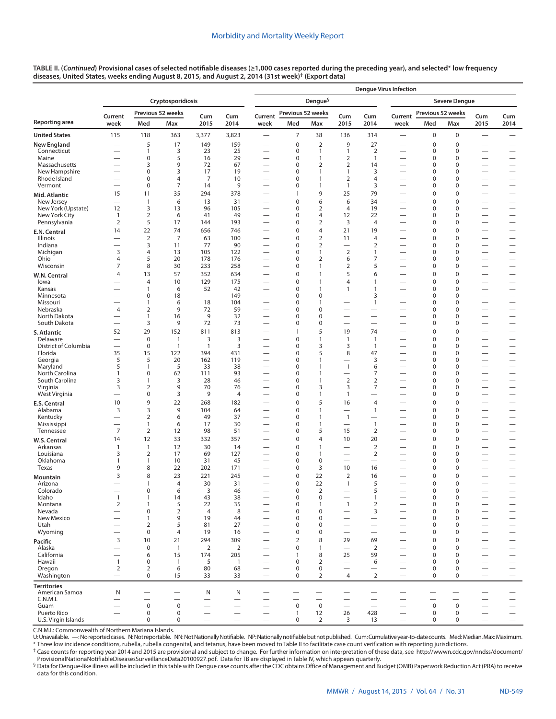| TABLE II. (Continued) Provisional cases of selected notifiable diseases (≥1,000 cases reported during the preceding year), and selected* low frequency |  |
|--------------------------------------------------------------------------------------------------------------------------------------------------------|--|
| diseases, United States, weeks ending August 8, 2015, and August 2, 2014 (31st week) <sup>†</sup> (Export data)                                        |  |

|                                  |                                                      |                                         |                     |                                |                          |                                                      |                                         |                               |                                                              |                                | <b>Denque Virus Infection</b>                               |                         |                                         |                                                              |                                                      |  |
|----------------------------------|------------------------------------------------------|-----------------------------------------|---------------------|--------------------------------|--------------------------|------------------------------------------------------|-----------------------------------------|-------------------------------|--------------------------------------------------------------|--------------------------------|-------------------------------------------------------------|-------------------------|-----------------------------------------|--------------------------------------------------------------|------------------------------------------------------|--|
|                                  |                                                      |                                         | Cryptosporidiosis   |                                |                          |                                                      |                                         | Dengue <sup>§</sup>           |                                                              |                                |                                                             |                         | <b>Severe Dengue</b>                    |                                                              |                                                      |  |
|                                  | Current                                              |                                         | Previous 52 weeks   | Cum                            | Cum                      | Current                                              | Previous 52 weeks                       |                               | Cum                                                          | Cum                            | Current                                                     | Previous 52 weeks       |                                         |                                                              | Cum<br>Cum                                           |  |
| Reporting area                   | week                                                 | Med                                     | Max                 | 2015                           | 2014                     | week                                                 | Med                                     | Max                           | 2015                                                         | 2014                           | week                                                        | Med                     | Max                                     | 2015                                                         | 2014                                                 |  |
| <b>United States</b>             | 115                                                  | 118                                     | 363                 | 3,377                          | 3,823                    | $\overline{\phantom{0}}$                             | $\overline{7}$                          | 38                            | 136                                                          | 314                            | $\overline{\phantom{0}}$                                    | 0                       | 0                                       | $\overline{\phantom{0}}$                                     |                                                      |  |
| <b>New England</b>               |                                                      | 5                                       | 17                  | 149                            | 159                      |                                                      | $\bf 0$                                 | $\overline{2}$                | 9                                                            | 27                             |                                                             | 0                       | $\bf 0$                                 |                                                              |                                                      |  |
| Connecticut<br>Maine             | $\overline{\phantom{0}}$                             | $\mathbf{1}$<br>$\mathbf 0$             | 3<br>5              | 23<br>16                       | 25<br>29                 | $\overline{\phantom{0}}$                             | 0<br>$\mathbf 0$                        | 1<br>1                        | 1<br>$\overline{2}$                                          | 2<br>$\mathbf{1}$              |                                                             | 0<br>0                  | 0<br>$\mathbf 0$                        |                                                              |                                                      |  |
| Massachusetts                    |                                                      | 3                                       | 9                   | 72                             | 67                       | $\qquad \qquad$<br>$\overline{\phantom{0}}$          | $\mathbf 0$                             | $\overline{2}$                | $\overline{2}$                                               | 14                             | $\overline{\phantom{0}}$                                    | 0                       | $\mathbf 0$                             |                                                              |                                                      |  |
| New Hampshire                    | $\overline{\phantom{0}}$                             | $\mathbf 0$                             | 3                   | 17                             | 19                       | $\qquad \qquad$                                      | $\mathbf 0$                             | $\mathbf{1}$                  | $\mathbf{1}$                                                 | 3                              |                                                             | 0                       | $\mathbf 0$                             | $\overline{\phantom{0}}$                                     |                                                      |  |
| Rhode Island<br>Vermont          | $\overline{\phantom{0}}$                             | $\mathbf 0$<br>$\mathsf 0$              | 4<br>7              | $\overline{7}$<br>14           | 10<br>9                  | $\overline{\phantom{0}}$<br>$\overline{\phantom{0}}$ | $\mathbf 0$<br>$\mathbf 0$              | 1<br>1                        | $\overline{2}$<br>$\mathbf{1}$                               | 4<br>3                         | —<br>$\overline{\phantom{0}}$                               | 0<br>0                  | $\mathbf 0$<br>$\mathbf 0$              |                                                              | $\overline{\phantom{0}}$                             |  |
| Mid. Atlantic                    | 15                                                   | 11                                      | 35                  | 294                            | 378                      |                                                      | $\mathbf{1}$                            | 9                             | 25                                                           | 79                             |                                                             | $\mathbf 0$             | $\mathbf 0$                             |                                                              | $\overline{\phantom{0}}$                             |  |
| New Jersey                       | $\overline{\phantom{0}}$                             | $\mathbf{1}$                            | 6                   | 13                             | 31                       | $\overline{\phantom{0}}$                             | $\mathbf 0$                             | 6                             | 6                                                            | 34                             | $\overline{\phantom{0}}$                                    | 0                       | $\mathbf 0$                             |                                                              | $\overline{\phantom{0}}$                             |  |
| New York (Upstate)               | 12                                                   | $\overline{3}$                          | 13                  | 96                             | 105                      | $\qquad \qquad$                                      | $\mathbf 0$                             | $\overline{2}$                | $\overline{4}$                                               | 19                             |                                                             | 0                       | $\mathbf 0$                             |                                                              |                                                      |  |
| New York City<br>Pennsylvania    | $\mathbf{1}$<br>$\overline{2}$                       | $\overline{2}$<br>5                     | 6<br>17             | 41<br>144                      | 49<br>193                | $\qquad \qquad$                                      | $\mathbf 0$<br>$\mathbf 0$              | 4<br>$\overline{2}$           | 12<br>3                                                      | 22<br>$\overline{4}$           | $\overline{\phantom{0}}$                                    | 0<br>0                  | $\mathbf 0$<br>$\mathbf 0$              | $\overline{\phantom{0}}$                                     |                                                      |  |
| E.N. Central                     | 14                                                   | 22                                      | 74                  | 656                            | 746                      | $\overline{\phantom{0}}$                             | $\mathbf 0$                             | 4                             | 21                                                           | 19                             | $\overline{\phantom{0}}$                                    | 0                       | $\mathbf 0$                             |                                                              | $\overline{\phantom{0}}$                             |  |
| Illinois                         |                                                      | $\overline{2}$                          | $\overline{7}$      | 63                             | 100                      | $\overline{\phantom{0}}$                             | $\mathbf 0$                             | $\overline{2}$                | 11                                                           | $\overline{4}$                 |                                                             | 0                       | $\mathbf 0$                             | $\overline{\phantom{0}}$                                     | —                                                    |  |
| Indiana                          | $\overline{\phantom{0}}$<br>3                        | 3                                       | 11                  | 77<br>105                      | 90                       | $\overline{\phantom{0}}$                             | $\mathbf 0$<br>$\mathbf 0$              | $\overline{2}$                | $\overline{\phantom{0}}$<br>$\overline{2}$                   | $\overline{2}$                 |                                                             | 0<br>0                  | $\mathbf 0$<br>$\mathbf 0$              |                                                              |                                                      |  |
| Michigan<br>Ohio                 | $\overline{4}$                                       | 4<br>5                                  | 13<br>20            | 178                            | 122<br>176               | $\overline{\phantom{0}}$<br>$\qquad \qquad$          | $\mathbf 0$                             | 1<br>$\overline{2}$           | 6                                                            | 1<br>7                         | $\overline{\phantom{0}}$                                    | 0                       | $\mathbf 0$                             | $\overline{\phantom{0}}$<br>$\overline{\phantom{0}}$         |                                                      |  |
| Wisconsin                        | $\overline{7}$                                       | 8                                       | 30                  | 233                            | 258                      |                                                      | $\mathbf 0$                             | 1                             | 2                                                            | 5                              | $\overline{\phantom{0}}$                                    | 0                       | $\mathbf 0$                             |                                                              |                                                      |  |
| W.N. Central                     | $\overline{4}$                                       | 13                                      | 57                  | 352                            | 634                      | $\overline{\phantom{0}}$                             | $\mathbf 0$                             | 1                             | 5                                                            | 6                              | $\overline{\phantom{0}}$                                    | 0                       | $\mathbf 0$                             |                                                              | $\overline{\phantom{0}}$                             |  |
| lowa                             |                                                      | $\overline{4}$<br>$\overline{1}$        | 10<br>6             | 129                            | 175<br>42                | —<br>$\overline{\phantom{0}}$                        | $\mathbf 0$<br>$\mathbf 0$              | $\mathbf{1}$<br>1             | $\overline{4}$                                               | $\mathbf{1}$<br>1              |                                                             | 0<br>0                  | $\mathbf 0$<br>$\mathbf 0$              | $\overline{\phantom{0}}$                                     | —                                                    |  |
| Kansas<br>Minnesota              |                                                      | $\mathbf 0$                             | 18                  | 52<br>$\overline{\phantom{0}}$ | 149                      | $\overline{\phantom{0}}$                             | $\mathbf 0$                             | $\mathbf 0$                   | 1                                                            | 3                              | $\overline{\phantom{0}}$<br>$\overline{\phantom{0}}$        | 0                       | $\mathbf 0$                             | $\overline{\phantom{0}}$<br>$\overline{\phantom{0}}$         |                                                      |  |
| Missouri                         | $\overline{\phantom{0}}$                             | $\overline{1}$                          | 6                   | 18                             | 104                      | $\qquad \qquad$                                      | $\mathbf 0$                             | 1                             | $\overline{\phantom{0}}$                                     | $\mathbf{1}$                   | $\overline{\phantom{0}}$                                    | 0                       | $\mathbf 0$                             | $\overline{\phantom{0}}$                                     |                                                      |  |
| Nebraska<br>North Dakota         | $\overline{4}$<br>$\overline{\phantom{0}}$           | $\overline{2}$<br>$\mathbf{1}$          | 9<br>16             | 72<br>9                        | 59<br>32                 | $\overline{\phantom{0}}$<br>$\qquad \qquad$          | $\mathbf 0$<br>$\mathbf 0$              | $\mathbf 0$<br>$\mathbf 0$    | $\overline{\phantom{0}}$                                     | $\overline{\phantom{0}}$       | —<br>$\overline{\phantom{0}}$                               | 0<br>0                  | $\mathbf 0$<br>$\mathbf 0$              | $\overline{\phantom{0}}$<br>$\overline{\phantom{0}}$         | $\overline{\phantom{0}}$                             |  |
| South Dakota                     | $\overline{\phantom{0}}$                             | 3                                       | 9                   | 72                             | 73                       | $\qquad \qquad$                                      | $\mathbf 0$                             | $\mathbf 0$                   | $\overline{\phantom{0}}$                                     | $\overline{\phantom{0}}$       | $\overline{\phantom{0}}$                                    | 0                       | 0                                       | $\overline{\phantom{0}}$                                     |                                                      |  |
| S. Atlantic                      | 52                                                   | 29                                      | 152                 | 811                            | 813                      |                                                      | 1                                       | 5                             | 19                                                           | 74                             |                                                             | 0                       | $\mathbf 0$                             |                                                              |                                                      |  |
| Delaware                         |                                                      | $\mathbf 0$                             | $\mathbf{1}$        | 3                              | 3                        |                                                      | $\mathbf 0$                             | $\mathbf{1}$                  | $\mathbf{1}$                                                 | $\mathbf{1}$                   | $\overbrace{\phantom{13333}}$                               | 0                       | $\mathbf 0$                             | $\overline{\phantom{0}}$                                     |                                                      |  |
| District of Columbia<br>Florida  | $\overline{\phantom{0}}$<br>35                       | $\mathbf 0$<br>15                       | $\mathbf{1}$<br>122 | $\overline{1}$<br>394          | 3<br>431                 | $\qquad \qquad$<br>$\overline{\phantom{0}}$          | $\mathbf 0$<br>$\mathbf 0$              | 3<br>5                        | 3<br>8                                                       | $\overline{1}$<br>47           | $\overline{\phantom{0}}$<br>—                               | 0<br>0                  | $\mathbf 0$<br>$\mathbf 0$              | $\overline{\phantom{0}}$<br>$\overline{\phantom{0}}$         |                                                      |  |
| Georgia                          | 5                                                    | 5                                       | 20                  | 162                            | 119                      | $\qquad \qquad$                                      | $\mathbf 0$                             | 1                             | $\overline{\phantom{0}}$                                     | 3                              | $\overline{\phantom{0}}$                                    | 0                       | $\mathbf 0$                             | $\overline{\phantom{0}}$                                     |                                                      |  |
| Maryland                         | 5                                                    | $\overline{1}$                          | 5                   | 33                             | 38                       |                                                      | $\mathbf 0$                             | 1                             | $\mathbf{1}$                                                 | 6                              |                                                             | 0                       | $\mathbf 0$                             |                                                              |                                                      |  |
| North Carolina<br>South Carolina | 1<br>3                                               | $\mathbf 0$<br>$\overline{1}$           | 62<br>3             | 111<br>28                      | 93<br>46                 | $\overline{\phantom{0}}$                             | $\pmb{0}$<br>$\mathbf 0$                | 1<br>1                        | $\mathbf 2$                                                  | 7<br>$\overline{2}$            | $\overline{\phantom{0}}$                                    | 0<br>0                  | 0<br>0                                  | $\overline{\phantom{0}}$<br>$\overline{\phantom{0}}$         | $\overline{\phantom{0}}$<br>$\overline{\phantom{0}}$ |  |
| Virginia                         | 3                                                    | $\overline{2}$                          | 9                   | 70                             | 76                       | $\overline{\phantom{0}}$                             | $\pmb{0}$                               | 3                             | 3                                                            | 7                              | $\overline{\phantom{0}}$                                    | 0                       | 0                                       | $\overline{\phantom{0}}$                                     |                                                      |  |
| West Virginia                    | $\overline{\phantom{0}}$                             | $\mathbf 0$                             | 3                   | 9                              | $\overline{4}$           |                                                      | 0                                       | 1                             | $\mathbf{1}$                                                 |                                |                                                             | 0                       | 0                                       |                                                              |                                                      |  |
| <b>E.S. Central</b>              | 10                                                   | 9                                       | 22                  | 268                            | 182                      |                                                      | $\pmb{0}$                               | 5                             | 16                                                           | 4                              |                                                             | 0                       | $\pmb{0}$                               |                                                              | $\overline{\phantom{0}}$                             |  |
| Alabama<br>Kentucky              | 3<br>$\overline{\phantom{0}}$                        | 3<br>$\overline{2}$                     | 9<br>6              | 104<br>49                      | 64<br>37                 | $\overline{\phantom{0}}$                             | $\mathbf 0$<br>0                        | $\mathbf{1}$<br>1             | $\mathbf{1}$                                                 | $\mathbf{1}$                   | $\overline{\phantom{0}}$<br>$\overline{\phantom{0}}$        | 0<br>0                  | $\mathbf 0$<br>$\mathbf 0$              | $\overline{\phantom{0}}$                                     | $\overline{\phantom{0}}$                             |  |
| Mississippi                      |                                                      | $\mathbf{1}$                            | 6                   | 17                             | 30                       |                                                      | $\mathbf 0$                             | 1                             | $\overline{\phantom{0}}$                                     | $\mathbf{1}$                   |                                                             | 0                       | $\mathbf 0$                             | $\overline{\phantom{0}}$                                     | $\overline{\phantom{0}}$                             |  |
| Tennessee                        | $\overline{7}$                                       | $\overline{2}$                          | 12                  | 98                             | 51                       | $\overline{\phantom{0}}$                             | 0                                       | 5                             | 15                                                           | $\overline{2}$                 | $\overline{\phantom{0}}$                                    | 0                       | 0                                       | $\overline{\phantom{0}}$                                     | $\overline{\phantom{0}}$                             |  |
| W.S. Central                     | 14<br>$\mathbf{1}$                                   | 12<br>$\mathbf{1}$                      | 33                  | 332                            | 357<br>14                |                                                      | 0<br>$\bf 0$                            | 4<br>1                        | 10<br>$\overline{\phantom{0}}$                               | 20<br>$\overline{2}$           | $\overline{\phantom{0}}$                                    | 0<br>0                  | 0<br>0                                  | $\overline{\phantom{0}}$                                     | $\overline{\phantom{0}}$<br>$\overline{\phantom{0}}$ |  |
| Arkansas<br>Louisiana            | 3                                                    | $\overline{2}$                          | 12<br>17            | 30<br>69                       | 127                      | $\overline{\phantom{0}}$                             | 0                                       | 1                             |                                                              | 2                              | $\overline{\phantom{0}}$                                    | 0                       | 0                                       |                                                              |                                                      |  |
| Oklahoma                         | 1                                                    | $\mathbf{1}$                            | 10                  | 31                             | 45                       | $\overline{\phantom{0}}$                             | $\pmb{0}$                               | $\mathbf 0$                   |                                                              | $\overline{\phantom{0}}$       | $\overline{\phantom{0}}$                                    | 0                       | 0                                       |                                                              | $\overline{\phantom{0}}$                             |  |
| Texas                            | 9                                                    | 8                                       | 22                  | 202                            | 171                      |                                                      | 0                                       | 3                             | 10                                                           | 16                             |                                                             | 0                       | 0                                       |                                                              | $\overline{\phantom{0}}$                             |  |
| Mountain<br>Arizona              | 3                                                    | 8<br>$\overline{1}$                     | 23<br>4             | 221<br>30                      | 245<br>31                |                                                      | $\mathbf 0$<br>$\mathbf 0$              | 22<br>22                      | $\overline{2}$<br>1                                          | 16<br>5                        |                                                             | 0<br>$\mathbf 0$        | 0<br>$\Omega$                           |                                                              | $\overline{\phantom{0}}$                             |  |
| Colorado                         |                                                      | 0                                       | 6                   | 3                              | 46                       |                                                      | 0                                       | 2                             |                                                              | 5                              |                                                             | 0                       | 0                                       | $\overline{\phantom{0}}$                                     |                                                      |  |
| Idaho                            | 1                                                    | $\mathbf{1}$                            | 14                  | 43                             | 38                       | $\overline{\phantom{m}}$                             | $\pmb{0}$                               | $\mathbf 0$                   |                                                              | $\mathbf{1}$                   |                                                             | 0                       | 0                                       |                                                              | $\overline{\phantom{0}}$                             |  |
| Montana<br>Nevada                | $\overline{2}$<br>$\overline{\phantom{0}}$           | $\overline{1}$<br>$\mathsf 0$           | 5<br>$\overline{2}$ | 22<br>$\overline{4}$           | 35<br>8                  | $\overline{\phantom{0}}$<br>$\overline{\phantom{0}}$ | $\pmb{0}$<br>$\mathbf 0$                | $\mathbf{1}$<br>$\mathbf 0$   | $\overline{1}$<br>$\overline{\phantom{0}}$                   | $\overline{2}$<br>3            | $\overline{\phantom{0}}$<br>$\overline{\phantom{0}}$        | 0<br>0                  | $\bf 0$<br>$\mathbf 0$                  | $\overbrace{\phantom{12322111}}$<br>$\overline{\phantom{0}}$ | $\equiv$                                             |  |
| New Mexico                       | $\overline{\phantom{0}}$                             | $\mathbf{1}$                            | 9                   | 19                             | 44                       | $\overline{\phantom{0}}$                             | 0                                       | $\mathbf 0$                   | $\overline{\phantom{0}}$                                     | $\overline{\phantom{0}}$       | $\overbrace{\phantom{12333}}$                               | 0                       | $\mathbf 0$                             | $\overbrace{\phantom{1232211}}$                              | $\qquad \qquad -$                                    |  |
| Utah                             | $\overline{\phantom{0}}$<br>$\overline{\phantom{0}}$ | 2                                       | 5                   | 81                             | 27                       |                                                      | $\mathbf 0$                             | $\mathbf 0$                   | $\overline{\phantom{0}}$                                     |                                | $\overline{\phantom{0}}$                                    | $\Omega$                | $\mathbf 0$                             |                                                              |                                                      |  |
| Wyoming                          | 3                                                    | $\mathbf 0$<br>10                       | 4<br>21             | 19<br>294                      | 16<br>309                | $\overline{\phantom{0}}$<br>$\overline{\phantom{0}}$ | 0<br>$\overline{2}$                     | $\mathbf 0$<br>8              | 29                                                           | $\overline{\phantom{0}}$<br>69 | $\overline{\phantom{0}}$<br>$\overline{\phantom{0}}$        | 0<br>0                  | $\mathbf 0$<br>$\mathbf 0$              | $\overline{\phantom{0}}$                                     | $\overline{\phantom{0}}$<br>$\overline{\phantom{0}}$ |  |
| Pacific<br>Alaska                | $\overline{\phantom{0}}$                             | $\mathsf 0$                             | $\overline{1}$      | $\overline{2}$                 | $\mathbf 2$              | $\overline{\phantom{0}}$                             | $\mathbf 0$                             | $\mathbf{1}$                  | $\equiv$                                                     | $\mathbf 2$                    | $\overline{\phantom{0}}$                                    | $\mathbf 0$             | $\mathbf 0$                             | $\overline{\phantom{0}}$                                     |                                                      |  |
| California                       | $\overline{\phantom{0}}$                             | 6                                       | 15                  | 174                            | 205                      | $\overline{\phantom{0}}$                             | $\mathbf{1}$                            | 8                             | 25                                                           | 59                             |                                                             | 0                       | $\mathbf 0$                             | $\overline{\phantom{0}}$                                     | $\equiv$                                             |  |
| Hawaii<br>Oregon                 | $\mathbf{1}$<br>$\overline{2}$                       | $\mathsf 0$<br>$\overline{2}$           | $\mathbf{1}$<br>6   | 5<br>80                        | $\mathbf{1}$<br>68       | $\overline{\phantom{0}}$                             | $\bf 0$<br>$\mathbf 0$                  | $\overline{2}$<br>$\mathbf 0$ | $\overbrace{\phantom{12322111}}$<br>$\overline{\phantom{0}}$ | 6<br>$\overline{\phantom{0}}$  | $\overbrace{\phantom{1232211}}$<br>$\overline{\phantom{0}}$ | $\mathbf 0$<br>$\Omega$ | $\mathbf 0$<br>$\mathbf 0$              | $\overbrace{\phantom{1232211}}$                              | $\overline{\phantom{0}}$                             |  |
| Washington                       | $\overline{\phantom{0}}$                             | $\mathbf 0$                             | 15                  | 33                             | 33                       | $\overline{\phantom{0}}$                             | 0                                       | 2                             | $\overline{4}$                                               | $\overline{2}$                 | $\overline{\phantom{0}}$                                    | 0                       | $\mathbf 0$                             | $\overline{\phantom{0}}$                                     | $\qquad \qquad -$                                    |  |
| <b>Territories</b>               |                                                      |                                         |                     |                                |                          |                                                      |                                         |                               |                                                              |                                |                                                             |                         |                                         |                                                              |                                                      |  |
| American Samoa                   | ${\sf N}$                                            | —                                       |                     | N                              | N                        |                                                      |                                         |                               |                                                              |                                |                                                             |                         |                                         | $\overline{\phantom{0}}$                                     |                                                      |  |
| C.N.M.I.<br>Guam                 | $\overline{\phantom{0}}$                             | $\overline{\phantom{0}}$<br>$\mathsf 0$ | $\mathbf 0$         | -                              | $\overline{\phantom{0}}$ |                                                      | $\overline{\phantom{0}}$<br>$\mathbf 0$ | $\mathbf 0$                   | $\overline{\phantom{0}}$                                     | $\overline{\phantom{0}}$       |                                                             | $\mathbf 0$             | $\overline{\phantom{0}}$<br>$\mathsf 0$ |                                                              | $\overline{\phantom{0}}$                             |  |
| Puerto Rico                      | $\overline{\phantom{0}}$                             | $\mathsf 0$                             | 0                   | $\qquad \qquad$                |                          | $\qquad \qquad$                                      | $\mathbf{1}$                            | 12                            | 26                                                           | 428                            | $\overline{\phantom{0}}$                                    | 0                       | 0                                       | $\overline{\phantom{m}}$                                     |                                                      |  |
| U.S. Virgin Islands              |                                                      | $\mathbf 0$                             | $\mathbf 0$         | $\qquad \qquad$                | $\overline{\phantom{0}}$ |                                                      | $\mathbf 0$                             | $\overline{2}$                | 3                                                            | 13                             |                                                             | 0                       | 0                                       | $\overline{\phantom{0}}$                                     | $\overline{\phantom{0}}$                             |  |

C.N.M.I.: Commonwealth of Northern Mariana Islands.<br>U:Unavailable. —:No reported cases. N:Not reportable. NN:Not Nationally Notifiable. NP:Nationally notifiable but not published. Cum:Cumulative year-to-date counts. \* Three low incidence conditions, rubella, rubella congenital, and tetanus, have been moved to Table II to facilitate case count verification with reporting jurisdictions.

† Case counts for reporting year 2014 and 2015 are provisional and subject to change. For further information on interpretation of these data, see [http://wwwn.cdc.gov/nndss/document/](http://wwwn.cdc.gov/nndss/document/ProvisionalNationaNotifiableDiseasesSurveillanceData20100927.pdf)

§ Data for Dengue-like illness will be included in this table with Dengue case counts after the CDC obtains Office of Management and Budget (OMB) Paperwork Reduction Act (PRA) to receive data for this condition.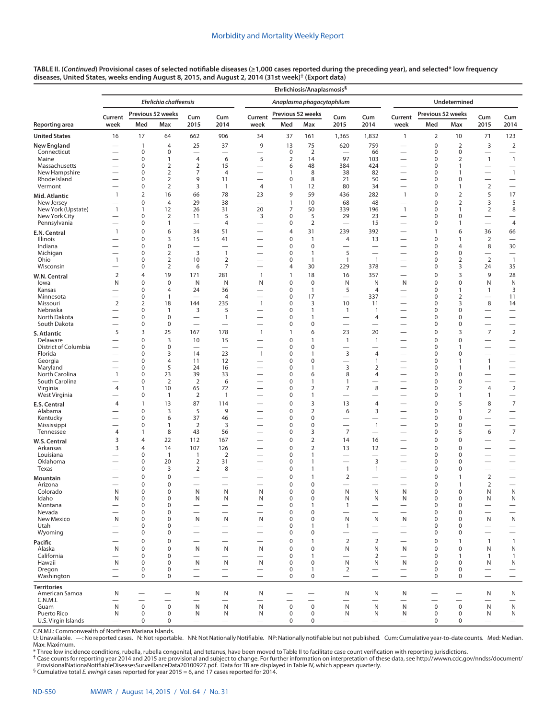| TABLE II. (Continued) Provisional cases of selected notifiable diseases (≥1,000 cases reported during the preceding year), and selected* low frequency |
|--------------------------------------------------------------------------------------------------------------------------------------------------------|
| diseases, United States, weeks ending August 8, 2015, and August 2, 2014 (31st week) <sup>†</sup> (Export data)                                        |

|                                   |                          |                             |                                  |                                |                                          |                                          |                   | Ehrlichiosis/Anaplasmosis <sup>§</sup> |                                            |                                          |                                                      |                            |                                         |                          |                                             |  |
|-----------------------------------|--------------------------|-----------------------------|----------------------------------|--------------------------------|------------------------------------------|------------------------------------------|-------------------|----------------------------------------|--------------------------------------------|------------------------------------------|------------------------------------------------------|----------------------------|-----------------------------------------|--------------------------|---------------------------------------------|--|
|                                   |                          |                             | <b>Ehrlichia chaffeensis</b>     |                                |                                          |                                          |                   | Anaplasma phagocytophilum              |                                            |                                          |                                                      |                            | Undetermined                            |                          |                                             |  |
|                                   | Current                  |                             | Previous 52 weeks                | Cum                            | Cum                                      | Current                                  | Previous 52 weeks |                                        | Cum                                        | Cum                                      | Current                                              | Previous 52 weeks          |                                         | Cum                      | Cum                                         |  |
| Reporting area                    | week                     | Med                         | Max                              | 2015                           | 2014                                     | week                                     | Med               | Max                                    | 2015                                       | 2014                                     | week                                                 | Med                        | Max                                     | 2015                     | 2014                                        |  |
| <b>United States</b>              | 16                       | 17                          | 64                               | 662                            | 906                                      | 34                                       | 37                | 161                                    | 1,365                                      | 1,832                                    | $\mathbf{1}$                                         | $\overline{2}$             | 10                                      | 71                       | 123                                         |  |
| <b>New England</b><br>Connecticut |                          | $\mathbf{1}$<br>0           | $\overline{4}$<br>$\mathbf 0$    | 25<br>$\overline{\phantom{0}}$ | 37<br>$\overline{\phantom{0}}$           | 9<br>$\overline{\phantom{0}}$            | 13<br>0           | 75<br>$\overline{2}$                   | 620                                        | 759<br>66                                | $\overbrace{\phantom{12322111}}$                     | $\pmb{0}$<br>0             | $\overline{2}$<br>0                     | 3                        | $\overline{2}$                              |  |
| Maine                             |                          | $\mathbf 0$                 | $\mathbf{1}$                     | $\overline{4}$                 | 6                                        | 5                                        | $\overline{2}$    | 14                                     | 97                                         | 103                                      | —                                                    | $\mathbf 0$                | 2                                       | $\mathbf{1}$             | $\overline{\phantom{m}}$<br>$\mathbf{1}$    |  |
| Massachusetts                     |                          | 0                           | $\overline{2}$                   | $\overline{2}$                 | 15                                       | $\overline{\phantom{0}}$                 | 6                 | 48                                     | 384                                        | 424                                      | $\overline{\phantom{0}}$                             | 0                          | $\mathbf{1}$                            | $\overline{\phantom{0}}$ | $\overline{\phantom{0}}$                    |  |
| New Hampshire<br>Rhode Island     |                          | $\mathbf 0$<br>$\mathbf 0$  | $\overline{2}$<br>$\overline{2}$ | 7<br>9                         | $\overline{4}$<br>11                     |                                          | $\mathbf{1}$<br>0 | 8<br>8                                 | 38<br>21                                   | 82<br>50                                 | $\overline{\phantom{0}}$                             | 0<br>$\mathbf 0$           | 1<br>0                                  | $\overline{\phantom{0}}$ | $\mathbf{1}$                                |  |
| Vermont                           |                          | $\mathbf 0$                 | $\overline{2}$                   | 3                              | $\mathbf{1}$                             | 4                                        | $\mathbf{1}$      | 12                                     | 80                                         | 34                                       | $\overline{\phantom{0}}$                             | $\mathbf 0$                | $\mathbf{1}$                            | $\overline{2}$           | $\overbrace{\phantom{12322111}}$            |  |
| Mid. Atlantic                     | $\mathbf{1}$             | $\overline{2}$              | 16                               | 66                             | 78                                       | 23                                       | 9                 | 59                                     | 436                                        | 282                                      | $\mathbf{1}$                                         | $\mathbf 0$                | $\overline{2}$                          | 5                        | 17                                          |  |
| New Jersey                        |                          | $\mathbf 0$                 | $\overline{4}$                   | 29                             | 38                                       | $\overline{\phantom{0}}$                 | $\mathbf{1}$      | 10                                     | 68                                         | 48                                       |                                                      | $\mathbf 0$                | 2                                       | 3                        | 5                                           |  |
| New York (Upstate)                | $\mathbf{1}$             | $\mathbf{1}$<br>$\mathbf 0$ | 12                               | 26                             | 31                                       | 20                                       | 7                 | 50                                     | 339                                        | 196                                      | $\overline{1}$                                       | 0<br>$\mathbf 0$           | $\mathbf{1}$                            | $\overline{2}$           | 8                                           |  |
| New York City<br>Pennsylvania     |                          | 0                           | $\overline{2}$<br>1              | 11                             | 5<br>$\overline{4}$                      | 3<br>$\overline{\phantom{0}}$            | 0<br>0            | 5<br>$\overline{2}$                    | 29<br>$\overline{\phantom{0}}$             | 23<br>15                                 | —<br>$\overline{\phantom{0}}$                        | 0                          | 0<br>$\mathbf{1}$                       | $\overline{\phantom{0}}$ | -<br>$\overline{4}$                         |  |
| E.N. Central                      | 1                        | $\mathbf 0$                 | 6                                | 34                             | 51                                       |                                          | 4                 | 31                                     | 239                                        | 392                                      |                                                      | $\overline{1}$             | 6                                       | 36                       | 66                                          |  |
| Illinois                          |                          | 0                           | 3                                | 15                             | 41                                       |                                          | 0                 | 1                                      | 4                                          | 13                                       | $\overline{\phantom{0}}$                             | 0                          | 1                                       | 2                        | $\overbrace{\phantom{12322111}}$            |  |
| Indiana                           |                          | $\mathbf 0$                 | $\mathbf 0$                      | $\overline{\phantom{0}}$       |                                          |                                          | 0                 | $\mathbf 0$                            |                                            |                                          | $\overline{\phantom{0}}$                             | 0                          | 4                                       | 8                        | 30                                          |  |
| Michigan<br>Ohio                  | 1                        | $\mathbf 0$<br>$\mathbf 0$  | $\overline{2}$<br>$\overline{2}$ | $\overline{3}$<br>10           | $\mathbf{1}$<br>$\overline{2}$           |                                          | 0<br>0            | 1<br>1                                 | 5<br>$\mathbf{1}$                          | $\mathbf{1}$                             | $\overline{\phantom{0}}$                             | $\mathbf 0$<br>$\mathbf 0$ | 0<br>$\overline{2}$                     | -<br>$\overline{2}$      | $\overline{1}$                              |  |
| Wisconsin                         |                          | $\mathbf 0$                 | $\overline{2}$                   | 6                              | $\overline{7}$                           |                                          | 4                 | 30                                     | 229                                        | 378                                      | $\overline{\phantom{0}}$                             | $\mathbf 0$                | 3                                       | 24                       | 35                                          |  |
| W.N. Central                      | $\overline{2}$           | 4                           | 19                               | 171                            | 281                                      | $\mathbf{1}$                             | $\mathbf{1}$      | 18                                     | 16                                         | 357                                      |                                                      | $\mathbf 0$                | 3                                       | 9                        | 28                                          |  |
| lowa                              | N                        | 0                           | $\mathbf 0$                      | N                              | N                                        | N                                        | 0                 | $\mathbf 0$                            | N                                          | N                                        | N                                                    | 0                          | 0                                       | N                        | N                                           |  |
| Kansas<br>Minnesota               | $\overline{\phantom{0}}$ | 0<br>$\mathbf 0$            | $\overline{4}$<br>$\mathbf{1}$   | 24                             | 36<br>$\overline{4}$                     |                                          | 0<br>0            | 1<br>17                                | 5                                          | $\overline{4}$<br>337                    | $\overline{\phantom{0}}$                             | $\mathbf 0$<br>$\mathbf 0$ | $\mathbf{1}$<br>2                       | 1                        | 3<br>11                                     |  |
| Missouri                          | $\overline{2}$           | $\overline{2}$              | 18                               | 144                            | 235                                      | $\mathbf{1}$                             | 0                 | 3                                      | 10                                         | 11                                       |                                                      | $\mathbf 0$                | 3                                       | 8                        | 14                                          |  |
| Nebraska                          |                          | $\mathbf 0$                 | $\mathbf{1}$                     | 3                              | 5                                        | $\overline{\phantom{0}}$                 | 0                 | 1                                      | $\mathbf{1}$                               | $\mathbf{1}$                             |                                                      | $\mathbf 0$                | 0                                       | $\overline{\phantom{0}}$ | $\overline{\phantom{m}}$                    |  |
| North Dakota<br>South Dakota      |                          | $\mathbf 0$<br>$\mathbf 0$  | $\mathbf 0$<br>$\boldsymbol{0}$  |                                | $\mathbf{1}$<br>$\overline{\phantom{0}}$ |                                          | 0<br>0            | 1<br>$\mathbf 0$                       |                                            | 4                                        |                                                      | $\mathbf 0$<br>$\mathbf 0$ | 0<br>0                                  | $\overline{\phantom{0}}$ | $\qquad \qquad$<br>$\overline{\phantom{0}}$ |  |
| S. Atlantic                       | 5                        | 3                           | 25                               | 167                            | 178                                      | $\mathbf{1}$                             | $\mathbf{1}$      | 6                                      | 23                                         | 20                                       |                                                      | $\mathbf 0$                | 3                                       | $\overline{7}$           | $\overline{2}$                              |  |
| Delaware                          |                          | $\mathbf 0$                 | 3                                | 10                             | 15                                       |                                          | 0                 | $\mathbf{1}$                           | $\overline{1}$                             | $\mathbf{1}$                             |                                                      | $\pmb{0}$                  | 0                                       |                          | $\overbrace{\phantom{12322111}}$            |  |
| District of Columbia              |                          | $\mathbf 0$                 | $\mathbf 0$                      | $\overline{\phantom{0}}$       | $\overline{\phantom{m}}$                 | $\overline{\phantom{0}}$                 | 0                 | $\mathbf 0$                            |                                            |                                          | $\overline{\phantom{0}}$                             | $\mathbf 0$                | 1                                       | -                        | $\qquad \qquad$                             |  |
| Florida<br>Georgia                |                          | $\mathbf 0$<br>$\mathbf 0$  | 3<br>$\overline{4}$              | 14<br>11                       | 23<br>12                                 | $\mathbf{1}$<br>$\overline{\phantom{0}}$ | 0<br>0            | 1<br>$\mathbf 0$                       | 3<br>$\overline{\phantom{0}}$              | $\overline{4}$<br>$\mathbf{1}$           |                                                      | $\mathbf 0$<br>$\mathbf 0$ | 0<br>1                                  | $\mathbf{1}$             | $\qquad \qquad$<br>$\overline{\phantom{0}}$ |  |
| Maryland                          |                          | $\mathbf 0$                 | 5                                | 24                             | 16                                       |                                          | 0                 | 1                                      | 3                                          | $\overline{2}$                           |                                                      | $\mathbf 0$                | $\mathbf{1}$                            | $\mathbf{1}$             | $\overline{\phantom{0}}$                    |  |
| North Carolina                    | $\overline{1}$           | $\mathbf 0$                 | 23                               | 39                             | 33                                       |                                          | 0                 | 6                                      | 8                                          | $\overline{4}$                           |                                                      | $\mathbf 0$                | 0                                       | —                        | $\qquad \qquad$                             |  |
| South Carolina<br>Virginia        | 4                        | $\mathbf 0$<br>$\mathbf{1}$ | $\overline{2}$<br>10             | $\overline{2}$<br>65           | 6<br>72                                  | $\overline{\phantom{0}}$                 | 0<br>0            | 1<br>$\overline{2}$                    | 1<br>7                                     | 8                                        | $\overline{\phantom{0}}$                             | $\mathbf 0$<br>$\mathbf 0$ | $\mathbf 0$<br>$\overline{2}$           | 4                        | $\qquad \qquad$<br>$\overline{2}$           |  |
| West Virginia                     |                          | 0                           | $\mathbf{1}$                     | $\overline{2}$                 | $\mathbf{1}$                             | —                                        | 0                 | 1                                      | $\overline{\phantom{0}}$                   | —                                        | $\overline{\phantom{0}}$                             | $\mathbf 0$                | $\mathbf{1}$                            | 1                        | $\qquad \qquad -$                           |  |
| <b>E.S. Central</b>               | 4                        | $\mathbf{1}$                | 13                               | 87                             | 114                                      |                                          | 0                 | 3                                      | 13                                         | 4                                        | $\overline{\phantom{0}}$                             | $\mathbf 0$                | 5                                       | 8                        | $\overline{7}$                              |  |
| Alabama                           |                          | $\mathbf 0$                 | 3                                | 5                              | 9                                        |                                          | 0                 | $\overline{2}$                         | 6                                          | 3                                        |                                                      | $\mathbf 0$                | $\mathbf{1}$                            | $\overline{2}$           | $\overline{\phantom{m}}$                    |  |
| Kentucky                          |                          | $\mathbf 0$                 | 6                                | 37                             | 46<br>3                                  |                                          | 0<br>0            | $\mathbf 0$<br>$\mathbf 0$             | $\overline{\phantom{0}}$                   | $\overline{\phantom{0}}$<br>$\mathbf{1}$ | $\overline{\phantom{0}}$                             | $\mathbf 0$                | 0<br>$\mathbf 0$                        |                          | $\qquad \qquad$                             |  |
| Mississippi<br>Tennessee          | 4                        | $\mathbf 0$<br>$\mathbf{1}$ | $\mathbf{1}$<br>8                | 2<br>43                        | 56                                       | —                                        | 0                 | 3                                      | $\overline{\phantom{0}}$<br>$\overline{7}$ |                                          | $\overline{\phantom{0}}$                             | $\mathbf 0$<br>$\mathbf 0$ | 5                                       | 6                        | $\qquad \qquad -$<br>$\overline{7}$         |  |
| W.S. Central                      | 3                        | 4                           | 22                               | 112                            | 167                                      | $\overline{\phantom{0}}$                 | 0                 | $\overline{2}$                         | 14                                         | 16                                       | $\overline{\phantom{0}}$                             | $\mathbf 0$                | 0                                       | —                        | $\qquad \qquad$                             |  |
| Arkansas                          | 3                        | 4                           | 14                               | 107                            | 126                                      |                                          | 0                 | $\overline{2}$                         | 13                                         | 12                                       | $\overline{\phantom{0}}$                             | $\mathbf 0$                | 0                                       | —                        |                                             |  |
| Louisiana                         |                          | $\mathbf 0$                 | $\mathbf{1}$                     | $\mathbf{1}$                   | $\overline{2}$                           |                                          | 0                 | 1                                      |                                            |                                          |                                                      | $\pmb{0}$                  | 0                                       |                          |                                             |  |
| Oklahoma<br>Texas                 |                          | $\mathbf 0$<br>0            | 20<br>3                          | $\overline{2}$<br>2            | 31<br>8                                  |                                          | 0<br>0            | 1<br>1                                 | $\overline{\phantom{0}}$<br>$\mathbf{1}$   | 3<br>1                                   | $\overline{\phantom{0}}$<br>$\overline{\phantom{0}}$ | $\mathbf 0$<br>$\mathbf 0$ | $\mathbf 0$<br>0                        |                          | $\qquad \qquad$                             |  |
| Mountain                          |                          | $\Omega$                    | $\mathbf 0$                      |                                |                                          |                                          | $\mathbf 0$       | 1                                      | $\overline{2}$                             |                                          |                                                      | $\mathbf 0$                | $\mathbf{1}$                            | $\overline{2}$           | $\overline{\phantom{0}}$                    |  |
| Arizona                           | —                        | $\mathbf 0$                 | $\mathbf 0$                      | $\overline{\phantom{0}}$       | $\overline{\phantom{0}}$                 | $\overline{\phantom{0}}$                 | 0                 | 0                                      | $\overline{\phantom{0}}$                   | $\overline{\phantom{0}}$                 | $\overline{\phantom{0}}$                             | $\mathbf 0$                | $\mathbf{1}$                            | $\overline{2}$           | $\overline{\phantom{0}}$                    |  |
| Colorado                          | N                        | 0                           | $\Omega$                         | N                              | N                                        | N                                        | 0                 | 0                                      | N                                          | N                                        | N                                                    | 0                          | 0                                       | N                        | N                                           |  |
| Idaho<br>Montana                  | N                        | $\mathbf 0$<br>$\mathbf 0$  | $\mathbf 0$<br>$\mathbf 0$       | N                              | N                                        | N                                        | $\pmb{0}$<br>0    | $\mathbf 0$<br>1                       | N<br>$\mathbf{1}$                          | Ν                                        | N                                                    | $\mathbf 0$<br>$\mathbf 0$ | $\mathsf 0$<br>0                        | N                        | N<br>$\overline{\phantom{m}}$               |  |
| Nevada                            |                          | $\mathbf 0$                 | $\mathbf 0$                      |                                |                                          |                                          | 0                 | $\mathbf 0$                            | $\overline{\phantom{0}}$                   |                                          |                                                      | $\mathbf 0$                | $\mathbf 0$                             |                          | $\qquad \qquad -$                           |  |
| New Mexico                        | N                        | $\mathbf 0$                 | $\mathbf 0$                      | N                              | N                                        | N                                        | 0                 | $\mathbf 0$                            | $\mathsf{N}$                               | ${\sf N}$                                | N                                                    | $\mathbf 0$                | $\mathbf 0$                             | N                        | $\mathsf{N}$                                |  |
| Utah<br>Wyoming                   | $\overline{\phantom{0}}$ | $\mathbf 0$<br>$\mathbf 0$  | $\mathbf 0$<br>$\mathbf 0$       |                                |                                          |                                          | 0<br>0            | 1<br>$\mathbf 0$                       | $\mathbf{1}$<br>$\overline{\phantom{0}}$   | $\overline{\phantom{0}}$                 | $\qquad \qquad$                                      | $\mathbf 0$<br>$\mathbf 0$ | $\mathbf 0$<br>0                        | $\overline{\phantom{0}}$ | $\qquad \qquad -$<br>$\qquad \qquad -$      |  |
| Pacific                           |                          | $\mathbf 0$                 | $\mathbf 0$                      | $\overline{\phantom{0}}$       | $\overline{\phantom{0}}$                 | $\overline{\phantom{0}}$                 | $\mathbf 0$       | $\mathbf{1}$                           | $\overline{2}$                             | $\mathbf 2$                              | $\overline{\phantom{0}}$                             | $\mathbf 0$                | $\mathbf{1}$                            | $\mathbf{1}$             | $\mathbf{1}$                                |  |
| Alaska                            | N                        | $\mathbf 0$                 | $\mathbf 0$                      | N                              | N                                        | N                                        | 0                 | $\mathbf 0$                            | ${\sf N}$                                  | N                                        | N                                                    | $\mathbf 0$                | $\mathbf 0$                             | N                        | ${\sf N}$                                   |  |
| California                        |                          | $\mathbf 0$                 | $\mathbf 0$                      |                                | $\overline{\phantom{0}}$                 |                                          | 0                 | $\mathbf{1}$                           | $\overbrace{\phantom{123221111}}$          | 2                                        |                                                      | $\mathbf 0$                | $\mathbf{1}$                            | 1                        | $\mathbf{1}$                                |  |
| Hawaii<br>Oregon                  | $\mathsf{N}$             | $\mathbf 0$<br>$\mathbf 0$  | $\mathbf 0$<br>$\mathbf 0$       | N                              | N                                        | N                                        | 0<br>0            | $\mathbf 0$<br>$\mathbf{1}$            | ${\sf N}$<br>$\overline{2}$                | N                                        | N<br>$\qquad \qquad$                                 | $\mathbf 0$<br>$\mathbf 0$ | $\mathbf 0$<br>$\mathbf 0$              | N<br>—                   | N<br>$\qquad \qquad -$                      |  |
| Washington                        | $\overline{\phantom{0}}$ | $\mathbf 0$                 | $\mathbf 0$                      | $\overline{\phantom{0}}$       | $\overline{\phantom{0}}$                 | $\overline{\phantom{0}}$                 | 0                 | 0                                      | $\overbrace{\phantom{12322111}}$           |                                          | $\overline{\phantom{0}}$                             | $\mathbf 0$                | $\mathbf 0$                             | $\overline{\phantom{0}}$ | $\qquad \qquad -$                           |  |
| <b>Territories</b>                |                          |                             |                                  |                                |                                          |                                          |                   |                                        |                                            |                                          |                                                      |                            |                                         |                          |                                             |  |
| American Samoa                    | N                        |                             |                                  | N                              | N                                        | N                                        |                   |                                        | N                                          | N                                        | N                                                    |                            |                                         | N                        | N                                           |  |
| C.N.M.I.                          | N                        | $\boldsymbol{0}$            | $\boldsymbol{0}$                 | N                              | N                                        | N                                        | $\mathbf 0$       | $\pmb{0}$                              | $\overbrace{\phantom{123221111}}$<br>N     |                                          | $\qquad \qquad$<br>N                                 | $\mathbf 0$                | $\overline{\phantom{0}}$<br>$\mathbf 0$ | N                        | $\hspace{0.1mm}-\hspace{0.1mm}$             |  |
| Guam<br>Puerto Rico               | N                        | $\mathbf 0$                 | $\mathbf 0$                      | N                              | N                                        | N                                        | $\mathbf 0$       | 0                                      | N                                          | N<br>N                                   | N                                                    | $\mathbf 0$                | $\mathbf 0$                             | N                        | N<br>N                                      |  |
| U.S. Virgin Islands               |                          | 0                           | 0                                | $\overline{\phantom{0}}$       | $\overline{\phantom{0}}$                 | $\overbrace{\phantom{1232211}}$          | 0                 | 0                                      | $\overbrace{\phantom{12322111}}$           |                                          | $\overline{\phantom{0}}$                             | 0                          | $\mathbf 0$                             | $\overline{\phantom{0}}$ | $\qquad \qquad -$                           |  |

C.N.M.I.: Commonwealth of Northern Mariana Islands.<br>U: Unavailable. —:No reported cases. N:Not reportable. NN:Not Nationally Notifiable. NP:Nationally notifiable but not published. Cum:Cumulative year-to-date counts. Med: Max: Maximum.<br>\* Three low incidence conditions, rubella, rubella congenital, and tetanus, have been moved to Table II to facilitate case count verification with reporting jurisdictions.

† Case counts for reporting year 2014 and 2015 are provisional and subject to change. For further information on interpretation of these data, see [http://wwwn.cdc.gov/nndss/document/](http://wwwn.cdc.gov/nndss/document/ProvisionalNationaNotifiableDiseasesSurveillanceData20100927.pdf) [ProvisionalNationaNotifiableDiseasesSurveillanceData20100927.pdf](http://wwwn.cdc.gov/nndss/document/ProvisionalNationaNotifiableDiseasesSurveillanceData20100927.pdf). Data for TB are displayed in Table IV, which appears quarterly.<br><sup>§</sup> Cumulative total *E. ewingii* cases reported for year 2015 = 6, and 17 cases reported fo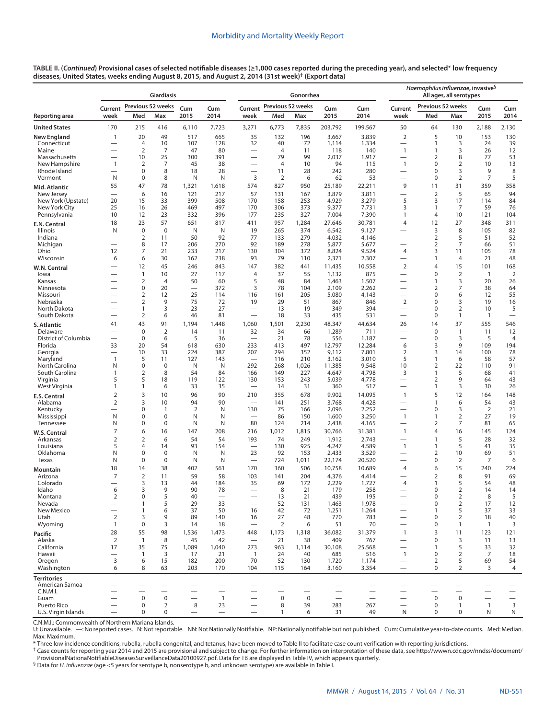|                                     |                                |                                | Giardiasis                    |                               |                                        |                                                                      |                      | Gonorrhea                |                                  |                  | Haemophilus influenzae, invasive <sup>§</sup><br>All ages, all serotypes |                                  |                     |                          |                                  |  |
|-------------------------------------|--------------------------------|--------------------------------|-------------------------------|-------------------------------|----------------------------------------|----------------------------------------------------------------------|----------------------|--------------------------|----------------------------------|------------------|--------------------------------------------------------------------------|----------------------------------|---------------------|--------------------------|----------------------------------|--|
|                                     | Current                        |                                | Previous 52 weeks             | Cum                           | Cum                                    | Current                                                              | Previous 52 weeks    |                          | Cum                              | Cum              | Previous 52 weeks<br>Current                                             |                                  |                     | Cum<br>Cum               |                                  |  |
| Reporting area                      | week                           | Med                            | Max                           | 2015                          | 2014                                   | week                                                                 | Med                  | Max                      | 2015                             | 2014             | week                                                                     | Med                              | Max                 | 2015                     | 2014                             |  |
| <b>United States</b>                | 170                            | 215                            | 416                           | 6,110                         | 7,723                                  | 3,271                                                                | 6,773                | 7,835                    | 203,792                          | 199,567          | 50                                                                       | 64                               | 130                 | 2,188                    | 2,130                            |  |
| <b>New England</b>                  | 1                              | 20                             | 49                            | 517                           | 665                                    | 35                                                                   | 132                  | 196                      | 3,667                            | 3,839            | $\overline{2}$                                                           | 5                                | 10                  | 153                      | 130                              |  |
| Connecticut<br>Maine                | $\overline{\phantom{0}}$       | $\overline{4}$<br>2            | 10<br>$\overline{7}$          | 107<br>47                     | 128<br>80                              | 32<br>$\qquad \qquad$                                                | 40<br>$\overline{4}$ | 72<br>11                 | 1,114<br>118                     | 1,334<br>140     | $\overline{\phantom{0}}$<br>$\mathbf{1}$                                 | $\mathbf{1}$<br>1                | 3<br>3              | 24<br>26                 | 39<br>12                         |  |
| Massachusetts                       |                                | 10                             | 25                            | 300                           | 391                                    | $\overline{\phantom{0}}$                                             | 79                   | 99                       | 2,037                            | 1,917            | $\overline{\phantom{0}}$                                                 | $\overline{2}$                   | 8                   | 77                       | 53                               |  |
| New Hampshire                       | 1                              | $\overline{2}$                 | 7                             | 45                            | 38                                     |                                                                      | $\overline{4}$       | 10                       | 94                               | 115              | $\mathbf{1}$                                                             | $\mathbf 0$                      | $\overline{2}$      | 10                       | 13                               |  |
| Rhode Island<br>Vermont             | N                              | $\mathbf 0$<br>$\mathbf 0$     | 8<br>8                        | 18<br>N                       | 28<br>N                                | $\overline{\phantom{0}}$<br>3                                        | 11<br>$\overline{2}$ | 28<br>6                  | 242<br>62                        | 280<br>53        | $\overline{\phantom{0}}$                                                 | $\mathbf 0$<br>$\mathbf 0$       | 3<br>$\overline{2}$ | 9<br>$\overline{7}$      | 8<br>5                           |  |
| Mid. Atlantic                       | 55                             | 47                             | 78                            | 1,321                         | 1,618                                  | 574                                                                  | 827                  | 950                      | 25,189                           | 22,211           | 9                                                                        | 11                               | 31                  | 359                      | 358                              |  |
| New Jersey                          |                                | 6                              | 16                            | 121                           | 217                                    | 57                                                                   | 131                  | 167                      | 3,879                            | 3,811            | —                                                                        | $\overline{2}$                   | 5                   | 65                       | 94                               |  |
| New York (Upstate)<br>New York City | 20<br>25                       | 15<br>16                       | 33<br>26                      | 399<br>469                    | 508<br>497                             | 170<br>170                                                           | 158<br>306           | 253<br>373               | 4,929<br>9,377                   | 3,279<br>7,731   | 5<br>3                                                                   | 3<br>$\mathbf{1}$                | 17<br>7             | 114<br>59                | 84<br>76                         |  |
| Pennsylvania                        | 10                             | 12                             | 23                            | 332                           | 396                                    | 177                                                                  | 235                  | 327                      | 7,004                            | 7,390            | 1                                                                        | 4                                | 10                  | 121                      | 104                              |  |
| <b>E.N. Central</b>                 | 18                             | 23                             | 57                            | 651                           | 817                                    | 411                                                                  | 957                  | 1,284                    | 27,646                           | 30,781           | $\overline{4}$                                                           | 12                               | 27                  | 348                      | 311                              |  |
| Illinois                            | N                              | $\mathbf 0$                    | $\mathbf 0$                   | N                             | N                                      | 19                                                                   | 265                  | 374                      | 6,542                            | 9,127            | —                                                                        | 3                                | 8                   | 105                      | 82                               |  |
| Indiana<br>Michigan                 | $\overline{\phantom{0}}$       | $\overline{2}$<br>8            | 11<br>17                      | 50<br>206                     | 92<br>270                              | 77<br>92                                                             | 133<br>189           | 279<br>278               | 4,032<br>5,877                   | 4,146<br>5,677   | $\overline{\phantom{0}}$<br>$\overline{\phantom{0}}$                     | $\overline{2}$<br>$\overline{2}$ | 5<br>7              | 51<br>66                 | 52<br>51                         |  |
| Ohio                                | 12                             | $\overline{7}$                 | 21                            | 233                           | 217                                    | 130                                                                  | 304                  | 372                      | 8,824                            | 9,524            | $\overline{4}$                                                           | 3                                | 11                  | 105                      | 78                               |  |
| Wisconsin                           | 6                              | 6                              | 30                            | 162                           | 238                                    | 93                                                                   | 79                   | 110                      | 2,371                            | 2,307            | —                                                                        | $\mathbf{1}$                     | 4                   | 21                       | 48                               |  |
| W.N. Central                        |                                | 12                             | 45                            | 246                           | 843                                    | 147                                                                  | 382                  | 441                      | 11,435                           | 10,558           | $\overline{2}$                                                           | $\overline{4}$                   | 15                  | 101                      | 168                              |  |
| lowa<br>Kansas                      | $\overline{\phantom{0}}$       | $\mathbf{1}$<br>$\overline{2}$ | 10<br>$\overline{4}$          | 27<br>50                      | 117<br>60                              | 4<br>5                                                               | 37<br>48             | 55<br>84                 | 1,132<br>1,463                   | 875<br>1,507     | $\overline{\phantom{0}}$                                                 | $\mathbf 0$<br>1                 | $\overline{2}$<br>3 | $\overline{1}$<br>20     | $\overline{2}$<br>26             |  |
| Minnesota                           |                                | $\mathbf 0$                    | 20                            |                               | 372                                    | 3                                                                    | 78                   | 104                      | 2,109                            | 2,262            | $\overline{\phantom{0}}$                                                 | 2                                | $\overline{7}$      | 38                       | 64                               |  |
| Missouri                            |                                | $\overline{2}$                 | 12                            | 25                            | 114                                    | 116                                                                  | 161                  | 205                      | 5,080                            | 4,143            | —                                                                        | $\mathbf 0$                      | 6                   | 12                       | 55                               |  |
| Nebraska<br>North Dakota            |                                | 2<br>1                         | 9<br>3                        | 75<br>23                      | 72<br>27                               | 19<br>$\overline{\phantom{0}}$                                       | 29<br>13             | 51<br>19                 | 867<br>349                       | 846<br>394       | $\overline{2}$<br>$\overline{\phantom{0}}$                               | $\mathbf 0$<br>$\mathbf 0$       | 3<br>$\overline{2}$ | 19<br>10                 | 16<br>5                          |  |
| South Dakota                        |                                | 2                              | 6                             | 46                            | 81                                     | $\overbrace{\phantom{1232211}}$                                      | 18                   | 33                       | 435                              | 531              | $\overline{\phantom{0}}$                                                 | $\mathbf 0$                      | $\mathbf{1}$        | $\overline{1}$           | $\overbrace{\phantom{12322111}}$ |  |
| S. Atlantic                         | 41                             | 43                             | 91                            | 1,194                         | 1,448                                  | 1,060                                                                | 1,501                | 2,230                    | 48,347                           | 44,634           | 26                                                                       | 14                               | 37                  | 555                      | 546                              |  |
| Delaware<br>District of Columbia    |                                | $\mathbf 0$<br>$\mathbf 0$     | $\mathbf 2$<br>6              | 14<br>5                       | 11<br>36                               | 32<br>$\overline{\phantom{0}}$                                       | 34<br>21             | 66<br>78                 | 1,289<br>556                     | 711<br>1,187     | $\overline{\phantom{0}}$<br>-                                            | $\pmb{0}$<br>$\mathbf 0$         | $\mathbf{1}$<br>3   | 11<br>5                  | 12<br>4                          |  |
| Florida                             | 33                             | 20                             | 54                            | 618                           | 630                                    | 233                                                                  | 413                  | 497                      | 12,797                           | 12,284           | 6                                                                        | 3                                | 9                   | 109                      | 194                              |  |
| Georgia                             | $\overline{\phantom{0}}$       | 10                             | 33                            | 224                           | 387                                    | 207                                                                  | 294                  | 352                      | 9,112                            | 7,801            | 2                                                                        | 3                                | 14                  | 100                      | 78                               |  |
| Maryland<br>North Carolina          | $\mathbf{1}$<br>N              | 5<br>$\mathbf 0$               | 11<br>$\mathbf 0$             | 127<br>N                      | 143<br>N                               | 292                                                                  | 116<br>268           | 210<br>1,026             | 3,162<br>11,385                  | 3,010<br>9,548   | 5<br>10                                                                  | $\mathbf{1}$<br>$\overline{2}$   | 6<br>22             | 58<br>110                | 57<br>91                         |  |
| South Carolina                      | 1                              | 2                              | 8                             | 54                            | 84                                     | 166                                                                  | 149                  | 227                      | 4,647                            | 4,798            | 3                                                                        | $\mathbf{1}$                     | 5                   | 68                       | 41                               |  |
| Virginia                            | 5                              | 5                              | 18                            | 119                           | 122                                    | 130                                                                  | 153                  | 243                      | 5,039                            | 4,778            |                                                                          | $\overline{2}$                   | 9                   | 64                       | 43                               |  |
| West Virginia                       | 1                              | 1                              | 6                             | 33                            | 35                                     |                                                                      | 14                   | 31                       | 360                              | 517              | $\overline{\phantom{0}}$                                                 | $\mathbf{1}$                     | 3                   | 30                       | 26                               |  |
| E.S. Central<br>Alabama             | 2<br>2                         | 3<br>3                         | 10<br>10                      | 96<br>94                      | 90<br>90                               | 210<br>$\overline{\phantom{0}}$                                      | 355<br>141           | 678<br>251               | 9,902<br>3,768                   | 14,095<br>4,428  | $\mathbf{1}$<br>$\overline{\phantom{0}}$                                 | 5<br>$\mathbf{1}$                | 12<br>6             | 164<br>54                | 148<br>43                        |  |
| Kentucky                            |                                | 0                              | $\mathbf{1}$                  | 2                             | N                                      | 130                                                                  | 75                   | 166                      | 2,096                            | 2,252            |                                                                          | $\mathbf 0$                      | 3                   | $\overline{2}$           | 21                               |  |
| Mississippi                         | N                              | 0                              | 0                             | N                             | N                                      | $\overline{\phantom{0}}$                                             | 86                   | 150                      | 1,600                            | 3,250            | $\mathbf{1}$                                                             | $\mathbf{1}$                     | $\overline{2}$      | 27                       | 19                               |  |
| Tennessee                           | N<br>7                         | 0<br>6                         | 0<br>16                       | N<br>147                      | N<br>208                               | 80<br>216                                                            | 124<br>1,012         | 214<br>1,815             | 2,438<br>30,766                  | 4,165<br>31,381  | $\overline{\phantom{0}}$<br>$\mathbf{1}$                                 | $\overline{2}$<br>$\overline{4}$ | 7<br>16             | 81<br>145                | 65<br>124                        |  |
| W.S. Central<br>Arkansas            | 2                              | $\overline{2}$                 | 6                             | 54                            | 54                                     | 193                                                                  | 74                   | 249                      | 1,912                            | 2,743            |                                                                          | $\mathbf{1}$                     | 5                   | 28                       | 32                               |  |
| Louisiana                           | 5                              | 4                              | 14                            | 93                            | 154                                    |                                                                      | 130                  | 925                      | 4,247                            | 4,589            | $\mathbf{1}$                                                             | $\mathbf{1}$                     | 5                   | 41                       | 35                               |  |
| Oklahoma                            | N                              | $\mathbf 0$                    | $\mathbf 0$                   | N                             | N                                      | 23                                                                   | 92                   | 153                      | 2,433                            | 3,529            | —                                                                        | $\overline{2}$                   | 10                  | 69                       | 51                               |  |
| Texas                               | N<br>18                        | 0<br>14                        | 0<br>38                       | N<br>402                      | N<br>561                               | $\overline{\phantom{m}}$<br>170                                      | 724<br>360           | 1,011<br>506             | 22,174<br>10,758                 | 20,520<br>10,689 | —<br>$\overline{4}$                                                      | 0<br>6                           | 2<br>15             | 7<br>240                 | 6<br>224                         |  |
| Mountain<br>Arizona                 | 7                              | 2                              | 11                            | 59                            | 58                                     | 103                                                                  | 141                  | 204                      | 4,376                            | 4,414            |                                                                          | $\overline{2}$                   | 8                   | 91                       | 69                               |  |
| Colorado                            |                                | 3                              | 13                            | 44                            | 184                                    | 35                                                                   | 69                   | 172                      | 2,229                            | 1,727            | $\overline{4}$                                                           | $\mathbf{1}$                     | 5                   | 54                       | 48                               |  |
| Idaho<br>Montana                    | 6<br>$\mathbf 2$               | 3<br>$\mathbf 0$               | 9<br>5                        | 90<br>40                      | 78                                     |                                                                      | 8<br>13              | 21<br>21                 | 179<br>439                       | 258<br>195       |                                                                          | 0<br>$\mathbf 0$                 | 2<br>$\overline{2}$ | 14<br>8                  | 14<br>5                          |  |
| Nevada                              | $\overline{\phantom{0}}$       | $\mathbf{1}$                   | 5                             | 29                            | 33                                     | $\overbrace{\phantom{1232211}}$                                      | 52                   | 131                      | 1,463                            | 1,978            | $\overline{\phantom{0}}$                                                 | 0                                | $\overline{2}$      | 17                       | 12                               |  |
| New Mexico                          | $\overline{\phantom{0}}$       | $\mathbf{1}$                   | 6                             | 37                            | 50                                     | 16                                                                   | 42                   | 72                       | 1,251                            | 1,264            | $\overline{\phantom{0}}$                                                 | $\mathbf{1}$                     | 5                   | 37                       | 33                               |  |
| Utah<br>Wyoming                     | 2<br>$\mathbf{1}$              | 3<br>$\pmb{0}$                 | 9<br>3                        | 89<br>14                      | 140<br>18                              | 16<br>$\overbrace{\phantom{123221111}}$                              | 27<br>2              | 48<br>6                  | 770<br>51                        | 783<br>70        | $\overline{\phantom{0}}$                                                 | 0<br>0                           | 2<br>$\mathbf{1}$   | 18<br>$\overline{1}$     | 40<br>$\overline{3}$             |  |
| Pacific                             | 28                             | 55                             | 98                            | 1,536                         | 1,473                                  | 448                                                                  | 1,173                | 1,318                    | 36,082                           | 31,379           | $\overline{1}$                                                           | 3                                | 11                  | 123                      | 121                              |  |
| Alaska                              | 2                              | $\overline{1}$                 | 8                             | 45                            | 42                                     | $\overline{\phantom{m}}$                                             | 21                   | 38                       | 409                              | 767              | $\overline{\phantom{0}}$                                                 | $\pmb{0}$                        | 3                   | 11                       | 13                               |  |
| California<br>Hawaii                | 17<br>$\overline{\phantom{0}}$ | 35<br>$\mathbf{1}$             | 75<br>3                       | 1,089<br>17                   | 1,040<br>21                            | 273<br>$\overline{1}$                                                | 963<br>24            | 1,114<br>40              | 30,108                           | 25,568           | $\overline{1}$                                                           | $\mathbf{1}$<br>$\mathbf 0$      | 5<br>$\overline{2}$ | 33<br>7                  | 32<br>18                         |  |
| Oregon                              | 3                              | 6                              | 15                            | 182                           | 200                                    | 70                                                                   | 52                   | 130                      | 685<br>1,720                     | 516<br>1,174     | $\qquad \qquad -$                                                        | 2                                | 5                   | 69                       | 54                               |  |
| Washington                          | 6                              | 8                              | 63                            | 203                           | 170                                    | 104                                                                  | 115                  | 164                      | 3,160                            | 3,354            | $\qquad \qquad -$                                                        | 0                                | 2                   | 3                        | $\overline{4}$                   |  |
| <b>Territories</b>                  |                                |                                |                               |                               |                                        |                                                                      |                      |                          |                                  |                  |                                                                          |                                  |                     |                          |                                  |  |
| American Samoa<br>C.N.M.I.          |                                |                                | $\overline{\phantom{0}}$      | $\overline{\phantom{0}}$      |                                        | $\overbrace{\phantom{123221111}}$                                    |                      | $\overline{\phantom{0}}$ |                                  |                  |                                                                          | —                                |                     | $\overline{\phantom{0}}$ | $\overline{\phantom{m}}$         |  |
| Guam                                |                                | $\mathbf 0$                    | $\pmb{0}$                     |                               | $\overline{1}$                         | $\overbrace{\phantom{123221111}}$                                    | $\pmb{0}$            | $\mathbf 0$              | $\overbrace{\phantom{12322111}}$ |                  |                                                                          | $\pmb{0}$                        | $\mathbf 0$         | $\overline{\phantom{0}}$ | $\qquad \qquad$                  |  |
| Puerto Rico<br>U.S. Virgin Islands  | $\overline{\phantom{0}}$       | $\mathbf 0$<br>0               | $\overline{2}$<br>$\mathbf 0$ | 8<br>$\overline{\phantom{0}}$ | 23<br>$\overbrace{\phantom{12322111}}$ | $\overbrace{\phantom{123221111}}$<br>$\overbrace{\phantom{1232211}}$ | 8<br>$\mathbf{1}$    | 39<br>6                  | 283<br>31                        | 267<br>49        | N                                                                        | 0<br>0                           | 1<br>$\mathsf 0$    | $\mathbf{1}$<br>N        | 3<br>N                           |  |
|                                     |                                |                                |                               |                               |                                        |                                                                      |                      |                          |                                  |                  |                                                                          |                                  |                     |                          |                                  |  |

C.N.M.I.: Commonwealth of Northern Mariana Islands.

U: Unavailable. —: No reported cases. N: Not reportable. NN: Not Nationally Notifiable. NP: Nationally notifiable but not published. Cum: Cumulative year-to-date counts. Med: Median. Max: Maximum.

\* Three low incidence conditions, rubella, rubella congenital, and tetanus, have been moved to Table II to facilitate case count verification with reporting jurisdictions.

† Case counts for reporting year 2014 and 2015 are provisional and subject to change. For further information on interpretation of these data, see [http://wwwn.cdc.gov/nndss/document/](http://wwwn.cdc.gov/nndss/document/ProvisionalNationaNotifiableDiseasesSurveillanceData20100927.pdf) [ProvisionalNationaNotifiableDiseasesSurveillanceData20100927.pdf](http://wwwn.cdc.gov/nndss/document/ProvisionalNationaNotifiableDiseasesSurveillanceData20100927.pdf). Data for TB are displayed in Table IV, which appears quarterly.<br><sup>§</sup> Data for *H. influenzae* (age <5 years for serotype b, nonserotype b, and unknown seroty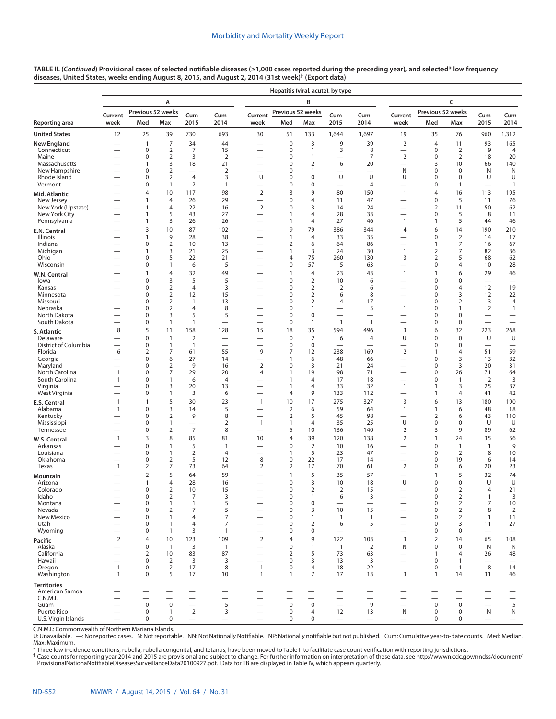|                               |                          |                                    |                                  |                                  |                                      |                                                      | Hepatitis (viral, acute), by type |                                  |                                          |                                                      |                               |                                 |                                  |                                                      |                          |  |
|-------------------------------|--------------------------|------------------------------------|----------------------------------|----------------------------------|--------------------------------------|------------------------------------------------------|-----------------------------------|----------------------------------|------------------------------------------|------------------------------------------------------|-------------------------------|---------------------------------|----------------------------------|------------------------------------------------------|--------------------------|--|
|                               |                          |                                    | А                                |                                  |                                      |                                                      |                                   | B                                |                                          |                                                      | c                             |                                 |                                  |                                                      |                          |  |
|                               | Current                  |                                    | Previous 52 weeks                | Cum                              | Cum                                  | Current                                              | Previous 52 weeks                 |                                  | Cum                                      | Cum                                                  | Current                       | Previous 52 weeks<br>Cum<br>Cum |                                  |                                                      |                          |  |
| Reporting area                | week                     | Med                                | Max                              | 2015                             | 2014                                 | week                                                 | Med                               | Max                              | 2015                                     | 2014                                                 | week                          | Med                             | Max                              | 2015                                                 | 2014                     |  |
| <b>United States</b>          | 12                       | 25                                 | 39                               | 730                              | 693                                  | 30                                                   | 51                                | 133                              | 1,644                                    | 1,697                                                | 19                            | 35                              | 76                               | 960                                                  | 1,312                    |  |
| New England<br>Connecticut    |                          | $\mathbf{1}$<br>$\mathbf 0$        | 7<br>$\overline{2}$              | 34<br>7                          | 44                                   |                                                      | 0<br>0                            | 3<br>1                           | 9<br>3                                   | 39<br>8                                              | 2<br>$\overline{\phantom{0}}$ | 4<br>0                          | 11<br>$\overline{2}$             | 93<br>9                                              | 165<br>4                 |  |
| Maine                         |                          | $\mathbf 0$                        | $\overline{2}$                   | 3                                | 15<br>$\overline{2}$                 | $\overline{\phantom{0}}$                             | 0                                 | 1                                | $\overline{\phantom{0}}$                 | 7                                                    | $\mathbf 2$                   | 0                               | $\overline{2}$                   | 18                                                   | 20                       |  |
| Massachusetts                 |                          | $\mathbf{1}$                       | 3                                | 18                               | 21                                   | $\overline{\phantom{0}}$                             | 0                                 | $\overline{2}$                   | 6                                        | 20                                                   | $\overline{\phantom{0}}$      | 3                               | 10                               | 66                                                   | 140                      |  |
| New Hampshire                 |                          | 0                                  | $\overline{2}$                   |                                  | $\overline{2}$                       |                                                      | 0                                 | 1                                | U                                        | U                                                    | N                             | 0                               | 0                                | N                                                    | N                        |  |
| Rhode Island<br>Vermont       |                          | 0<br>0                             | $\overline{2}$<br>1              | $\overline{4}$<br>$\overline{2}$ | 3<br>$\mathbf{1}$                    | U<br>$\overline{\phantom{0}}$                        | 0<br>0                            | $\mathbf 0$<br>0                 | $\overline{\phantom{0}}$                 | $\overline{4}$                                       | U<br>—                        | 0<br>0                          | 0<br>$\mathbf{1}$                | U                                                    | U<br>$\mathbf{1}$        |  |
| Mid. Atlantic                 |                          | $\overline{4}$                     | 10                               | 117                              | 98                                   | $\overline{2}$                                       | 3                                 | 9                                | 80                                       | 150                                                  | $\mathbf{1}$                  | $\overline{4}$                  | 16                               | 113                                                  | 195                      |  |
| New Jersey                    |                          | $\mathbf{1}$                       | 4                                | 26                               | 29                                   |                                                      | 0                                 | 4                                | 11                                       | 47                                                   |                               | 0                               | 5                                | 11                                                   | 76                       |  |
| New York (Upstate)            |                          | $\mathbf{1}$                       | 4                                | 22                               | 16                                   | $\mathbf 2$                                          | $\Omega$                          | 3                                | 14                                       | 24                                                   | $\overline{\phantom{0}}$      | 2                               | 11                               | 50                                                   | 62                       |  |
| New York City<br>Pennsylvania |                          | $\mathbf{1}$<br>$\mathbf{1}$       | 5<br>3                           | 43<br>26                         | 27<br>26                             | $\overline{\phantom{0}}$<br>$\overline{\phantom{0}}$ | $\mathbf{1}$<br>1                 | 4<br>4                           | 28<br>27                                 | 33<br>46                                             | $\mathbf{1}$                  | 0<br>1                          | 5<br>5                           | 8<br>44                                              | 11<br>46                 |  |
| E.N. Central                  |                          | 3                                  | 10                               | 87                               | 102                                  | $\overline{\phantom{0}}$                             | 9                                 | 79                               | 386                                      | 344                                                  | $\overline{4}$                | 6                               | 14                               | 190                                                  | 210                      |  |
| Illinois                      |                          | $\mathbf{1}$                       | 9                                | 28                               | 38                                   |                                                      | $\mathbf{1}$                      | $\overline{4}$                   | 33                                       | 35                                                   |                               | 0                               | $\overline{2}$                   | 14                                                   | 17                       |  |
| Indiana                       |                          | 0                                  | $\overline{2}$                   | 10                               | 13                                   | $\overline{\phantom{0}}$                             | 2<br>$\mathbf{1}$                 | 6                                | 64                                       | 86                                                   | —                             | 1                               | 7                                | 16                                                   | 67                       |  |
| Michigan<br>Ohio              |                          | $\mathbf{1}$<br>0                  | 3<br>5                           | 21<br>22                         | 25<br>21                             | $\overline{\phantom{a}}$                             | 4                                 | 3<br>75                          | 24<br>260                                | 30<br>130                                            | $\overline{1}$<br>3           | 2<br>2                          | 7<br>5                           | 82<br>68                                             | 36<br>62                 |  |
| Wisconsin                     |                          | 0                                  | 1                                | 6                                | 5                                    | $\overline{\phantom{0}}$                             | 0                                 | 57                               | 5                                        | 63                                                   |                               | 0                               | 4                                | 10                                                   | 28                       |  |
| W.N. Central                  |                          | $\mathbf{1}$                       | 4                                | 32                               | 49                                   |                                                      | $\mathbf{1}$                      | $\overline{4}$                   | 23                                       | 43                                                   | $\overline{1}$                | 1                               | 6                                | 29                                                   | 46                       |  |
| lowa                          |                          | $\mathbf 0$                        | 3                                | 5                                | 5                                    |                                                      | 0                                 | $\overline{2}$                   | 10                                       | 6                                                    |                               | 0                               | 0                                |                                                      | $\overline{\phantom{0}}$ |  |
| Kansas<br>Minnesota           |                          | 0<br>0                             | $\overline{2}$<br>$\overline{2}$ | 4<br>12                          | 3<br>15                              | -<br>$\overline{\phantom{0}}$                        | 0<br>0                            | $\overline{2}$<br>$\overline{2}$ | 2<br>6                                   | 6<br>8                                               | —                             | 0<br>0                          | 4<br>3                           | 12<br>12                                             | 19<br>22                 |  |
| Missouri                      |                          | 0                                  | $\overline{2}$                   | 1                                | 13                                   | $\overline{\phantom{a}}$                             | 0                                 | $\overline{2}$                   | 4                                        | 17                                                   | $\overline{\phantom{0}}$      | 0                               | 2                                | 3                                                    | 4                        |  |
| Nebraska                      |                          | 0                                  | $\overline{2}$                   | 4                                | 8                                    | $\overline{\phantom{0}}$                             | 0                                 | 1                                | $\overline{\phantom{0}}$                 | 5                                                    | $\mathbf{1}$                  | 0                               | $\mathbf{1}$                     | 2                                                    | $\mathbf{1}$             |  |
| North Dakota<br>South Dakota  |                          | 0<br>0                             | 3<br>$\mathbf{1}$                | 5<br>1                           | 5<br>$\overline{\phantom{0}}$        | $\overline{\phantom{0}}$<br>$\overline{\phantom{0}}$ | 0<br>0                            | $\mathbf 0$<br>1                 | $\overline{\phantom{0}}$<br>$\mathbf{1}$ | $\mathbf{1}$                                         |                               | 0<br>0                          | 0<br>0                           | $\overline{\phantom{0}}$<br>$\overline{\phantom{0}}$ |                          |  |
| S. Atlantic                   | 8                        | 5                                  | 11                               | 158                              | 128                                  | 15                                                   | 18                                | 35                               | 594                                      | 496                                                  | 3                             | 6                               | 32                               | 223                                                  | 268                      |  |
| Delaware                      |                          | $\mathbf 0$                        | $\mathbf{1}$                     | $\overline{2}$                   | $\overline{\phantom{0}}$             | $\overline{\phantom{0}}$                             | 0                                 | $\overline{2}$                   | 6                                        | $\overline{4}$                                       | U                             | 0                               | 0                                | U                                                    | U                        |  |
| District of Columbia          |                          | 0                                  | $\mathbf{1}$                     | 1                                | $\overline{\phantom{0}}$             |                                                      | 0                                 | $\mathbf 0$                      |                                          |                                                      |                               | 0                               | 0                                |                                                      |                          |  |
| Florida<br>Georgia            | 6                        | $\overline{2}$<br>0                | 7<br>6                           | 61<br>27                         | 55<br>14                             | 9<br>$\overline{\phantom{0}}$                        | 7<br>1                            | 12<br>6                          | 238<br>48                                | 169<br>66                                            | $\overline{2}$<br>—           | 1<br>0                          | $\overline{4}$<br>3              | 51<br>13                                             | 59<br>32                 |  |
| Maryland                      |                          | $\mathbf 0$                        | $\overline{2}$                   | 9                                | 16                                   | $\overline{2}$                                       | $\mathbf 0$                       | 3                                | 21                                       | 24                                                   | $\overline{\phantom{0}}$      | 0                               | 3                                | 20                                                   | 31                       |  |
| North Carolina                | $\mathbf{1}$             | $\mathbf 0$                        | 7                                | 29                               | 20                                   | 4                                                    | 1                                 | 19                               | 98                                       | 71                                                   |                               | 0                               | 26                               | 71                                                   | 64                       |  |
| South Carolina<br>Virginia    | $\mathbf{1}$             | 0<br>0                             | 1<br>3                           | 6<br>20                          | $\overline{4}$<br>13                 |                                                      | 1<br>1                            | $\overline{4}$<br>$\overline{4}$ | 17<br>33                                 | 18<br>32                                             | -<br>$\mathbf{1}$             | 0<br>1                          | $\mathbf{1}$<br>3                | 2<br>25                                              | 3<br>37                  |  |
| West Virginia                 |                          | $\mathbf 0$                        | 1                                | 3                                | 6                                    | $\overline{\phantom{0}}$                             | 4                                 | 9                                | 133                                      | 112                                                  |                               | 1                               | 4                                | 41                                                   | 42                       |  |
| E.S. Central                  | $\overline{1}$           | $\mathbf{1}$                       | 5                                | 30                               | 23                                   | $\mathbf{1}$                                         | 10                                | 17                               | 275                                      | 327                                                  | 3                             | 6                               | 13                               | 180                                                  | 190                      |  |
| Alabama                       | $\mathbf{1}$             | $\mathbf 0$                        | 3                                | 14                               | 5                                    | $\overline{\phantom{0}}$                             | $\overline{2}$                    | 6                                | 59                                       | 64                                                   | $\mathbf{1}$                  | $\mathbf{1}$                    | 6                                | 48                                                   | 18                       |  |
| Kentucky<br>Mississippi       |                          | $\mathbf 0$<br>0                   | $\overline{2}$<br>1              | 9<br>$\overline{\phantom{0}}$    | 8<br>$\overline{2}$                  | $\mathbf{1}$                                         | $\overline{2}$<br>1               | 5<br>$\overline{4}$              | 45<br>35                                 | 98<br>25                                             | U                             | 2<br>0                          | 6<br>0                           | 43<br>U                                              | 110<br>U                 |  |
| Tennessee                     |                          | $\mathbf 0$                        | $\overline{2}$                   | $\overline{7}$                   | 8                                    | $\overline{\phantom{0}}$                             | 5                                 | 10                               | 136                                      | 140                                                  | $\overline{2}$                | 3                               | 9                                | 89                                                   | 62                       |  |
| W.S. Central                  | $\mathbf{1}$             | 3                                  | 8                                | 85                               | 81                                   | 10                                                   | 4                                 | 39                               | 120                                      | 138                                                  | $\overline{2}$                | 1                               | 24                               | 35                                                   | 56                       |  |
| Arkansas                      |                          | $\mathbf 0$                        | $\mathbf{1}$                     | 5                                | $\mathbf{1}$                         |                                                      | $\mathbf 0$                       | $\overline{2}$                   | 10                                       | 16                                                   |                               | $\mathbf 0$                     | $\mathbf{1}$                     | $\overline{1}$                                       | 9                        |  |
| Louisiana<br>Oklahoma         |                          | $\mathbf 0$<br>$\boldsymbol{0}$    | 1<br>$\overline{2}$              | $\overline{2}$<br>5              | $\overline{4}$<br>12                 | 8                                                    | 1<br>0                            | 5<br>22                          | 23<br>17                                 | 47<br>14                                             | $\overline{\phantom{0}}$      | 0<br>0                          | $\overline{2}$<br>19             | 8<br>6                                               | 10<br>14                 |  |
| Texas                         | $\mathbf{1}$             | 2                                  | 7                                | 73                               | 64                                   | 2                                                    | 2                                 | 17                               | 70                                       | 61                                                   | $\overline{2}$                | 0                               | 6                                | 20                                                   | 23                       |  |
| Mountain                      |                          | 2                                  | 5                                | 64                               | 59                                   |                                                      | 1                                 | 5                                | 35                                       | 57                                                   |                               | 1                               | 5                                | 32                                                   | 74                       |  |
| Arizona                       |                          | $\mathbf{1}$                       | $\overline{4}$                   | 28                               | 16                                   |                                                      | 0                                 | 3                                | 10                                       | 18                                                   | U                             | 0                               | $\mathbf 0$                      | U                                                    | U                        |  |
| Colorado<br>Idaho             |                          | $\mathbf 0$<br>$\mathbf 0$         | $\overline{2}$<br>$\overline{2}$ | 10<br>7                          | 15<br>3                              |                                                      | 0<br>$\mathbf 0$                  | $\overline{2}$<br>$\mathbf{1}$   | $\overline{2}$<br>6                      | 15<br>3                                              | —                             | $\mathbf 0$<br>$\mathbf 0$      | $\overline{2}$<br>$\overline{2}$ | 4<br>$\mathbf{1}$                                    | 21<br>3                  |  |
| Montana                       |                          | $\boldsymbol{0}$                   | 1                                | 1                                | 5                                    |                                                      | 0                                 | $\mathbf 0$                      |                                          |                                                      |                               | 0                               | $\overline{2}$                   | $\overline{7}$                                       | 10                       |  |
| Nevada                        |                          | $\mathbf 0$                        | $\overline{2}$                   | 7                                | 5                                    |                                                      | 0                                 | 3                                | 10                                       | 15                                                   |                               | 0                               | $\overline{2}$                   | 8                                                    | $\overline{2}$           |  |
| New Mexico<br>Utah            |                          | $\mathbf 0$<br>$\mathbf 0$         | 1<br>$\mathbf{1}$                | 4<br>$\overline{4}$              | 7<br>7                               | $\overline{\phantom{0}}$                             | 0<br>0                            | $\mathbf{1}$<br>$\overline{2}$   | 1<br>6                                   | $\mathbf{1}$<br>5                                    | $\overline{\phantom{0}}$      | 0<br>0                          | $\overline{2}$<br>3              | $\overline{1}$<br>11                                 | 11<br>27                 |  |
| Wyoming                       |                          | 0                                  | $\mathbf{1}$                     | 3                                | $\mathbf{1}$                         |                                                      | 0                                 | $\mathbf 0$                      |                                          |                                                      |                               | 0                               | 0                                |                                                      |                          |  |
| Pacific                       | $\overline{2}$           | $\overline{4}$                     | 10                               | 123                              | 109                                  | $\overline{2}$                                       | 4                                 | 9                                | 122                                      | 103                                                  | 3                             | $\mathbf 2$                     | 14                               | 65                                                   | 108                      |  |
| Alaska                        |                          | $\boldsymbol{0}$                   | $\mathbf{1}$                     | 3                                | $\mathbf{1}$                         |                                                      | 0                                 | $\mathbf{1}$                     | $\mathbf{1}$                             | $\overline{2}$                                       | N                             | 0                               | $\mathbf 0$                      | N                                                    | N                        |  |
| California<br>Hawaii          |                          | $\overline{2}$<br>$\boldsymbol{0}$ | 10<br>2                          | 83<br>3                          | 87<br>3                              |                                                      | 2<br>0                            | 5<br>3                           | 73<br>13                                 | 63<br>3                                              | $\overline{\phantom{0}}$      | 1<br>0                          | 4<br>$\mathbf{1}$                | 26<br>$\overline{\phantom{0}}$                       | 48                       |  |
| Oregon                        | $\mathbf{1}$             | $\boldsymbol{0}$                   | $\overline{2}$                   | 17                               | 8                                    | $\mathbf{1}$                                         | 0                                 | $\overline{4}$                   | 18                                       | 22                                                   |                               | 0                               | $\mathbf{1}$                     | 8                                                    | 14                       |  |
| Washington                    | $\mathbf{1}$             | $\mathbf 0$                        | 5                                | 17                               | 10                                   | $\mathbf{1}$                                         | 1                                 | 7                                | 17                                       | 13                                                   | 3                             | 1                               | 14                               | 31                                                   | 46                       |  |
| <b>Territories</b>            |                          |                                    |                                  |                                  |                                      |                                                      |                                   |                                  |                                          |                                                      |                               |                                 |                                  |                                                      |                          |  |
| American Samoa<br>C.N.M.I.    |                          |                                    |                                  | $\overbrace{\phantom{12322111}}$ | $\overline{\phantom{0}}$<br>$\equiv$ | $\overline{\phantom{0}}$                             |                                   |                                  | $\overline{\phantom{0}}$                 | $\overline{\phantom{0}}$<br>$\overline{\phantom{0}}$ | $\overline{\phantom{0}}$      |                                 |                                  | $\overline{\phantom{0}}$                             | $\overline{\phantom{0}}$ |  |
| Guam                          | $\overline{\phantom{0}}$ | $\mathsf 0$                        | $\pmb{0}$                        | $\overline{\phantom{0}}$         | 5                                    | $\overline{\phantom{0}}$                             | $\mathbf 0$                       | $\mathbf 0$                      | $\overline{\phantom{0}}$                 | 9                                                    | $\overline{\phantom{0}}$      | $\pmb{0}$                       | $\mathsf 0$                      | $\overline{\phantom{0}}$                             | 5                        |  |
| Puerto Rico                   | $\overline{\phantom{0}}$ | $\mathbf 0$                        | $\mathbf{1}$                     | $\overline{2}$                   | 3                                    | $\overline{\phantom{0}}$                             | $\mathbf 0$                       | 4                                | 12                                       | 13                                                   | N                             | 0                               | 0                                | N                                                    | ${\sf N}$                |  |
| U.S. Virgin Islands           |                          | $\mathbf 0$                        | $\mathbf 0$                      | $\overline{\phantom{m}}$         | $\overline{\phantom{0}}$             | $\overline{\phantom{0}}$                             | 0                                 | 0                                | $\overbrace{\phantom{12322111}}$         | $\overline{\phantom{m}}$                             | $\qquad \qquad$               | 0                               | 0                                |                                                      | $\qquad \qquad -$        |  |

**TABLE II. (***Continued***) Provisional cases of selected notifiable diseases (≥1,000 cases reported during the preceding year), and selected\* low frequency diseases, United States, weeks ending August 8, 2015, and August 2, 2014 (31st week)† [\(Export data\)](https://data.cdc.gov/NNDSS/NNDSS-Table-II-Hepatitis-viral-acute-/65xe-6neq)**

C.N.M.I.: Commonwealth of Northern Mariana Islands.<br>U: Unavailable. —: No reported cases. N: Not reportable. NN: Not Nationally Notifiable. NP: Nationally notifiable but not published. Cum: Cumulative year-to-dat Max: Maximum.

\* Three low incidence conditions, rubella, rubella congenital, and tetanus, have been moved to Table II to facilitate case count verification with reporting jurisdictions.

† Case counts for reporting year 2014 and 2015 are provisional and subject to change. For further information on interpretation of these data, see [http://wwwn.cdc.gov/nndss/document/](http://wwwn.cdc.gov/nndss/document/ProvisionalNationaNotifiableDiseasesSurveillanceData20100927.pdf)<br>ProvisionalNationaNotifiableDiseasesSur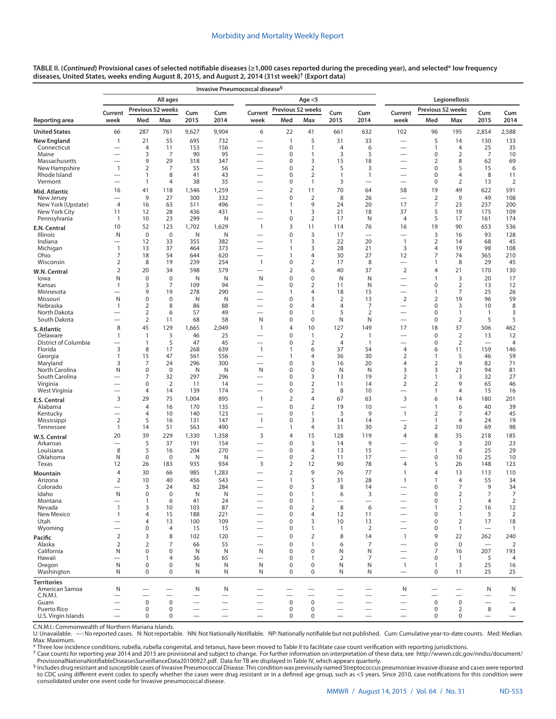| TABLE II. ( <i>Continued</i> ) Provisional cases of selected notifiable diseases (≥1,000 cases reported during the preceding year), and selected* low frequency |
|-----------------------------------------------------------------------------------------------------------------------------------------------------------------|
| diseases, United States, weeks ending August 8, 2015, and August 2, 2014 (31st week) <sup>†</sup> (Export data)                                                 |

|                                     |                                  |                                 |                               |                                      | Invasive Pneumococcal disease <sup>§</sup>           |                                                      |                   |                                  |                                                      |                                                                      |                                                      |                                  |                                |                                 |                                            |
|-------------------------------------|----------------------------------|---------------------------------|-------------------------------|--------------------------------------|------------------------------------------------------|------------------------------------------------------|-------------------|----------------------------------|------------------------------------------------------|----------------------------------------------------------------------|------------------------------------------------------|----------------------------------|--------------------------------|---------------------------------|--------------------------------------------|
|                                     |                                  |                                 | All ages                      |                                      |                                                      |                                                      |                   | Age $<$ 5                        |                                                      |                                                                      |                                                      |                                  | Legionellosis                  |                                 |                                            |
|                                     | Current                          |                                 | Previous 52 weeks             | Cum                                  | Cum                                                  | Current                                              | Previous 52 weeks |                                  | Cum                                                  | Cum                                                                  | Current                                              | Previous 52 weeks                |                                | Cum                             | Cum                                        |
| Reporting area                      | week                             | Med                             | Max                           | 2015                                 | 2014                                                 | week                                                 | Med               | Max                              | 2015                                                 | 2014                                                                 | week                                                 | Med                              | Max                            | 2015                            | 2014                                       |
| <b>United States</b>                | 66                               | 287                             | 761                           | 9,627                                | 9,904                                                | 6                                                    | 22                | 41                               | 661                                                  | 632                                                                  | 102                                                  | 96                               | 195                            | 2,854                           | 2,588                                      |
| <b>New England</b>                  | 1                                | 21                              | 55                            | 695                                  | 732                                                  |                                                      | $\mathbf{1}$      | 5                                | 31                                                   | 33                                                                   | $\overline{\phantom{0}}$                             | 5                                | 14                             | 130                             | 133                                        |
| Connecticut<br>Maine                |                                  | 4<br>3                          | 11<br>7                       | 153<br>90                            | 156<br>95                                            |                                                      | 0<br>0            | 1<br>1                           | $\overline{4}$<br>3                                  | 6<br>5                                                               | $\overline{\phantom{0}}$<br>—                        | $\overline{1}$<br>0              | 4<br>2                         | 25<br>7                         | 35<br>10                                   |
| Massachusetts                       |                                  | 9                               | 29                            | 318                                  | 347                                                  |                                                      | 0                 | 3                                | 15                                                   | 18                                                                   |                                                      | 2                                | 8                              | 62                              | 69                                         |
| New Hampshire                       | $\mathbf{1}$                     | 2                               | 7<br>8                        | 55<br>41                             | 56                                                   |                                                      | 0<br>0            | $\overline{2}$                   | 5<br>1                                               | 3<br>$\mathbf{1}$                                                    |                                                      | $\mathbf 0$<br>$\mathbf 0$       | 5<br>4                         | 15                              | 6                                          |
| Rhode Island<br>Vermont             |                                  | 1<br>$\mathbf{1}$               | 4                             | 38                                   | 43<br>35                                             |                                                      | 0                 | 2<br>1                           | 3                                                    | $\overline{\phantom{0}}$                                             | —<br>—                                               | 0                                | 2                              | 8<br>13                         | 11<br>$\overline{2}$                       |
| Mid. Atlantic                       | 16                               | 41                              | 118                           | 1,546                                | 1,259                                                |                                                      | $\overline{2}$    | 11                               | 70                                                   | 64                                                                   | 58                                                   | 19                               | 49                             | 622                             | 591                                        |
| New Jersey                          | $\overline{\phantom{0}}$         | 9                               | 27                            | 300                                  | 332                                                  |                                                      | 0                 | $\overline{2}$                   | 8                                                    | 26                                                                   | $\overline{\phantom{0}}$                             | $\overline{2}$                   | 9                              | 49                              | 108                                        |
| New York (Upstate)<br>New York City | $\overline{4}$<br>11             | 16<br>12                        | 63<br>28                      | 511<br>436                           | 496<br>431                                           | $\overline{\phantom{0}}$                             | 1<br>1            | 9<br>3                           | 24<br>21                                             | 20<br>18                                                             | 17<br>37                                             | $\overline{7}$<br>5              | 23<br>19                       | 237<br>175                      | 200<br>109                                 |
| Pennsylvania                        | $\mathbf{1}$                     | 10                              | 23                            | 299                                  | N                                                    | $\overline{\phantom{0}}$                             | 0                 | 2                                | 17                                                   | N                                                                    | 4                                                    | 5                                | 17                             | 161                             | 174                                        |
| E.N. Central                        | 10                               | 52                              | 123                           | 1,702                                | 1,629                                                | $\mathbf{1}$                                         | 3                 | 11                               | 114                                                  | 76                                                                   | 16                                                   | 19                               | 90                             | 653                             | 536                                        |
| Illinois                            | N                                | $\mathbf 0$                     | $\mathbf 0$                   | N                                    | N                                                    |                                                      | 0                 | 3                                | 17                                                   | $\overline{\phantom{0}}$                                             | —                                                    | 3                                | 16                             | 93                              | 128                                        |
| Indiana<br>Michigan                 | $\mathbf{1}$                     | 12<br>13                        | 33<br>37                      | 355<br>464                           | 382<br>373                                           |                                                      | 1<br>1            | 3<br>3                           | 22<br>28                                             | 20<br>21                                                             | $\overline{1}$<br>3                                  | $\overline{2}$<br>$\overline{4}$ | 14<br>19                       | 68<br>98                        | 45<br>108                                  |
| Ohio                                | 7                                | 18                              | 54                            | 644                                  | 620                                                  | $\overline{\phantom{0}}$                             | 1                 | 4                                | 30                                                   | 27                                                                   | 12                                                   | 7                                | 74                             | 365                             | 210                                        |
| Wisconsin                           | $\overline{2}$                   | 8                               | 19                            | 239                                  | 254                                                  | $\mathbf{1}$                                         | 0                 | $\overline{2}$                   | 17                                                   | 8                                                                    | $\overline{\phantom{0}}$                             | $\mathbf{1}$                     | 8                              | 29                              | 45                                         |
| W.N. Central                        | $\overline{2}$                   | 20                              | 34                            | 598                                  | 579                                                  |                                                      | $\overline{2}$    | 6                                | 40                                                   | 37                                                                   | $\overline{2}$                                       | 4                                | 21                             | 170                             | 130                                        |
| lowa<br>Kansas                      | N<br>1                           | $\mathbf 0$<br>3                | $\mathbf 0$<br>$\overline{7}$ | N<br>109                             | N<br>94                                              | N                                                    | 0<br>0            | $\mathbf 0$<br>2                 | N<br>11                                              | N<br>N                                                               | $\overline{\phantom{0}}$                             | $\overline{1}$<br>0              | 3<br>$\overline{2}$            | 20<br>13                        | 17<br>12                                   |
| Minnesota                           |                                  | 9                               | 19                            | 278                                  | 290                                                  |                                                      | 1                 | 4                                | 18                                                   | 15                                                                   | —                                                    | $\mathbf{1}$                     | 7                              | 25                              | 26                                         |
| Missouri                            | N                                | 0                               | 0                             | Ν                                    | N                                                    |                                                      | 0                 | 3                                | $\overline{2}$                                       | 13                                                                   | $\overline{2}$                                       | $\overline{2}$                   | 19                             | 96                              | 59                                         |
| Nebraska<br>North Dakota            | $\mathbf{1}$                     | 2<br>$\overline{2}$             | 8<br>6                        | 86<br>57                             | 88<br>49                                             |                                                      | 0<br>0            | 4<br>1                           | $\overline{4}$<br>5                                  | 7<br>$\overline{2}$                                                  | $\overline{\phantom{0}}$<br>$\overline{\phantom{0}}$ | $\mathbf 0$<br>0                 | 3<br>$\mathbf{1}$              | 10<br>$\mathbf{1}$              | 8<br>3                                     |
| South Dakota                        |                                  | $\overline{2}$                  | 11                            | 68                                   | 58                                                   | N                                                    | 0                 | $\mathbf 0$                      | N                                                    | N                                                                    | $\overline{\phantom{0}}$                             | 0                                | $\overline{2}$                 | 5                               | 5                                          |
| S. Atlantic                         | 8                                | 45                              | 129                           | 1,665                                | 2,049                                                | $\overline{1}$                                       | 4                 | 10                               | 127                                                  | 149                                                                  | 17                                                   | 18                               | 37                             | 506                             | 462                                        |
| Delaware                            | 1                                | $\overline{1}$                  | 5                             | 46                                   | 25                                                   |                                                      | 0                 | 1                                | $\overline{2}$                                       | $\mathbf{1}$                                                         | $\overline{\phantom{0}}$                             | $\mathbf 0$                      | $\overline{2}$                 | 13                              | 12                                         |
| District of Columbia                | 3                                | $\mathbf{1}$<br>8               | 5<br>17                       | 47                                   | 45<br>639                                            | $\overline{\phantom{0}}$                             | 0<br>$\mathbf{1}$ | $\overline{2}$                   | 4<br>37                                              | $\mathbf{1}$<br>54                                                   | $\overline{4}$                                       | 0                                | $\overline{2}$                 | 159                             | 4                                          |
| Florida<br>Georgia                  | 1                                | 15                              | 47                            | 268<br>561                           | 556                                                  | $\mathbf{1}$                                         | $\mathbf{1}$      | 6<br>4                           | 36                                                   | 30                                                                   | $\overline{2}$                                       | 6<br>$\overline{1}$              | 11<br>5                        | 46                              | 146<br>59                                  |
| Maryland                            | 3                                | 7                               | 24                            | 296                                  | 300                                                  |                                                      | 0                 | 3                                | 16                                                   | 20                                                                   | 4                                                    | $\overline{2}$                   | 9                              | 82                              | 71                                         |
| North Carolina                      | N                                | 0                               | 0                             | Ν                                    | N                                                    | N                                                    | 0                 | 0                                | N                                                    | N                                                                    | 3                                                    | 3                                | 21                             | 94                              | 81                                         |
| South Carolina<br>Virginia          |                                  | 7<br>0                          | 32<br>$\overline{2}$          | 297<br>11                            | 296<br>14                                            |                                                      | 0<br>0            | 3<br>2                           | 13<br>11                                             | 19<br>14                                                             | 2<br>2                                               | $\overline{1}$<br>$\overline{2}$ | 3<br>9                         | 32<br>65                        | 27<br>46                                   |
| West Virginia                       |                                  | 4                               | 14                            | 139                                  | 174                                                  |                                                      | 0                 | $\overline{2}$                   | 8                                                    | 10                                                                   |                                                      | $\mathbf{1}$                     | $\overline{4}$                 | 15                              | 16                                         |
| E.S. Central                        | 3                                | 29                              | 75                            | 1,004                                | 895                                                  | $\mathbf{1}$                                         | $\overline{2}$    | 4                                | 67                                                   | 63                                                                   | 3                                                    | 6                                | 14                             | 180                             | 201                                        |
| Alabama                             |                                  | $\overline{4}$                  | 16                            | 170                                  | 135                                                  |                                                      | 0                 | $\overline{2}$                   | 19                                                   | 10                                                                   | $\overline{\phantom{0}}$                             | $\overline{1}$                   | 6                              | 40                              | 39                                         |
| Kentucky<br>Mississippi             | $\overline{2}$                   | 4<br>5                          | 10<br>16                      | 140<br>131                           | 123<br>147                                           | $\overline{\phantom{0}}$<br>$\mathbf{1}$             | 0<br>0            | 1<br>3                           | 3<br>14                                              | 9<br>14                                                              | $\mathbf{1}$<br>$\overline{\phantom{0}}$             | 2<br>$\overline{1}$              | 7<br>4                         | 47<br>24                        | 45<br>19                                   |
| Tennessee                           | $\mathbf{1}$                     | 14                              | 51                            | 563                                  | 490                                                  | $\overline{\phantom{0}}$                             | $\mathbf{1}$      | 4                                | 31                                                   | 30                                                                   | $\overline{2}$                                       | $\overline{2}$                   | 10                             | 69                              | 98                                         |
| W.S. Central                        | 20                               | 39                              | 229                           | 1,330                                | 1,358                                                | 3                                                    | 4                 | 15                               | 128                                                  | 119                                                                  | $\overline{4}$                                       | 8                                | 35                             | 218                             | 185                                        |
| Arkansas                            |                                  | 5                               | 37                            | 191                                  | 154                                                  | $\overline{\phantom{0}}$                             | 0                 | 3                                | 14                                                   | 9                                                                    |                                                      | $\pmb{0}$                        | 3                              | 20                              | 23                                         |
| Louisiana<br>Oklahoma               | 8<br>N                           | 5<br>0                          | 16<br>0                       | 204<br>N                             | 270<br>N                                             | $\overline{\phantom{0}}$<br>$\overline{\phantom{0}}$ | 0<br>0            | $\overline{4}$<br>$\overline{2}$ | 13<br>11                                             | 15<br>17                                                             | $\overline{\phantom{0}}$                             | $\overline{1}$<br>0              | 4<br>10                        | 25<br>25                        | 29<br>10                                   |
| Texas                               | 12                               | 26                              | 183                           | 935                                  | 934                                                  | 3                                                    | $\overline{2}$    | 12                               | 90                                                   | 78                                                                   | 4                                                    | 5                                | 26                             | 148                             | 123                                        |
| Mountain                            | 4                                | 30                              | 66                            | 985                                  | 1,283                                                |                                                      | $\overline{2}$    | 9                                | 76                                                   | 77                                                                   | $\mathbf{1}$                                         | 4                                | 13                             | 113                             | 110                                        |
| Arizona<br>Colorado                 | $\overline{2}$                   | 10<br>3                         | 40<br>24                      | 456<br>82                            | 543<br>284                                           |                                                      | $\mathbf{1}$<br>0 | 5<br>3                           | 31<br>8                                              | 28<br>14                                                             | 1<br>$\overline{\phantom{0}}$                        | $\overline{1}$<br>0              | 4<br>7                         | 55<br>9                         | 34<br>34                                   |
| idaho                               | N                                | 0                               | 0                             | N                                    | N                                                    |                                                      | O                 |                                  | 6                                                    | 3                                                                    |                                                      | 0                                | 2                              | $\prime$                        | 7                                          |
| Montana                             | $\overline{\phantom{0}}$         | $\mathbf{1}$                    | 6                             | 41                                   | 24                                                   | $\overline{\phantom{0}}$                             | 0                 | 1                                |                                                      | $\qquad \qquad$                                                      | $\qquad \qquad$                                      | 0                                | $\mathbf{1}$                   | 4                               | $\overline{2}$                             |
| Nevada<br>New Mexico                | $\mathbf{1}$<br>$\mathbf{1}$     | 3<br>$\overline{4}$             | 10<br>15                      | 103<br>188                           | 87<br>221                                            |                                                      | 0<br>0            | $\overline{2}$<br>$\overline{4}$ | 8                                                    | 6                                                                    |                                                      | $\mathbf{1}$<br>$\mathbf 0$      | $\overline{2}$                 | 16<br>5                         | 12<br>$\overline{2}$                       |
| Utah                                |                                  | 4                               | 13                            | 100                                  | 109                                                  | $\overline{\phantom{0}}$                             | 0                 | 3                                | 12<br>10                                             | 11<br>13                                                             | $\overline{\phantom{0}}$                             | $\mathbf 0$                      | $\mathbf{1}$<br>$\overline{2}$ | 17                              | 18                                         |
| Wyoming                             |                                  | 0                               | $\overline{4}$                | 15                                   | 15                                                   |                                                      | 0                 | 1                                | 1                                                    | $\overline{2}$                                                       |                                                      | 0                                | $\mathbf{1}$                   | $\qquad \qquad -$               | $\mathbf{1}$                               |
| Pacific                             | $\overline{2}$                   | 3                               | 8                             | 102                                  | 120                                                  |                                                      | $\mathbf 0$       | $\overline{2}$                   | 8                                                    | 14                                                                   | $\mathbf{1}$                                         | 9                                | 22                             | 262                             | 240                                        |
| Alaska<br>California                | $\overline{2}$<br>N              | $\overline{2}$<br>0             | 7<br>0                        | 66<br>N                              | 55<br>N                                              | N                                                    | 0<br>0            | $\mathbf{1}$<br>$\mathbf 0$      | 6<br>N                                               | 7<br>N                                                               | $\overline{\phantom{0}}$                             | $\mathbf 0$<br>7                 | $\mathbf 0$<br>16              | $\overline{\phantom{0}}$<br>207 | 2<br>193                                   |
| Hawaii                              |                                  | $\mathbf{1}$                    | $\overline{4}$                | 36                                   | 65                                                   | $\overline{\phantom{0}}$                             | 0                 | 1                                | $\overline{2}$                                       | $\overline{7}$                                                       |                                                      | $\mathbf 0$                      | $\mathbf{1}$                   | 5                               | $\overline{4}$                             |
| Oregon                              | N                                | $\boldsymbol{0}$                | 0                             | N                                    | N                                                    | N                                                    | 0                 | $\mathbf 0$                      | N                                                    | N                                                                    | $\overline{1}$                                       | $\mathbf{1}$                     | 3                              | 25                              | 16                                         |
| Washington                          | N                                | $\mathbf 0$                     | 0                             | N                                    | N                                                    | N                                                    | 0                 | $\mathbf 0$                      | N                                                    | N                                                                    | $\qquad \qquad -$                                    | $\mathbf 0$                      | 11                             | 25                              | 25                                         |
| <b>Territories</b>                  |                                  |                                 |                               |                                      |                                                      |                                                      |                   |                                  |                                                      |                                                                      |                                                      |                                  |                                |                                 |                                            |
| American Samoa<br>C.N.M.I.          | N                                |                                 |                               | N<br>$\overline{\phantom{0}}$        | N<br>$\overline{\phantom{0}}$                        |                                                      |                   |                                  |                                                      | $\overline{\phantom{0}}$                                             | N<br>$\overline{\phantom{0}}$                        | -                                | $\overline{\phantom{0}}$       | N<br>$\overline{\phantom{0}}$   | N                                          |
| Guam                                |                                  | $\mathbf 0$                     | $\mathbf 0$                   |                                      |                                                      |                                                      | $\pmb{0}$         | $\mathbf 0$                      | —                                                    |                                                                      |                                                      | $\mathbf 0$                      | $\mathbf 0$                    | —                               | $\overbrace{\phantom{1232211}}$            |
| Puerto Rico<br>U.S. Virgin Islands  | $\overbrace{\phantom{12322111}}$ | $\boldsymbol{0}$<br>$\mathbf 0$ | 0<br>0                        | $\overline{\phantom{0}}$<br>$\equiv$ | $\overline{\phantom{0}}$<br>$\overline{\phantom{0}}$ | $\overline{\phantom{0}}$<br>$\overline{\phantom{0}}$ | 0<br>0            | 0<br>0                           | $\overline{\phantom{0}}$<br>$\overline{\phantom{0}}$ | $\overbrace{\phantom{12322111}}$<br>$\overbrace{\phantom{12322111}}$ | $\overline{\phantom{0}}$<br>$\overline{\phantom{0}}$ | $\mathbf 0$<br>$\mathbf 0$       | $\overline{2}$<br>$\mathbf 0$  | 8<br>$\overline{\phantom{m}}$   | $\overline{4}$<br>$\overline{\phantom{m}}$ |
|                                     |                                  |                                 |                               |                                      |                                                      |                                                      |                   |                                  |                                                      |                                                                      |                                                      |                                  |                                |                                 |                                            |

C.N.M.I.: Commonwealth of Northern Mariana Islands.<br>U: Unavailable. —: No reported cases. N: Not reportable. NN: Not Nationally Notifiable. NP: Nationally notifiable but not published. Cum: Cumulative year-to-date

† Case counts for reporting year 2014 and 2015 are provisional and subject to change. For further information on interpretation of these data, see [http://wwwn.cdc.gov/nndss/document/](http://wwwn.cdc.gov/nndss/document/ProvisionalNationaNotifiableDiseasesSurveillanceData20100927.pdf)

[ProvisionalNationaNotifiableDiseasesSurveillanceData20100927.pdf](http://wwwn.cdc.gov/nndss/document/ProvisionalNationaNotifiableDiseasesSurveillanceData20100927.pdf). Data for TB are displayed in Table IV, which appears quarterly.<br>to CDC using resistant and susceptible cases of Invasive Pneumococcal Disease. This conditi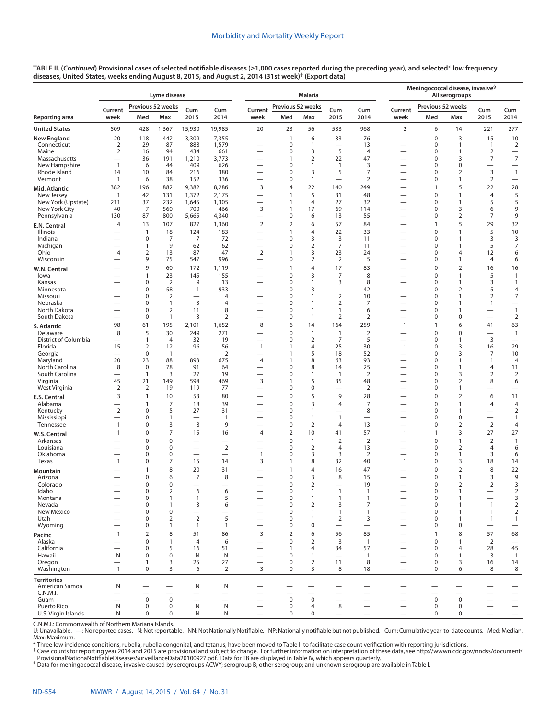|                                      |                                                 |                                  | Lyme disease                   |                                            |                               |                                                      |                              | <b>Malaria</b>                        |                                |                          | Meningococcal disease, invasive <sup>§</sup><br>All serogroups<br>Previous 52 weeks |                             |                                |                                |                                    |
|--------------------------------------|-------------------------------------------------|----------------------------------|--------------------------------|--------------------------------------------|-------------------------------|------------------------------------------------------|------------------------------|---------------------------------------|--------------------------------|--------------------------|-------------------------------------------------------------------------------------|-----------------------------|--------------------------------|--------------------------------|------------------------------------|
|                                      | Current                                         |                                  | Previous 52 weeks              | Cum                                        | Cum                           | Current                                              | Previous 52 weeks            |                                       | Cum                            | Cum                      | Current                                                                             |                             |                                | Cum                            | Cum                                |
| Reporting area                       | week                                            | Med                              | Max                            | 2015                                       | 2014                          | week                                                 | Med                          | Max                                   | 2015                           | 2014                     | week                                                                                | Med                         | Max                            | 2015                           | 2014                               |
| <b>United States</b>                 | 509                                             | 428                              | 1,367                          | 15,930                                     | 19,985                        | 20                                                   | 23                           | 56                                    | 533                            | 968                      | $\overline{2}$                                                                      | 6                           | 14                             | 221                            | 277                                |
| <b>New England</b>                   | 20                                              | 118                              | 442                            | 3,309                                      | 7,355                         |                                                      | $\mathbf{1}$                 | 6                                     | 33                             | 76                       | —                                                                                   | $\mathbf 0$                 | 3                              | 15                             | 10                                 |
| Connecticut<br>Maine                 | $\overline{2}$<br>$\overline{2}$                | 29<br>16                         | 87<br>94                       | 888<br>434                                 | 1,579<br>661                  |                                                      | $\mathbf 0$<br>$\mathbf 0$   | $\mathbf{1}$<br>3                     | 5                              | 13<br>$\overline{4}$     |                                                                                     | $\pmb{0}$<br>$\pmb{0}$      | $\mathbf{1}$<br>1              | $\mathbf{1}$<br>$\overline{2}$ | $\overline{2}$<br>$\qquad \qquad$  |
| Massachusetts                        |                                                 | 36                               | 191                            | 1,210                                      | 3,773                         | -                                                    | 1                            | $\overline{2}$                        | 22                             | 47                       |                                                                                     | $\pmb{0}$                   | 3                              | 7                              | $\overline{7}$                     |
| New Hampshire<br>Rhode Island        | $\mathbf{1}$<br>14                              | 6<br>10                          | 44<br>84                       | 409<br>216                                 | 626<br>380                    |                                                      | 0<br>0                       | $\mathbf{1}$<br>3                     | $\mathbf{1}$<br>5              | 3<br>7                   |                                                                                     | $\pmb{0}$<br>$\mathbf 0$    | $\mathbf 0$<br>$\overline{2}$  | 3                              | $\mathbf{1}$                       |
| Vermont                              | $\mathbf{1}$                                    | 6                                | 38                             | 152                                        | 336                           |                                                      | 0                            | $\mathbf{1}$                          |                                | $\overline{2}$           |                                                                                     | $\pmb{0}$                   | 1                              | 2                              |                                    |
| Mid. Atlantic                        | 382                                             | 196                              | 882                            | 9,382                                      | 8,286                         | 3                                                    | 4                            | 22                                    | 140                            | 249                      |                                                                                     | $\mathbf{1}$                | 5                              | 22                             | 28                                 |
| New Jersey<br>New York (Upstate)     | $\mathbf{1}$                                    | 42<br>37                         | 131<br>232                     | 1,372<br>1,645                             | 2,175<br>1,305                |                                                      | $\mathbf{1}$<br>$\mathbf{1}$ | 5<br>$\overline{4}$                   | 31<br>27                       | 48<br>32                 |                                                                                     | $\mathbf 0$<br>$\pmb{0}$    | $\mathbf{1}$<br>$\mathbf{1}$   | $\overline{4}$<br>5            | 5<br>5                             |
| New York City                        | 211<br>40                                       | 7                                | 560                            | 700                                        | 466                           | 3                                                    | $\mathbf{1}$                 | 17                                    | 69                             | 114                      | -                                                                                   | $\pmb{0}$                   | 3                              | 6                              | 9                                  |
| Pennsylvania                         | 130                                             | 87                               | 800                            | 5,665                                      | 4,340                         | $\overline{\phantom{0}}$                             | 0                            | 6                                     | 13                             | 55                       |                                                                                     | $\pmb{0}$                   | $\overline{2}$                 | 7                              | 9                                  |
| E.N. Central                         | 4                                               | 13                               | 107                            | 827                                        | 1,360                         | $\overline{2}$                                       | $\overline{2}$               | 6                                     | 57                             | 84                       |                                                                                     | $\mathbf{1}$                | 5                              | 29                             | 32                                 |
| Illinois<br>Indiana                  |                                                 | $\mathbf{1}$<br>$\boldsymbol{0}$ | 18<br>7                        | 124<br>7                                   | 183<br>72                     | $\overline{\phantom{0}}$<br>$\overline{\phantom{0}}$ | 1<br>0                       | $\overline{4}$<br>3                   | 22<br>3                        | 33<br>11                 | —                                                                                   | $\pmb{0}$<br>$\pmb{0}$      | $\mathbf{1}$<br>$\mathbf{1}$   | 5<br>3                         | 10<br>3                            |
| Michigan                             |                                                 | $\mathbf{1}$                     | 9                              | 62                                         | 62                            |                                                      | 0                            | $\overline{2}$                        | $\overline{7}$                 | 11                       |                                                                                     | $\pmb{0}$                   | $\mathbf{1}$                   | 5                              | $\overline{7}$                     |
| Ohio<br>Wisconsin                    | 4                                               | $\overline{2}$<br>9              | 13<br>75                       | 87<br>547                                  | 47<br>996                     | $\overline{2}$<br>$\overline{\phantom{0}}$           | $\mathbf{1}$<br>0            | 3<br>$\overline{2}$                   | 23<br>$\overline{2}$           | 24<br>5                  |                                                                                     | $\pmb{0}$<br>$\mathbf 0$    | $\overline{4}$<br>$\mathbf{1}$ | 12<br>$\overline{4}$           | 6                                  |
| W.N. Central                         |                                                 | 9                                | 60                             | 172                                        | 1,119                         | $\overline{\phantom{0}}$                             | 1                            | $\overline{4}$                        | 17                             | 83                       | -                                                                                   | $\mathbf 0$                 | $\overline{2}$                 | 16                             | 6<br>16                            |
| lowa                                 |                                                 | $\mathbf{1}$                     | 23                             | 145                                        | 155                           | $\overline{\phantom{0}}$                             | 0                            | 3                                     | 7                              | 8                        |                                                                                     | $\pmb{0}$                   | $\mathbf{1}$                   | 5                              | $\mathbf{1}$                       |
| Kansas                               |                                                 | 0                                | $\overline{2}$                 | 9                                          | 13                            |                                                      | 0                            | $\mathbf{1}$                          | 3                              | 8                        |                                                                                     | $\pmb{0}$                   | 1                              | 3                              | $\mathbf{1}$                       |
| Minnesota<br>Missouri                |                                                 | $\boldsymbol{0}$<br>$\mathbf 0$  | 58<br>$\overline{2}$           | $\mathbf{1}$                               | 933<br>$\overline{4}$         | -                                                    | 0<br>0                       | 3<br>$\mathbf{1}$                     | $\overline{2}$                 | 42<br>10                 | -                                                                                   | $\pmb{0}$<br>$\mathbf 0$    | $\overline{2}$<br>$\mathbf{1}$ | 5<br>2                         | $\overline{4}$<br>$\boldsymbol{7}$ |
| Nebraska                             |                                                 | $\mathbf 0$                      | $\mathbf{1}$                   | 3                                          | 4                             | -                                                    | 0                            | $\mathbf{1}$                          | $\overline{2}$                 | 7                        | -                                                                                   | $\mathbf 0$                 | $\mathbf{1}$                   | $\mathbf{1}$                   | $\qquad \qquad$                    |
| North Dakota<br>South Dakota         | $\overline{\phantom{0}}$                        | $\mathbf 0$<br>$\mathbf 0$       | $\overline{2}$<br>$\mathbf{1}$ | 11<br>3                                    | 8<br>$\overline{2}$           | -                                                    | 0<br>0                       | $\mathbf{1}$<br>$\overline{1}$        | $\mathbf{1}$<br>$\overline{2}$ | 6<br>$\overline{2}$      | $\overline{\phantom{0}}$<br>$\overline{\phantom{0}}$                                | $\mathbf 0$<br>$\pmb{0}$    | $\mathbf{1}$<br>$\mathbf 0$    | $\overline{\phantom{0}}$       | $\mathbf{1}$<br>$\overline{2}$     |
| S. Atlantic                          | 98                                              | 61                               | 195                            | 2,101                                      | 1,652                         | 8                                                    | 6                            | 14                                    | 164                            | 259                      | $\overline{1}$                                                                      | $\mathbf{1}$                | 6                              | 41                             | 63                                 |
| Delaware                             | 8                                               | 5                                | 30                             | 249                                        | 271                           | -                                                    | 0                            | $\overline{1}$                        | $\mathbf{1}$                   | $\overline{2}$           |                                                                                     | $\pmb{0}$                   | $\mathbf 0$                    |                                | $\mathbf{1}$                       |
| District of Columbia                 | $\qquad \qquad$                                 | $\mathbf{1}$                     | $\overline{4}$                 | 32                                         | 19                            |                                                      | 0                            | $\overline{2}$                        | $\overline{7}$                 | 5                        |                                                                                     | $\mathbf 0$                 | $\mathbf{1}$                   | 3                              | $\overbrace{\phantom{1232211}}$    |
| Florida<br>Georgia                   | 15<br>$\overline{\phantom{0}}$                  | $\overline{2}$<br>$\mathbf 0$    | 12<br>$\mathbf{1}$             | 96                                         | 56<br>$\overline{2}$          | $\mathbf{1}$<br>-                                    | $\mathbf{1}$<br>$\mathbf{1}$ | $\overline{4}$<br>5                   | 25<br>18                       | 30<br>52                 | $\mathbf{1}$                                                                        | $\mathbf 0$<br>$\mathbf 0$  | 3<br>3                         | 16<br>7                        | 29<br>10                           |
| Maryland                             | 20                                              | 23                               | 88                             | 893                                        | 675                           | 4                                                    | 1                            | 8                                     | 63                             | 93                       |                                                                                     | $\mathbf 0$                 | $\mathbf{1}$                   | $\mathbf{1}$                   | $\overline{4}$                     |
| North Carolina<br>South Carolina     | 8<br>$\overline{\phantom{0}}$                   | $\mathbf 0$<br>$\mathbf{1}$      | 78<br>3                        | 91<br>27                                   | 64<br>19                      | $\overline{\phantom{0}}$<br>$\overline{\phantom{0}}$ | 0<br>0                       | 8<br>$\mathbf{1}$                     | 14<br>$\overline{1}$           | 25<br>$\overline{2}$     | —                                                                                   | $\mathbf 0$<br>$\mathbf 0$  | $\mathbf{1}$<br>3              | $\overline{4}$<br>2            | 11<br>$\overline{2}$               |
| Virginia                             | 45                                              | 21                               | 149                            | 594                                        | 469                           | 3                                                    | 1                            | 5                                     | 35                             | 48                       | -                                                                                   | $\mathbf 0$                 | $\overline{2}$                 | 8                              | 6                                  |
| West Virginia                        | $\overline{2}$                                  | 2                                | 19                             | 119                                        | 77                            |                                                      | 0                            | $\pmb{0}$                             |                                | $\sqrt{2}$               | —                                                                                   | 0                           | $\mathbf{1}$                   | $\overline{\phantom{0}}$       | $\overbrace{\phantom{12322111}}$   |
| E.S. Central<br>Alabama              | 3<br>$\overline{\phantom{0}}$                   | $\mathbf{1}$<br>$\mathbf{1}$     | 10<br>7                        | 53<br>18                                   | 80<br>39                      | —                                                    | 0<br>0                       | 5<br>3                                | 9<br>$\overline{4}$            | 28<br>$\overline{7}$     | -                                                                                   | $\mathbf 0$<br>$\mathbf 0$  | $\overline{2}$<br>$\mathbf{1}$ | 6<br>$\overline{4}$            | 11<br>$\overline{4}$               |
| Kentucky                             | $\overline{2}$                                  | $\mathbf 0$                      | 5                              | 27                                         | 31                            | $\overline{\phantom{0}}$                             | 0                            | $\mathbf{1}$                          | $\overline{\phantom{0}}$       | 8                        | $\overline{\phantom{0}}$                                                            | $\mathbf 0$                 | $\mathbf{1}$                   |                                | $\sqrt{2}$                         |
| Mississippi                          | $\overline{\phantom{0}}$                        | $\mathbf 0$                      | $\mathbf{1}$                   |                                            | $\overline{1}$                | $\overline{\phantom{0}}$                             | 0                            | $\mathbf{1}$                          | $\mathbf{1}$                   | $\overline{\phantom{0}}$ | $\overline{\phantom{0}}$                                                            | $\mathbf 0$                 | $\mathbf 0$                    |                                | $\mathbf{1}$                       |
| Tennessee                            | 1<br>$\mathbf{1}$                               | 0<br>$\mathbf 0$                 | 3<br>$\overline{7}$            | 8<br>15                                    | 9<br>16                       | -<br>$\overline{4}$                                  | 0<br>$\overline{2}$          | $\mathbf 2$<br>10                     | $\overline{4}$<br>41           | 13<br>57                 | —<br>$\mathbf{1}$                                                                   | $\mathbf 0$<br>$\mathbf{1}$ | $\overline{2}$<br>3            | $\mathbf 2$<br>27              | $\overline{4}$<br>27               |
| W.S. Central<br>Arkansas             |                                                 | $\mathbf 0$                      | $\mathbf 0$                    | -                                          |                               |                                                      | 0                            | $\mathbf{1}$                          | $\overline{2}$                 | $\overline{2}$           |                                                                                     | $\mathbf 0$                 | $\mathbf{1}$                   | $\overline{2}$                 | $\overline{1}$                     |
| Louisiana                            | $\overline{\phantom{0}}$                        | 0                                | 0                              |                                            | $\overline{2}$                | $\overline{\phantom{0}}$                             | 0                            | $\mathbf 2$                           | 4                              | 13                       |                                                                                     | $\mathbf 0$                 | $\overline{2}$                 | $\overline{4}$                 | 6                                  |
| Oklahoma<br>Texas                    | 1                                               | $\mathbf 0$<br>$\mathbf 0$       | 0<br>$\overline{7}$            | $\equiv$<br>15                             | 14                            | $\mathbf{1}$<br>3                                    | 0<br>1                       | 3<br>8                                | 3<br>32                        | 2<br>40                  | $\overline{\phantom{0}}$<br>$\mathbf{1}$                                            | $\mathbf 0$<br>$\mathbf 0$  | $\mathbf{1}$<br>3              | 3<br>18                        | 6<br>14                            |
| <b>Mountain</b>                      |                                                 | $\mathbf{1}$                     | 8                              | 20                                         | 31                            |                                                      | 1                            | $\overline{4}$                        | 16                             | 47                       |                                                                                     | $\mathbf 0$                 | $\overline{2}$                 | 8                              | 22                                 |
| Arizona                              |                                                 | $\mathbf 0$                      | 6                              | $\overline{7}$                             | 8                             | -                                                    | 0                            | 3                                     | 8                              | 15                       |                                                                                     | $\mathbf 0$                 | 1                              | 3                              | 9                                  |
| Colorado                             |                                                 | $\mathbf 0$<br>0                 | 0                              | $\overline{\phantom{0}}$                   | $\overline{\phantom{0}}$      |                                                      | 0<br>0                       | $\overline{2}$<br>1                   | $\overline{\phantom{0}}$<br>1  | 19                       |                                                                                     | $\mathbf 0$<br>0            | $\overline{2}$                 | 2<br>$\qquad \qquad$           | 3                                  |
| ldaho<br>Montana                     | $\qquad \qquad$                                 | 0                                | 2<br>1                         | 6<br>$\mathbf{1}$                          | 6<br>5                        | $\qquad \qquad -$                                    | 0                            | $\mathbf{1}$                          | $\mathbf{1}$                   | $\mathbf{1}$             | $\qquad \qquad -$                                                                   | $\pmb{0}$                   | 1                              |                                | 2<br>$\mathsf 3$                   |
| Nevada                               |                                                 | 0                                | $\mathbf{1}$                   | 3                                          | 6                             |                                                      | 0                            | $\overline{2}$                        | 3                              | $\overline{7}$           | $\overline{\phantom{0}}$                                                            | $\mathbf 0$                 | 1                              | $\mathbf{1}$                   | $\sqrt{2}$                         |
| New Mexico<br>Utah                   | $\overline{\phantom{0}}$                        | 0<br>0                           | 0<br>$\overline{2}$            | $\overline{\phantom{0}}$<br>$\overline{2}$ | $\overline{\phantom{0}}$<br>5 | —<br>$\overbrace{\phantom{13333}}$                   | 0<br>0                       | $\mathbf{1}$<br>$\mathbf{1}$          | $\mathbf{1}$<br>2              | $\mathbf{1}$<br>3        | $\overline{\phantom{0}}$<br>$\qquad \qquad$                                         | $\mathbf 0$<br>0            | 1<br>1                         | $\mathbf{1}$<br>$\mathbf{1}$   | $\overline{2}$<br>$\mathbf{1}$     |
| Wyoming                              |                                                 | 0                                | 1                              | $\mathbf{1}$                               | $\mathbf{1}$                  | $\overline{\phantom{0}}$                             | 0                            | $\mathbf 0$                           | $\overline{\phantom{0}}$       | $\overline{\phantom{0}}$ | $\overline{\phantom{0}}$                                                            | $\mathbf 0$                 | 0                              | $\overline{\phantom{0}}$       | $\overline{\phantom{0}}$           |
| Pacific                              | $\mathbf{1}$                                    | $\overline{2}$                   | 8                              | 51                                         | 86                            | 3                                                    | 2                            | 6                                     | 56                             | 85                       | $\overline{\phantom{0}}$                                                            | $\mathbf{1}$                | 8                              | 57                             | 68                                 |
| Alaska<br>California                 |                                                 | $\mathbf 0$<br>$\mathbf 0$       | $\mathbf{1}$<br>5              | $\overline{4}$<br>16                       | 6<br>51                       | $\overline{\phantom{0}}$<br>$\overline{\phantom{0}}$ | 0<br>$\mathbf{1}$            | $\overline{2}$<br>$\overline{4}$      | 3<br>34                        | $\mathbf{1}$<br>57       | $\overline{\phantom{0}}$                                                            | $\mathbf 0$<br>$\pmb{0}$    | 1<br>4                         | $\overline{2}$<br>28           | $\overline{\phantom{0}}$<br>45     |
| Hawaii                               | N                                               | $\mathbf 0$                      | $\mathbf 0$                    | N                                          | N                             | —                                                    | 0                            | $\mathbf{1}$                          | $\overline{\phantom{0}}$       | $\mathbf{1}$             | —                                                                                   | $\mathbf 0$                 | $\mathbf{1}$                   | 3                              | $\mathbf{1}$                       |
| Oregon                               | $\overbrace{\phantom{1232211}}$<br>$\mathbf{1}$ | $\mathbf{1}$<br>$\mathbf 0$      | 3<br>3                         | 25<br>6                                    | 27                            | $\overline{\phantom{0}}$<br>3                        | $\mathbf 0$<br>$\Omega$      | $\overline{2}$<br>3                   | 11                             | 8                        | $\qquad \qquad -$                                                                   | $\pmb{0}$<br>$\mathbf 0$    | 3                              | 16<br>8                        | 14                                 |
| Washington                           |                                                 |                                  |                                |                                            | 2                             |                                                      |                              |                                       | 8                              | 18                       | $\overbrace{\qquad \qquad }$                                                        |                             | 6                              |                                | 8                                  |
| <b>Territories</b><br>American Samoa | N                                               |                                  |                                | N                                          | N                             |                                                      |                              |                                       |                                |                          |                                                                                     |                             |                                | $\overline{\phantom{0}}$       |                                    |
| C.N.M.I.                             |                                                 |                                  |                                |                                            |                               |                                                      |                              |                                       |                                |                          |                                                                                     |                             |                                |                                |                                    |
| Guam<br>Puerto Rico                  | $\mathsf{N}$                                    | $\mathbf 0$<br>$\mathbf 0$       | $\pmb{0}$<br>$\pmb{0}$         | $\mathsf{N}$                               | $\overline{\phantom{0}}$<br>N | $\overline{\phantom{0}}$                             | $\mathbf 0$<br>$\mathbf 0$   | $\mathsf{O}\xspace$<br>$\overline{4}$ | 8                              |                          |                                                                                     | $\mathsf 0$<br>$\mathbf 0$  | $\mathbf 0$<br>0               |                                | $\qquad \qquad -$                  |
| U.S. Virgin Islands                  | N                                               | $\mathbf 0$                      | 0                              | N                                          | N                             |                                                      | $\mathbf 0$                  | 0                                     | $\qquad \qquad$                | $\qquad \qquad -$        |                                                                                     | 0                           | 0                              | $\overline{\phantom{0}}$       | $\qquad \qquad -$                  |

C.N.M.I.: Commonwealth of Northern Mariana Islands.<br>U: Unavailable. —: No reported cases. N: Not reportable. NN: Not Nationally Notifiable. NP: Nationally notifiable but not published. Cum: Cumulative year-to-dat Max: Maximum.

\* Three low incidence conditions, rubella, rubella congenital, and tetanus, have been moved to Table II to facilitate case count verification with reporting jurisdictions.

† Case counts for reporting year 2014 and 2015 are provisional and subject to change. For further information on interpretation of these data, see [http://wwwn.cdc.gov/nndss/document/](http://wwwn.cdc.gov/nndss/document/ProvisionalNationaNotifiableDiseasesSurveillanceData20100927.pdf)

<sup>§</sup> Data for meningococcal disease, invasive caused by serogroups ACWY; serogroup B; other serogroup; and unknown serogroup are available in Table I.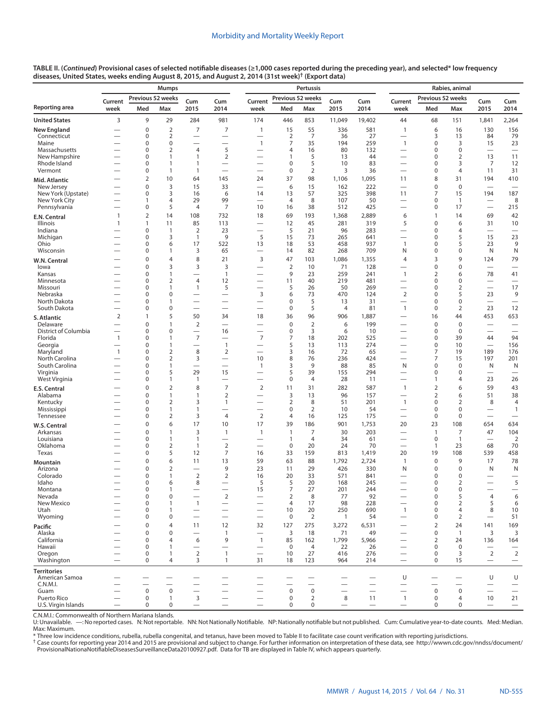|                                      |                               | <b>Mumps</b>      |                                  |                                |                                            |                                                      | Pertussis                        |                               |                          |                          |                                                      |                          | Rabies, animal                |                                                      |                                            |  |  |
|--------------------------------------|-------------------------------|-------------------|----------------------------------|--------------------------------|--------------------------------------------|------------------------------------------------------|----------------------------------|-------------------------------|--------------------------|--------------------------|------------------------------------------------------|--------------------------|-------------------------------|------------------------------------------------------|--------------------------------------------|--|--|
|                                      | Current                       | Previous 52 weeks |                                  | Cum                            | Cum                                        | Current                                              | Previous 52 weeks                |                               | Cum                      | Cum                      | Current                                              | Previous 52 weeks        |                               | Cum                                                  | Cum                                        |  |  |
| Reporting area                       | week                          | Med               | Max                              | 2015                           | 2014                                       | week                                                 | Med                              | Max                           | 2015                     | 2014                     | week                                                 | Med                      | Max                           | 2015                                                 | 2014                                       |  |  |
| <b>United States</b>                 | 3                             | 9                 | 29                               | 284                            | 981                                        | 174                                                  | 446                              | 853                           | 11,049                   | 19,402                   | 44                                                   | 68                       | 151                           | 1,841                                                | 2,264                                      |  |  |
| <b>New England</b>                   |                               | $\pmb{0}$         | $\overline{2}$                   | 7                              | 7                                          | $\mathbf{1}$                                         | 15                               | 55                            | 336                      | 581                      | $\mathbf{1}$                                         | 6                        | 16                            | 130                                                  | 156                                        |  |  |
| Connecticut                          |                               | 0                 | $\overline{2}$                   |                                |                                            | $\overline{\phantom{0}}$                             | $\overline{2}$                   | 7                             | 36                       | 27                       | $\overline{\phantom{0}}$                             | 3                        | 13                            | 84                                                   | 79                                         |  |  |
| Maine                                |                               | 0                 | 0                                | $\overline{\phantom{0}}$       |                                            | $\mathbf{1}$                                         | 7                                | 35                            | 194                      | 259                      | $\mathbf{1}$                                         | 0                        | 3                             | 15                                                   | 23                                         |  |  |
| Massachusetts<br>New Hampshire       | $\overline{\phantom{0}}$      | 0<br>0            | $\overline{2}$<br>1              | $\overline{4}$<br>$\mathbf{1}$ | 5<br>$\overline{2}$                        | $\overline{\phantom{0}}$<br>$\overline{\phantom{0}}$ | 4<br>1                           | 16<br>5                       | 80<br>13                 | 132<br>44                | $\overline{\phantom{0}}$                             | 0<br>0                   | $\mathbf 0$<br>$\overline{2}$ | 13                                                   | $\overline{\phantom{0}}$<br>11             |  |  |
| Rhode Island                         | $\overline{\phantom{0}}$      | 0                 | 1                                | $\mathbf{1}$                   |                                            | $\overline{\phantom{0}}$                             | 0                                | 5                             | 10                       | 83                       | $\overline{\phantom{0}}$                             | 0                        | 3                             | 7                                                    | 12                                         |  |  |
| Vermont                              |                               | 0                 | $\mathbf{1}$                     | $\mathbf{1}$                   |                                            | $\overline{\phantom{0}}$                             | 0                                | $\overline{2}$                | 3                        | 36                       | $\overline{\phantom{0}}$                             | 0                        | 4                             | 11                                                   | 31                                         |  |  |
| Mid. Atlantic                        |                               | $\overline{2}$    | 10                               | 64                             | 145                                        | 24                                                   | 37                               | 98                            | 1,106                    | 1,095                    | 11                                                   | 8                        | 31                            | 194                                                  | 410                                        |  |  |
| New Jersey                           |                               | $\mathbf 0$       | 3                                | 15                             | 33                                         |                                                      | 6                                | 15                            | 162                      | 222                      | $\overline{\phantom{0}}$                             | 0                        | $\mathbf 0$                   |                                                      | $\overbrace{\phantom{12322111}}$           |  |  |
| New York (Upstate)<br>New York City  |                               | 0<br>$\mathbf{1}$ | 3<br>$\overline{4}$              | 16<br>29                       | 6<br>99                                    | 14                                                   | 13<br>$\overline{4}$             | 57<br>8                       | 325<br>107               | 398<br>50                | 11                                                   | 7<br>0                   | 15                            | 194                                                  | 187<br>8                                   |  |  |
| Pennsylvania                         |                               | 0                 | 5                                | $\overline{4}$                 | 7                                          | $\overline{\phantom{0}}$<br>10                       | 16                               | 38                            | 512                      | 425                      | $\overline{\phantom{0}}$<br>$\overline{\phantom{0}}$ | 0                        | $\overline{1}$<br>17          | $\overline{\phantom{0}}$<br>$\overline{\phantom{m}}$ | 215                                        |  |  |
| E.N. Central                         | $\mathbf{1}$                  | $\overline{2}$    | 14                               | 108                            | 732                                        | 18                                                   | 69                               | 193                           | 1,368                    | 2,889                    | 6                                                    | $\mathbf{1}$             | 14                            | 69                                                   | 42                                         |  |  |
| Illinois                             | $\mathbf{1}$                  | 1                 | 11                               | 85                             | 113                                        | $\overline{\phantom{0}}$                             | 12                               | 45                            | 281                      | 319                      | 5                                                    | 0                        | 6                             | 31                                                   | 10                                         |  |  |
| Indiana                              |                               | 0                 | $\mathbf{1}$                     | $\overline{2}$                 | 23                                         | $\overline{\phantom{0}}$                             | 5                                | 21                            | 96                       | 283                      | $\overline{\phantom{0}}$                             | 0                        | 4                             | $\overline{\phantom{0}}$                             |                                            |  |  |
| Michigan                             |                               | 0                 | 3                                | $\mathbf{1}$                   | 9                                          | 5                                                    | 15                               | 73                            | 265                      | 641                      | $\overline{\phantom{0}}$                             | 0                        | 5                             | 15                                                   | 23                                         |  |  |
| Ohio                                 |                               | 0                 | 6<br>1                           | 17                             | 522                                        | 13                                                   | 18                               | 53<br>82                      | 458                      | 937<br>709               | $\mathbf{1}$                                         | 0                        | 5<br>0                        | 23<br>N                                              | 9                                          |  |  |
| Wisconsin                            |                               | 0<br>$\mathbf 0$  | $\overline{4}$                   | 3<br>8                         | 65                                         |                                                      | 14                               |                               | 268                      |                          | N                                                    | 0                        | 9                             |                                                      | N                                          |  |  |
| W.N. Central<br>lowa                 |                               | $\mathbf 0$       | 3                                | 3                              | 21<br>3                                    | 3<br>$\overline{\phantom{0}}$                        | 47<br>$\overline{2}$             | 103<br>10                     | 1,086<br>71              | 1,355<br>128             | 4<br>$\overline{\phantom{0}}$                        | 3<br>0                   | 0                             | 124                                                  | 79                                         |  |  |
| Kansas                               |                               | 0                 | 1                                |                                | $\overline{1}$                             | $\overline{\phantom{0}}$                             | 9                                | 23                            | 259                      | 241                      | $\mathbf{1}$                                         | 2                        | 6                             | 78                                                   | 41                                         |  |  |
| Minnesota                            |                               | 0                 | $\overline{2}$                   | $\overline{4}$                 | 12                                         |                                                      | 11                               | 40                            | 219                      | 481                      |                                                      | 0                        | 0                             | $\overline{\phantom{0}}$                             |                                            |  |  |
| Missouri                             |                               | 0                 | 1                                | $\mathbf{1}$                   | 5                                          |                                                      | 5                                | 26                            | 50                       | 269                      |                                                      | 0                        | $\overline{2}$                |                                                      | 17                                         |  |  |
| Nebraska                             |                               | 0                 | 0                                | $\overline{\phantom{0}}$       | $\overline{\phantom{0}}$                   | 3                                                    | 6                                | 73                            | 470                      | 124                      | $\overline{2}$                                       | 0                        | 5                             | 23                                                   | 9                                          |  |  |
| North Dakota<br>South Dakota         |                               | $\mathbf 0$<br>0  | $\mathbf{1}$<br>$\mathbf 0$      | $\overline{\phantom{0}}$       | $\overline{\phantom{0}}$                   |                                                      | 0<br>0                           | 5<br>5                        | 13<br>$\overline{4}$     | 31<br>81                 | $\mathbf{1}$                                         | $\mathbf 0$<br>0         | 0<br>$\overline{2}$           | 23                                                   | $\overline{\phantom{0}}$<br>12             |  |  |
|                                      | $\overline{2}$                | $\mathbf{1}$      | 5                                | 50                             | 34                                         | 18                                                   | 36                               | 96                            | 906                      | 1,887                    |                                                      | 16                       | 44                            | 453                                                  | 653                                        |  |  |
| S. Atlantic<br>Delaware              |                               | $\mathbf 0$       | $\mathbf{1}$                     | 2                              |                                            |                                                      | $\mathbf 0$                      | $\overline{2}$                | 6                        | 199                      |                                                      | $\mathbf 0$              | $\mathbf 0$                   | $\overline{\phantom{0}}$                             | $\overline{\phantom{0}}$                   |  |  |
| District of Columbia                 |                               | 0                 | 0                                | $\overline{\phantom{0}}$       | 16                                         | $\overline{\phantom{0}}$                             | 0                                | 3                             | 6                        | 10                       | $\overline{\phantom{0}}$                             | 0                        | $\mathbf 0$                   | $\overline{\phantom{0}}$                             | $\overline{\phantom{0}}$                   |  |  |
| Florida                              | $\mathbf{1}$                  | $\mathbf 0$       | $\mathbf{1}$                     | $\overline{7}$                 | $\overline{\phantom{0}}$                   | 7                                                    | 7                                | 18                            | 202                      | 525                      |                                                      | 0                        | 39                            | 44                                                   | 94                                         |  |  |
| Georgia                              | $\overline{\phantom{0}}$      | $\mathbf 0$       | $\mathbf{1}$                     |                                | $\mathbf{1}$                               |                                                      | 5                                | 13                            | 113                      | 274                      | $\overline{\phantom{0}}$                             | 0                        | 10                            | $\overline{\phantom{0}}$                             | 156                                        |  |  |
| Maryland<br>North Carolina           | $\mathbf{1}$                  | $\mathbf 0$<br>0  | $\overline{2}$<br>$\overline{2}$ | 8<br>3                         | $\overline{2}$<br>$\overline{\phantom{0}}$ | 10                                                   | 3<br>8                           | 16<br>76                      | 72<br>236                | 65<br>424                |                                                      | 7<br>7                   | 19<br>15                      | 189<br>197                                           | 176<br>201                                 |  |  |
| South Carolina                       |                               | $\mathbf 0$       | 1                                | $\overline{\phantom{0}}$       | $\overbrace{\phantom{12322111}}$           | $\mathbf{1}$                                         | 3                                | 9                             | 88                       | 85                       | N                                                    | 0                        | $\mathbf 0$                   | N                                                    | N                                          |  |  |
| Virginia                             |                               | $\mathbf 0$       | 5                                | 29                             | 15                                         |                                                      | 5                                | 39                            | 155                      | 294                      |                                                      | 0                        | 0                             | $\overline{\phantom{0}}$                             | $\overline{\phantom{0}}$                   |  |  |
| West Virginia                        |                               | 0                 | $\mathbf{1}$                     | $\mathbf{1}$                   |                                            |                                                      | 0                                | $\overline{4}$                | 28                       | 11                       |                                                      | 1                        | 4                             | 23                                                   | 26                                         |  |  |
| E.S. Central                         |                               | $\mathbf 0$       | $\overline{2}$                   | 8                              | $\overline{7}$                             | $\overline{2}$                                       | 11                               | 31                            | 282                      | 587                      | $\mathbf{1}$                                         | $\overline{2}$           | 6                             | 59                                                   | 43                                         |  |  |
| Alabama                              |                               | $\mathbf 0$       | $\mathbf{1}$                     | $\mathbf{1}$                   | $\overline{2}$                             |                                                      | 3                                | 13                            | 96                       | 157                      | $\overline{\phantom{0}}$                             | $\overline{2}$           | 6                             | 51                                                   | 38                                         |  |  |
| Kentucky<br>Mississippi              |                               | 0<br>$\mathbf 0$  | $\overline{2}$<br>1              | 3<br>$\mathbf{1}$              | 1                                          |                                                      | 2<br>0                           | 8<br>$\overline{2}$           | 51<br>10                 | 201<br>54                | $\mathbf{1}$<br>$\overline{\phantom{0}}$             | 0<br>0                   | $\overline{2}$<br>0           | 8                                                    | $\overline{4}$<br>$\mathbf{1}$             |  |  |
| Tennessee                            |                               | $\mathbf 0$       | $\overline{2}$                   | 3                              | $\overline{4}$                             | 2                                                    | 4                                | 16                            | 125                      | 175                      | $\overline{\phantom{0}}$                             | $\pmb{0}$                | 0                             | $\overline{\phantom{0}}$                             | $\overline{\phantom{0}}$                   |  |  |
| W.S. Central                         |                               | $\mathbf 0$       | 6                                | 17                             | 10                                         | 17                                                   | 39                               | 186                           | 901                      | 1,753                    | 20                                                   | 23                       | 108                           | 654                                                  | 634                                        |  |  |
| Arkansas                             |                               | $\mathbf 0$       | $\mathbf{1}$                     | 3                              | 1                                          | $\mathbf{1}$                                         | $\mathbf{1}$                     | 7                             | 30                       | 203                      | $\overline{\phantom{0}}$                             | $\mathbf{1}$             | $\overline{7}$                | 47                                                   | 104                                        |  |  |
| Louisiana                            |                               | $\mathbf 0$       | $\mathbf{1}$                     | $\mathbf{1}$                   | $\overline{\phantom{0}}$                   |                                                      | $\mathbf{1}$                     | 4                             | 34                       | 61                       | $\overline{\phantom{0}}$                             | $\mathbf 0$              | $\mathbf{1}$                  | $\overline{\phantom{0}}$                             | $\overline{2}$                             |  |  |
| Oklahoma                             |                               | 0                 | $\overline{2}$                   | $\mathbf{1}$                   | $\overline{2}$                             | $\overline{\phantom{0}}$                             | $\mathbf 0$                      | 20                            | 24                       | 70                       |                                                      | $\mathbf{1}$             | 23                            | 68                                                   | 70                                         |  |  |
| Texas                                |                               | 0<br>$\mathbf 0$  | 5                                | 12                             | 7                                          | 16<br>59                                             | 33                               | 159                           | 813                      | 1,419                    | 20                                                   | 19<br>$\mathbf 0$        | 108<br>9                      | 539                                                  | 458                                        |  |  |
| Mountain<br>Arizona                  |                               | $\mathbf 0$       | 6<br>$\overline{2}$              | 11                             | 13<br>9                                    | 23                                                   | 63<br>11                         | 88<br>29                      | 1,792<br>426             | 2,724<br>330             | $\mathbf{1}$<br>N                                    | 0                        | 0                             | 17<br>N                                              | 78<br>N                                    |  |  |
| Colorado                             |                               | $\mathbf 0$       | $\mathbf{1}$                     | $\overline{2}$                 | $\overline{2}$                             | 16                                                   | 20                               | 33                            | 571                      | 841                      |                                                      | 0                        | 0                             |                                                      | $\overline{\phantom{0}}$                   |  |  |
| Idaho                                |                               | $\mathbf 0$       | 6                                | 8                              |                                            | 5                                                    | 5                                | 20                            | 168                      | 245                      |                                                      | 0                        | $\overline{2}$                |                                                      | 5                                          |  |  |
| Montana                              |                               | $\mathbf 0$       | 1                                | $\overline{\phantom{0}}$       |                                            | 15                                                   | 7                                | 27                            | 201                      | 244                      |                                                      | $\Omega$                 | 0                             | $\overline{\phantom{0}}$                             | $\overline{\phantom{0}}$                   |  |  |
| Nevada                               |                               | 0<br>$\mathbf 0$  | $\mathbf 0$                      |                                | $\overline{2}$                             |                                                      | $\overline{2}$<br>$\overline{4}$ | 8                             | 77                       | 92                       |                                                      | $\pmb{0}$<br>0           | 5                             | 4<br>5                                               | 6                                          |  |  |
| New Mexico<br>Utah                   |                               | 0                 | 1<br>$\mathbf{1}$                | $\mathbf{1}$                   | $\overline{\phantom{0}}$                   | $\overline{\phantom{0}}$                             | 10                               | 17<br>20                      | 98<br>250                | 228<br>690               | $\overline{\phantom{0}}$<br>$\mathbf{1}$             | 0                        | $\overline{2}$<br>4           | 8                                                    | 6<br>10                                    |  |  |
| Wyoming                              | $\overbrace{\phantom{13333}}$ | 0                 | 0                                | $\overline{\phantom{0}}$       | $\overline{\phantom{0}}$                   | $\qquad \qquad -$                                    | $\mathbf 0$                      | 2                             | $\overline{1}$           | 54                       |                                                      | 0                        | $\overline{2}$                | $\overline{\phantom{m}}$                             | 51                                         |  |  |
| Pacific                              |                               | $\mathbf 0$       | $\overline{4}$                   | 11                             | 12                                         | 32                                                   | 127                              | 275                           | 3,272                    | 6,531                    |                                                      | $\overline{2}$           | 24                            | 141                                                  | 169                                        |  |  |
| Alaska                               | $\overline{\phantom{0}}$      | $\mathbf 0$       | 0                                | $\overline{\phantom{0}}$       | $\mathbf{1}$                               | $\overbrace{\phantom{1232211}}$                      | 3                                | 18                            | 71                       | 49                       | $\overline{\phantom{0}}$                             | 0                        | $\overline{1}$                | 3                                                    | $\overline{3}$                             |  |  |
| California                           | $\overline{\phantom{0}}$      | $\mathbf 0$       | $\overline{4}$                   | 6                              | 9                                          | $\mathbf{1}$                                         | 85                               | 162                           | 1,799                    | 5,966                    |                                                      | $\overline{2}$           | 24                            | 136                                                  | 164                                        |  |  |
| Hawaii                               | $\overline{\phantom{0}}$      | $\mathbf 0$       | 1                                |                                | $\overline{\phantom{0}}$                   | $\overbrace{\phantom{123221111}}$                    | $\mathbf 0$                      | $\overline{4}$                | 22                       | 26                       |                                                      | 0                        | $\mathbf 0$                   |                                                      |                                            |  |  |
| Oregon<br>Washington                 | $\overline{\phantom{0}}$      | $\mathbf 0$<br>0  | 1<br>$\overline{4}$              | $\overline{2}$<br>3            | $\overline{1}$<br>$\mathbf{1}$             | 31                                                   | 10<br>18                         | 27<br>123                     | 416<br>964               | 276<br>214               | $\overline{\phantom{0}}$                             | 0<br>0                   | 3<br>15                       | $\overline{2}$<br>$\qquad \qquad -$                  | $\overline{2}$<br>$\overline{\phantom{m}}$ |  |  |
|                                      |                               |                   |                                  |                                |                                            |                                                      |                                  |                               |                          |                          |                                                      |                          |                               |                                                      |                                            |  |  |
| <b>Territories</b><br>American Samoa |                               |                   |                                  |                                | $\overline{\phantom{0}}$                   |                                                      |                                  |                               |                          | $\overline{\phantom{0}}$ | U                                                    | $\overline{\phantom{0}}$ |                               | U                                                    | U                                          |  |  |
| C.N.M.I.                             |                               |                   |                                  |                                |                                            |                                                      |                                  | $\overline{\phantom{0}}$      | $\overline{\phantom{0}}$ |                          |                                                      | $\overline{\phantom{0}}$ | $\overline{\phantom{0}}$      | $\qquad \qquad -$                                    | $\overline{\phantom{m}}$                   |  |  |
| Guam                                 |                               | 0                 | $\mathbf 0$                      | $\equiv$                       |                                            | $\overline{\phantom{0}}$                             | $\mathbf 0$                      | $\bf 0$                       | $\overline{\phantom{0}}$ |                          | $\equiv$                                             | $\mathbf 0$              | $\mathbf 0$                   | $\overline{\phantom{0}}$                             | $\overline{\phantom{0}}$                   |  |  |
| Puerto Rico<br>U.S. Virgin Islands   |                               | 0<br>0            | $\mathbf{1}$<br>0                | 3                              | $\overline{\phantom{0}}$                   |                                                      | $\mathbf 0$<br>0                 | $\overline{2}$<br>$\mathbf 0$ | 8                        | 11                       | $\mathbf{1}$<br>$\overline{\phantom{0}}$             | 0<br>0                   | 4<br>0                        | 10<br>$\overline{\phantom{0}}$                       | 21<br>$\qquad \qquad -$                    |  |  |
|                                      |                               |                   |                                  |                                |                                            |                                                      |                                  |                               |                          |                          |                                                      |                          |                               |                                                      |                                            |  |  |

C.N.M.I.: Commonwealth of Northern Mariana Islands.

U: Unavailable. —: No reported cases. N: Not reportable. NN: Not Nationally Notifiable. NP: Nationally notifiable but not published. Cum: Cumulative year-to-date counts. Med: Median.

Max: Maximum.<br>\* Three low incidence conditions, rubella, rubella congenital, and tetanus, have been moved to Table II to facilitate case count verification with reporting jurisdictions.<br>† Case counts for reporting year 201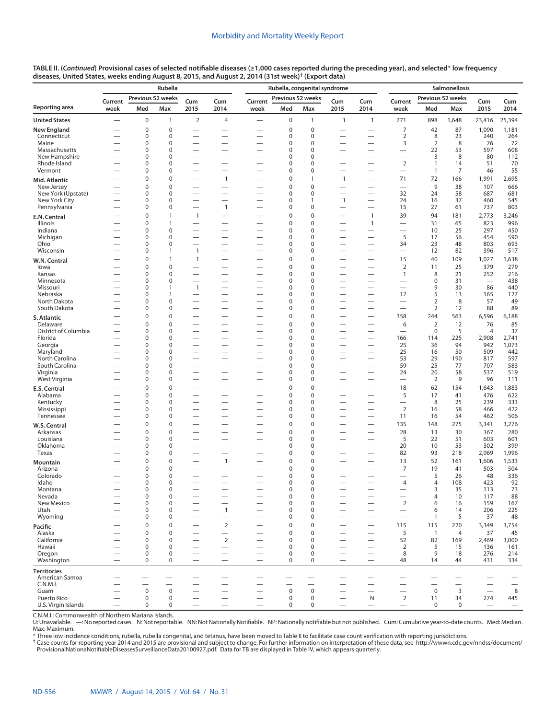|                                      | Rubella                  |                          |                             |                                                      |                                                      | Rubella, congenital syndrome                         |                                 |                          |                                                      |                                                      |                                                     | Salmonellosis                 |                          |                                 |                                 |  |
|--------------------------------------|--------------------------|--------------------------|-----------------------------|------------------------------------------------------|------------------------------------------------------|------------------------------------------------------|---------------------------------|--------------------------|------------------------------------------------------|------------------------------------------------------|-----------------------------------------------------|-------------------------------|--------------------------|---------------------------------|---------------------------------|--|
| Reporting area                       | Current<br>week          | Previous 52 weeks<br>Med | Max                         | Cum<br>2015                                          | Cum<br>2014                                          | Current<br>week                                      | Previous 52 weeks<br>Med        | Max                      | Cum<br>2015                                          | Cum<br>2014                                          | Current<br>week                                     | Med                           | Previous 52 weeks<br>Max | Cum<br>2015                     | Cum<br>2014                     |  |
| <b>United States</b>                 |                          | $\pmb{0}$                | $\mathbf{1}$                | $\overline{2}$                                       | $\overline{4}$                                       | $\overline{\phantom{0}}$                             | 0                               | 1                        | $\overline{1}$                                       | $\mathbf{1}$                                         | 771                                                 | 898                           | 1,648                    | 23,416                          |                                 |  |
| <b>New England</b>                   |                          | 0                        | 0                           | $\overline{\phantom{0}}$                             |                                                      |                                                      | 0                               | $\mathbf 0$              | $\overline{\phantom{0}}$                             |                                                      | 7                                                   | 42                            | 87                       | 1,090                           | 25,394<br>1,181                 |  |
| Connecticut                          |                          | 0                        | $\mathbf 0$                 |                                                      | $\overline{\phantom{0}}$                             |                                                      | $\mathbf 0$                     | $\mathbf{0}$             |                                                      |                                                      | $\overline{2}$                                      | 8                             | 23                       | 240                             | 264                             |  |
| Maine                                |                          | 0                        | $\mathbf 0$                 | $\overline{\phantom{0}}$                             | $\overline{\phantom{0}}$                             |                                                      | $\mathbf 0$                     | $\mathbf 0$              | $\overline{\phantom{0}}$                             |                                                      | 3                                                   | $\overline{2}$                | 8                        | 76                              | 72                              |  |
| Massachusetts                        |                          | 0                        | $\mathbf 0$                 |                                                      | $\overline{\phantom{0}}$                             |                                                      | $\mathbf 0$                     | $\Omega$                 | $\overline{\phantom{0}}$                             |                                                      | $\overline{\phantom{0}}$                            | 22                            | 53                       | 597                             | 608                             |  |
| New Hampshire<br>Rhode Island        | $\overline{\phantom{0}}$ | 0<br>0                   | $\mathbf 0$<br>$\mathbf 0$  | $\overline{\phantom{0}}$<br>$\overline{\phantom{0}}$ | $\overline{\phantom{0}}$                             | $\overline{\phantom{0}}$<br>$\overline{\phantom{0}}$ | 0<br>0                          | $\Omega$<br>$\Omega$     | $\overline{\phantom{0}}$<br>-                        |                                                      | $\overline{\phantom{0}}$<br>$\overline{2}$          | 3<br>$\mathbf{1}$             | 8<br>14                  | 80<br>51                        | 112<br>70                       |  |
| Vermont                              |                          | 0                        | $\mathbf 0$                 |                                                      |                                                      |                                                      | $\overline{0}$                  | 0                        | $\overline{\phantom{0}}$                             |                                                      | $\overline{\phantom{0}}$                            | $\mathbf{1}$                  | 7                        | 46                              | 55                              |  |
| Mid. Atlantic                        |                          | 0                        | $\mathbf 0$                 | $\overline{\phantom{0}}$                             | $\mathbf{1}$                                         |                                                      | 0                               | $\mathbf{1}$             | $\mathbf{1}$                                         |                                                      | 71                                                  | 72                            | 166                      | 1,991                           | 2,695                           |  |
| New Jersey                           |                          | 0                        | $\mathbf 0$                 | $\overline{\phantom{0}}$                             | $\overline{\phantom{0}}$                             |                                                      | $\mathbf 0$                     | $\mathbf 0$              | $\overline{\phantom{0}}$                             |                                                      | $\overline{\phantom{0}}$                            | 9                             | 38                       | 107                             | 666                             |  |
| New York (Upstate)<br>New York City  | $\overline{\phantom{0}}$ | 0<br>0                   | $\mathbf 0$<br>$\mathbf 0$  | $\overline{\phantom{0}}$<br>$\overline{\phantom{0}}$ | $\overline{\phantom{0}}$                             | $\overline{\phantom{0}}$                             | $\mathbf 0$<br>0                | $\Omega$<br>$\mathbf{1}$ | $\overline{\phantom{0}}$<br>$\mathbf{1}$             | $\overline{\phantom{0}}$                             | 32<br>24                                            | 24<br>16                      | 58<br>37                 | 687<br>460                      | 681<br>545                      |  |
| Pennsylvania                         |                          | 0                        | $\mathbf 0$                 | $\overline{\phantom{0}}$                             | $\mathbf{1}$                                         |                                                      | 0                               | $\mathbf 0$              | $\overline{\phantom{0}}$                             |                                                      | 15                                                  | 27                            | 61                       | 737                             | 803                             |  |
| E.N. Central                         |                          | 0                        | $\mathbf{1}$                | $\mathbf{1}$                                         | $\overline{\phantom{0}}$                             |                                                      | $\pmb{0}$                       | $\mathbf 0$              |                                                      | 1                                                    | 39                                                  | 94                            | 181                      | 2,773                           | 3,246                           |  |
| Illinois                             |                          | 0                        | $\mathbf{1}$                |                                                      |                                                      |                                                      | $\mathbf 0$                     | $\Omega$                 | $\overline{\phantom{0}}$                             | $\mathbf{1}$                                         | $\overline{\phantom{0}}$                            | 31                            | 65                       | 823                             | 996                             |  |
| Indiana                              |                          | 0                        | $\pmb{0}$                   | $\overline{\phantom{0}}$                             |                                                      |                                                      | $\mathbf 0$                     | $\mathbf 0$              | $\overline{\phantom{0}}$                             |                                                      | $\overline{\phantom{0}}$                            | 10                            | 25                       | 297                             | 450                             |  |
| Michigan<br>Ohio                     |                          | 0<br>0                   | $\mathbf 0$<br>$\mathbf 0$  | $\overline{\phantom{0}}$<br>$\overline{\phantom{0}}$ | $\overline{\phantom{0}}$<br>$\overline{\phantom{0}}$ | $\overline{\phantom{0}}$                             | $\mathbf 0$<br>0                | $\Omega$<br>0            | $\overline{\phantom{0}}$<br>$\overline{\phantom{0}}$ | $\overbrace{\phantom{123221111}}$                    | 5<br>34                                             | 17<br>23                      | 56<br>48                 | 454<br>803                      | 590<br>693                      |  |
| Wisconsin                            |                          | 0                        | $\mathbf{1}$                | $\overline{1}$                                       | $\overline{\phantom{0}}$                             |                                                      | 0                               | $\Omega$                 | -                                                    |                                                      |                                                     | 12                            | 82                       | 396                             | 517                             |  |
| W.N. Central                         |                          | 0                        | $\mathbf{1}$                | $\mathbf{1}$                                         | $\overline{\phantom{0}}$                             |                                                      | $\mathbf 0$                     | $\mathbf 0$              |                                                      |                                                      | 15                                                  | 40                            | 109                      | 1,027                           | 1,638                           |  |
| lowa                                 |                          | 0                        | $\mathbf 0$                 |                                                      |                                                      |                                                      | $\mathbf 0$                     | $\Omega$                 |                                                      |                                                      | $\overline{2}$                                      | 11                            | 25                       | 379                             | 279                             |  |
| Kansas                               |                          | 0                        | $\mathbf 0$                 | $\overline{\phantom{0}}$                             |                                                      |                                                      | $\mathbf 0$                     | 0                        | $\overline{\phantom{0}}$                             |                                                      | $\mathbf{1}$                                        | 8                             | 21                       | 252                             | 216                             |  |
| Minnesota<br>Missouri                |                          | 0<br>0                   | $\mathbf 0$<br>$\mathbf{1}$ | $\overline{\phantom{0}}$<br>$\mathbf{1}$             | $\overline{\phantom{0}}$<br>$\overline{\phantom{0}}$ |                                                      | $\mathbf 0$<br>0                | $\Omega$<br>0            | $\overline{\phantom{0}}$<br>$\overline{\phantom{0}}$ |                                                      | $\overline{\phantom{0}}$                            | $\mathbf 0$<br>9              | 31<br>30                 | $\overline{\phantom{0}}$<br>86  | 438<br>440                      |  |
| Nebraska                             |                          | 0                        | $\mathbf{1}$                | $\overline{\phantom{0}}$                             | $\overline{\phantom{0}}$                             | $\overline{\phantom{0}}$                             | 0                               | $\Omega$                 | -                                                    |                                                      | 12                                                  | 5                             | 13                       | 165                             | 127                             |  |
| North Dakota                         |                          | 0                        | 0                           |                                                      |                                                      |                                                      | 0                               | 0                        | $\overline{\phantom{0}}$                             |                                                      | $\overline{\phantom{0}}$                            | $\overline{2}$                | 8                        | 57                              | 49                              |  |
| South Dakota                         |                          | 0                        | $\mathbf 0$                 |                                                      |                                                      | $\overline{\phantom{0}}$                             | 0                               | 0                        | $\overline{\phantom{0}}$                             |                                                      | $\overline{\phantom{0}}$                            | $\overline{2}$                | 12                       | 88                              | 89                              |  |
| S. Atlantic                          |                          | 0                        | $\mathbf 0$                 | $\overline{\phantom{0}}$                             | $\overline{\phantom{0}}$                             | $\overline{\phantom{0}}$                             | $\mathbf 0$                     | $\mathbf 0$<br>$\Omega$  | $\overline{\phantom{0}}$                             |                                                      | 358                                                 | 244                           | 563                      | 6,596                           | 6,188                           |  |
| Delaware<br>District of Columbia     | $\overline{\phantom{0}}$ | 0<br>0                   | $\mathbf 0$<br>$\mathbf 0$  | $\overline{\phantom{0}}$                             | $\overline{\phantom{0}}$                             |                                                      | $\mathbf 0$<br>0                | 0                        | -<br>$\overline{\phantom{0}}$                        |                                                      | 6                                                   | $\overline{2}$<br>$\mathbf 0$ | 12<br>5                  | 76<br>4                         | 85<br>37                        |  |
| Florida                              |                          | 0                        | $\mathbf 0$                 |                                                      |                                                      |                                                      | $\mathbf 0$                     | $\mathbf{0}$             |                                                      |                                                      | 166                                                 | 114                           | 225                      | 2,908                           | 2,741                           |  |
| Georgia                              |                          | 0                        | $\pmb{0}$                   |                                                      | $\overline{\phantom{0}}$                             |                                                      | 0                               | 0                        | $\overline{\phantom{0}}$                             |                                                      | 25                                                  | 36                            | 94                       | 942                             | 1,073                           |  |
| Maryland<br>North Carolina           |                          | 0<br>0                   | $\mathbf 0$<br>$\mathbf 0$  | $\overline{\phantom{0}}$<br>$\overline{\phantom{0}}$ | $\overline{\phantom{0}}$<br>$\overline{\phantom{0}}$ |                                                      | 0<br>0                          | $\Omega$<br>0            | $\overline{\phantom{0}}$<br>$\overline{\phantom{0}}$ |                                                      | 25<br>53                                            | 16<br>29                      | 50<br>190                | 509<br>817                      | 442<br>597                      |  |
| South Carolina                       |                          | 0                        | $\mathbf 0$                 | $\overline{\phantom{0}}$                             |                                                      |                                                      | 0                               | $\Omega$                 | $\overline{\phantom{0}}$                             |                                                      | 59                                                  | 25                            | 77                       | 707                             | 583                             |  |
| Virginia                             |                          | 0                        | 0                           |                                                      |                                                      |                                                      | 0                               | 0                        | $\overline{\phantom{0}}$                             |                                                      | 24                                                  | 20                            | 58                       | 537                             | 519                             |  |
| West Virginia                        | $\overline{\phantom{0}}$ | 0                        | $\mathbf 0$                 |                                                      |                                                      | $\overline{\phantom{0}}$                             | 0                               | 0                        | $\overline{\phantom{0}}$                             |                                                      |                                                     | 2                             | 9                        | 96                              | 111                             |  |
| E.S. Central                         |                          | 0                        | $\mathbf 0$                 |                                                      | $\overline{\phantom{0}}$                             |                                                      | $\mathbf 0$                     | $\mathbf 0$              | -                                                    |                                                      | 18                                                  | 62                            | 154                      | 1,643                           | 1,883                           |  |
| Alabama<br>Kentucky                  |                          | 0<br>0                   | $\mathbf 0$<br>$\pmb{0}$    | $\overline{\phantom{0}}$<br>$\overline{\phantom{0}}$ | $\overline{\phantom{0}}$<br>$\overline{\phantom{0}}$ | $\overline{\phantom{0}}$                             | 0<br>0                          | $\mathbf{0}$<br>0        | $\overline{\phantom{0}}$<br>$\overline{\phantom{0}}$ |                                                      | 5<br>$\overline{\phantom{0}}$                       | 17<br>8                       | 41<br>25                 | 476<br>239                      | 622<br>333                      |  |
| Mississippi                          |                          | 0                        | $\mathbf 0$                 |                                                      |                                                      |                                                      | $\mathbf 0$                     | $\Omega$                 |                                                      |                                                      | $\overline{2}$                                      | 16                            | 58                       | 466                             | 422                             |  |
| Tennessee                            |                          | 0                        | $\pmb{0}$                   |                                                      | $\overline{\phantom{0}}$                             |                                                      | 0                               | 0                        | $\overline{\phantom{0}}$                             |                                                      | 11                                                  | 16                            | 54                       | 462                             | 506                             |  |
| W.S. Central                         |                          | 0                        | $\mathbf 0$                 | $\overline{\phantom{0}}$                             |                                                      |                                                      | $\mathbf 0$                     | $\mathbf 0$              |                                                      |                                                      | 135                                                 | 148                           | 275                      | 3,341                           | 3,276                           |  |
| Arkansas                             |                          | 0                        | $\pmb{0}$                   |                                                      |                                                      |                                                      | $\pmb{0}$                       | $\mathbf 0$              | $\overline{\phantom{0}}$                             |                                                      | 28                                                  | 13                            | 30                       | 367                             | 280                             |  |
| Louisiana<br>Oklahoma                |                          | 0<br>0                   | $\mathbf 0$<br>0            | $\overline{\phantom{0}}$                             | $\overline{\phantom{0}}$                             | $\overline{\phantom{0}}$                             | 0<br>0                          | $\mathbf 0$<br>0         | $\overline{\phantom{0}}$<br>$\overline{\phantom{0}}$ |                                                      | 5<br>20                                             | 22<br>10                      | 51<br>53                 | 603<br>302                      | 601<br>399                      |  |
| Texas                                |                          | 0                        | $\mathbf 0$                 |                                                      |                                                      |                                                      | $\mathbf 0$                     | $\Omega$                 |                                                      |                                                      | 82                                                  | 93                            | 218                      | 2,069                           | 1,996                           |  |
| Mountain                             |                          | 0                        | $\mathbf 0$                 | $\overline{\phantom{0}}$                             | $\mathbf{1}$                                         |                                                      | $\pmb{0}$                       | $\mathbf 0$              | $\overline{\phantom{0}}$                             |                                                      | 13                                                  | 52                            | 161                      | 1,606                           | 1,533                           |  |
| Arizona                              |                          | 0                        | $\mathbf 0$                 | $\overline{\phantom{0}}$                             |                                                      |                                                      | $\mathbf 0$                     | $\mathbf{0}$             |                                                      |                                                      | 7                                                   | 19                            | 41                       | 503                             | 504                             |  |
| Colorado                             |                          | 0                        | $\mathbf 0$<br>$\mathbf 0$  |                                                      |                                                      |                                                      | 0                               | 0<br>$\Omega$            | $\overline{\phantom{0}}$                             |                                                      |                                                     | 5                             | 26                       | 48                              | 336                             |  |
| Idaho<br>Montana                     |                          | 0<br>0                   | $\Omega$                    | $\overline{\phantom{0}}$                             | $\overline{\phantom{0}}$                             | $\overline{\phantom{0}}$                             | 0<br>$\Omega$                   | $\Omega$                 | $\overline{\phantom{0}}$                             |                                                      | 4                                                   | 4<br>3                        | 108<br>35                | 423<br>113                      | 92<br>73                        |  |
| Nevada                               |                          | $\bf 0$                  | $\mathbf 0$                 |                                                      |                                                      |                                                      | 0                               | $\pmb{0}$                | $\overline{\phantom{0}}$                             |                                                      |                                                     | 4                             | 10                       | 117                             | 88                              |  |
| New Mexico                           |                          | $\pmb{0}$                | $\mathbf 0$                 |                                                      |                                                      |                                                      | 0                               | $\pmb{0}$                |                                                      | $\overbrace{\phantom{123221111}}$                    | $\overline{2}$                                      | 6                             | 16                       | 159                             | 167                             |  |
| Utah<br>Wyoming                      |                          | 0<br>0                   | $\pmb{0}$<br>$\mathbf 0$    | $\overline{\phantom{0}}$                             | $\mathbf{1}$                                         | $\overline{\phantom{0}}$<br>$\overline{\phantom{0}}$ | 0<br>0                          | 0<br>0                   | $\overline{\phantom{0}}$                             | $\overline{\phantom{0}}$<br>$\overline{\phantom{0}}$ | $\qquad \qquad$<br>$\overbrace{\phantom{12322111}}$ | 6<br>$\mathbf{1}$             | 14<br>5                  | 206<br>37                       | 225<br>48                       |  |
|                                      |                          | 0                        | $\mathbf 0$                 |                                                      | $\overline{2}$                                       |                                                      | $\mathbf 0$                     | $\mathbf 0$              |                                                      |                                                      | 115                                                 | 115                           | 220                      | 3,349                           | 3,754                           |  |
| Pacific<br>Alaska                    |                          | 0                        | $\pmb{0}$                   | $\overline{\phantom{0}}$                             | $\overline{\phantom{0}}$                             | $\overline{\phantom{0}}$                             | 0                               | $\mathbf 0$              |                                                      |                                                      | 5                                                   | $\overline{1}$                | 4                        | 37                              | 45                              |  |
| California                           | $\overline{\phantom{0}}$ | $\mathbf 0$              | $\mathbf 0$                 |                                                      | 2                                                    | $\overline{\phantom{0}}$                             | $\mathbf 0$                     | 0                        | $\overline{\phantom{0}}$                             | $\overbrace{\phantom{123221111}}$                    | 52                                                  | 82                            | 169                      | 2,469                           | 3,000                           |  |
| Hawaii                               |                          | $\pmb{0}$                | $\mathbf 0$                 |                                                      |                                                      |                                                      | $\mathbf 0$                     | 0                        |                                                      |                                                      | 2                                                   | 5                             | 15                       | 136                             | 161                             |  |
| Oregon                               | $\overline{\phantom{0}}$ | $\pmb{0}$<br>$\mathbf 0$ | 0<br>$\mathbf 0$            | $\overline{\phantom{0}}$                             |                                                      | $\overline{\phantom{0}}$                             | 0<br>$\mathbf 0$                | 0<br>0                   | $\overline{\phantom{0}}$                             | $\overbrace{\phantom{123221111}}$                    | 8<br>48                                             | 9                             | 18<br>44                 | 276<br>431                      | 214<br>334                      |  |
| Washington                           |                          |                          |                             |                                                      |                                                      |                                                      |                                 |                          |                                                      | $\overbrace{\phantom{123221111}}$                    |                                                     | 14                            |                          |                                 |                                 |  |
| <b>Territories</b><br>American Samoa |                          | —                        |                             |                                                      |                                                      |                                                      |                                 |                          |                                                      |                                                      |                                                     |                               |                          |                                 |                                 |  |
| C.N.M.I.                             |                          |                          | $\overline{\phantom{0}}$    | $\overline{\phantom{0}}$                             | $\overline{\phantom{0}}$                             | $\overline{\phantom{0}}$                             |                                 | $\overline{\phantom{0}}$ | $\overline{\phantom{0}}$                             |                                                      | $\overline{\phantom{0}}$                            | $\overline{\phantom{0}}$      | $\overline{\phantom{0}}$ |                                 | $\overline{\phantom{0}}$        |  |
| Guam                                 |                          | $\pmb{0}$                | $\mathbf 0$                 | $\overline{\phantom{0}}$                             | $\overline{\phantom{0}}$                             | $\overline{\phantom{0}}$                             | $\mathsf 0$                     | $\mathbf 0$              | $\overline{\phantom{0}}$                             |                                                      | $\overline{\phantom{0}}$                            | $\mathsf 0$                   | 3                        | $\equiv$                        | $\,8\,$                         |  |
| Puerto Rico<br>U.S. Virgin Islands   | $\overline{\phantom{0}}$ | $\mathbf 0$<br>$\pmb{0}$ | 0<br>0                      | $\equiv$<br>$\overline{\phantom{0}}$                 | $\equiv$                                             | $\overbrace{\phantom{1232211}}$                      | $\boldsymbol{0}$<br>$\mathbf 0$ | 0<br>0                   | $\equiv$<br>$\overline{\phantom{0}}$                 | N<br>$\overline{\phantom{m}}$                        | $\overline{2}$<br>$\qquad \qquad -$                 | 11<br>0                       | 34<br>$\mathbf 0$        | 274<br>$\overline{\phantom{m}}$ | 445<br>$\overline{\phantom{0}}$ |  |
|                                      |                          |                          |                             |                                                      |                                                      |                                                      |                                 |                          |                                                      |                                                      |                                                     |                               |                          |                                 |                                 |  |

C.N.M.I.: Commonwealth of Northern Mariana Islands.

U: Unavailable. —: No reported cases. N: Not reportable. NN: Not Nationally Notifiable. NP: Nationally notifiable but not published. Cum: Cumulative year-to-date counts. Med: Median. Max: Maximum.

\* Three low incidence conditions, rubella, rubella congenital, and tetanus, have been moved to Table II to facilitate case count verification with reporting jurisdictions.<br><sup>†</sup> Case counts for reporting year 2014 and 2015 a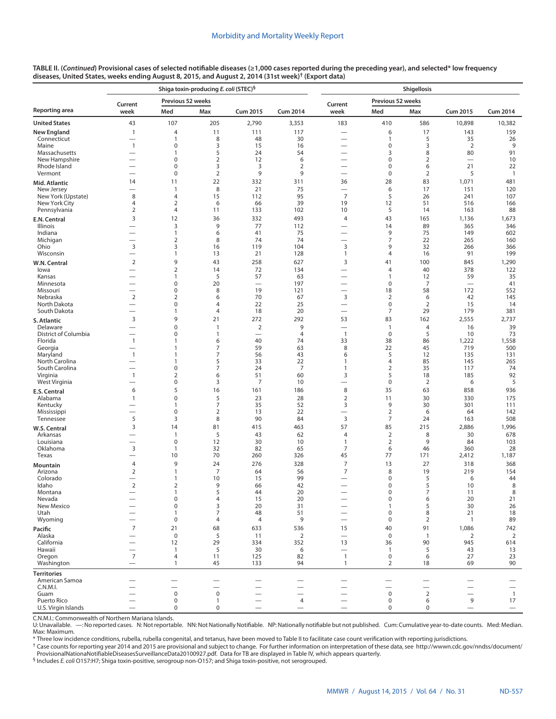|                                  |                                            |                            | Shiga toxin-producing E. coli (STEC) <sup>§</sup> |                                   |                          | Shigellosis                                          |                             |                                |                                         |                       |  |  |  |
|----------------------------------|--------------------------------------------|----------------------------|---------------------------------------------------|-----------------------------------|--------------------------|------------------------------------------------------|-----------------------------|--------------------------------|-----------------------------------------|-----------------------|--|--|--|
|                                  | Current                                    | Previous 52 weeks          |                                                   |                                   |                          | Current                                              | Previous 52 weeks           |                                |                                         |                       |  |  |  |
| Reporting area                   | week                                       | Med                        | Max                                               | <b>Cum 2015</b>                   | <b>Cum 2014</b>          | week                                                 | Med                         | Max                            | <b>Cum 2015</b>                         | <b>Cum 2014</b>       |  |  |  |
| United States                    | 43                                         | 107                        | 205                                               | 2,790                             | 3,353                    | 183                                                  | 410                         | 586                            | 10,898                                  | 10,382                |  |  |  |
| New England<br>Connecticut       | $\mathbf{1}$<br>$\overline{\phantom{0}}$   | 4<br>1                     | 11<br>8                                           | 111<br>48                         | 117<br>30                |                                                      | 6<br>1                      | 17<br>5                        | 143<br>35                               | 159<br>26             |  |  |  |
| Maine                            | $\mathbf{1}$                               | $\mathbf 0$                | 3                                                 | 15                                | 16                       |                                                      | 0                           | 3                              | $\overline{2}$                          | 9                     |  |  |  |
| Massachusetts<br>New Hampshire   | $\overline{\phantom{0}}$                   | 1<br>$\mathbf 0$           | 5<br>$\overline{2}$                               | 24<br>12                          | 54<br>6                  | $\overline{\phantom{0}}$                             | 3<br>0                      | 8<br>$\overline{2}$            | 80<br>$\overbrace{\phantom{123221111}}$ | 91<br>10              |  |  |  |
| Rhode Island                     | $\overline{\phantom{0}}$                   | $\mathbf 0$                | 3                                                 | 3                                 | $\overline{2}$           |                                                      | 0                           | 6                              | 21                                      | 22                    |  |  |  |
| Vermont                          | $\overline{\phantom{0}}$                   | $\mathbf 0$                | $\overline{2}$                                    | 9                                 | 9                        |                                                      | $\mathbf 0$                 | 2                              | 5                                       | $\mathbf{1}$          |  |  |  |
| Mid. Atlantic                    | 14                                         | 11<br>$\mathbf{1}$         | 22<br>8                                           | 332<br>21                         | 311<br>75                | 36                                                   | 28<br>6                     | 83<br>17                       | 1,071<br>151                            | 481<br>120            |  |  |  |
| New Jersey<br>New York (Upstate) | -<br>8                                     | $\overline{4}$             | 15                                                | 112                               | 95                       | —<br>$\overline{7}$                                  | 5                           | 26                             | 241                                     | 107                   |  |  |  |
| New York City                    | 4                                          | $\mathbf 2$                | 6                                                 | 66                                | 39                       | 19                                                   | 12                          | 51                             | 516                                     | 166                   |  |  |  |
| Pennsylvania                     | $\overline{2}$<br>3                        | $\overline{4}$<br>12       | 11<br>36                                          | 133<br>332                        | 102<br>493               | 10<br>$\overline{4}$                                 | 5<br>43                     | 14                             | 163                                     | 88                    |  |  |  |
| E.N. Central<br>Illinois         | $\overline{\phantom{0}}$                   | 3                          | 9                                                 | 77                                | 112                      | $\overline{\phantom{0}}$                             | 14                          | 165<br>89                      | 1,136<br>365                            | 1,673<br>346          |  |  |  |
| Indiana                          |                                            | $\mathbf{1}$               | 6                                                 | 41                                | 75                       | $\overline{\phantom{0}}$                             | 9                           | 75                             | 149                                     | 602                   |  |  |  |
| Michigan<br>Ohio                 | $\overline{\phantom{0}}$<br>3              | $\overline{2}$<br>3        | 8<br>16                                           | 74<br>119                         | 74<br>104                | $\mathsf 3$                                          | $\overline{7}$<br>9         | 22<br>32                       | 265<br>266                              | 160<br>366            |  |  |  |
| Wisconsin                        | $\overline{\phantom{0}}$                   | $\mathbf{1}$               | 13                                                | 21                                | 128                      | $\mathbf{1}$                                         | 4                           | 16                             | 91                                      | 199                   |  |  |  |
| W.N. Central                     | $\overline{2}$                             | 9                          | 43                                                | 258                               | 627                      | 3                                                    | 41                          | 100                            | 845                                     | 1,290                 |  |  |  |
| lowa                             | $\overline{\phantom{0}}$                   | $\overline{2}$             | 14                                                | 72                                | 134                      | —                                                    | 4                           | 40                             | 378                                     | 122                   |  |  |  |
| Kansas<br>Minnesota              | -                                          | 1<br>$\pmb{0}$             | 5<br>20                                           | 57<br>$\overline{\phantom{0}}$    | 63<br>197                | $\overline{\phantom{0}}$                             | $\mathbf{1}$<br>$\mathbf 0$ | 12<br>$\overline{7}$           | 59<br>$\overline{\phantom{0}}$          | 35<br>41              |  |  |  |
| Missouri                         | —<br>—                                     | $\mathbf 0$                | 8                                                 | 19                                | 121                      | $\overline{\phantom{0}}$                             | 18                          | 58                             | 172                                     | 552                   |  |  |  |
| Nebraska<br>North Dakota         | $\overline{2}$<br>$\overline{\phantom{0}}$ | $\mathbf 2$<br>$\mathbf 0$ | 6<br>$\overline{4}$                               | 70<br>22                          | 67<br>25                 | $\mathsf 3$<br>$\overline{\phantom{0}}$              | $\overline{2}$<br>$\pmb{0}$ | 6<br>2                         | 42<br>15                                | 145<br>14             |  |  |  |
| South Dakota                     | $\overline{\phantom{0}}$                   | 1                          | 4                                                 | 18                                | 20                       | $\equiv$                                             | 7                           | 29                             | 179                                     | 381                   |  |  |  |
| S. Atlantic                      | $\mathsf 3$                                | 9                          | 21                                                | 272                               | 292                      | 53                                                   | 83                          | 162                            | 2,555                                   | 2,737                 |  |  |  |
| Delaware                         | $\overline{\phantom{0}}$                   | $\mathbf 0$                | $\mathbf{1}$                                      | $\overline{2}$                    | 9                        |                                                      | $\mathbf{1}$                | 4                              | 16                                      | 39                    |  |  |  |
| District of Columbia<br>Florida  | -<br>$\mathbf{1}$                          | $\mathbf 0$<br>1           | $\mathbf{1}$<br>6                                 | $\overline{\phantom{0}}$<br>40    | $\overline{4}$<br>74     | $\overline{1}$<br>33                                 | $\mathbf 0$<br>38           | 5<br>86                        | 10<br>1,222                             | 73<br>1,558           |  |  |  |
| Georgia                          | -                                          | 1                          | 7                                                 | 59                                | 63                       | 8                                                    | 22                          | 45                             | 719                                     | 500                   |  |  |  |
| Maryland<br>North Carolina       | $\mathbf{1}$                               | 1<br>1                     | 7<br>5                                            | 56<br>33                          | 43<br>22                 | 6<br>$\mathbf{1}$                                    | 5<br>$\overline{4}$         | 12<br>85                       | 135<br>145                              | 131<br>265            |  |  |  |
| South Carolina                   | $\overline{\phantom{0}}$                   | $\pmb{0}$                  | 7                                                 | 24                                | 7                        | $\mathbf{1}$                                         | $\overline{2}$              | 35                             | 117                                     | 74                    |  |  |  |
| Virginia                         | $\mathbf{1}$                               | $\mathbf 2$                | 6                                                 | 51                                | 60                       | 3                                                    | 5                           | 18                             | 185                                     | 92                    |  |  |  |
| West Virginia                    | 6                                          | $\mathbf 0$<br>5           | 3<br>16                                           | $\overline{7}$<br>161             | 10<br>186                | $\overline{\phantom{0}}$<br>8                        | $\pmb{0}$<br>35             | $\overline{2}$<br>63           | 6<br>858                                | 5<br>936              |  |  |  |
| E.S. Central<br>Alabama          | $\mathbf{1}$                               | $\pmb{0}$                  | 5                                                 | 23                                | 28                       | $\overline{2}$                                       | 11                          | 30                             | 330                                     | 175                   |  |  |  |
| Kentucky                         |                                            | 1                          | $\overline{7}$                                    | 35                                | 52                       | 3                                                    | 9                           | 30                             | 301                                     | 111                   |  |  |  |
| Mississippi<br>Tennessee         | $\overline{\phantom{0}}$<br>5              | $\mathbf 0$<br>3           | $\overline{2}$<br>8                               | 13<br>90                          | 22<br>84                 | $\overline{\phantom{0}}$<br>3                        | $\overline{2}$<br>7         | 6<br>24                        | 64<br>163                               | 142<br>508            |  |  |  |
| W.S. Central                     | 3                                          | 14                         | 81                                                | 415                               | 463                      | 57                                                   | 85                          | 215                            | 2,886                                   | 1,996                 |  |  |  |
| Arkansas                         | ۰                                          | 1                          | 5                                                 | 43                                | 62                       | $\overline{4}$                                       | $\overline{2}$              | 8                              | 30                                      | 678                   |  |  |  |
| Louisiana<br>Oklahoma            | $\overline{\phantom{0}}$<br>$\overline{3}$ | $\mathbf 0$<br>1           | 12                                                | 30<br>82                          | 10<br>65                 | $\mathbf{1}$<br>$\overline{7}$                       | $\overline{2}$<br>6         | 9                              | 84<br>360                               | 103                   |  |  |  |
| Texas                            | $\overline{\phantom{0}}$                   | 10                         | 32<br>70                                          | 260                               | 326                      | 45                                                   | 77                          | 46<br>171                      | 2,412                                   | 28<br>1,187           |  |  |  |
| Mountain                         | 4                                          | 9                          | 24                                                | 276                               | 328                      | $\overline{7}$                                       | 13                          | 27                             | 318                                     | 368                   |  |  |  |
| Arizona                          | $\overline{2}$                             | 1                          | $\overline{7}$                                    | 64                                | 56                       | $\overline{7}$                                       | 8                           | 19                             | 219                                     | 154                   |  |  |  |
| Colorado<br>Idaho                | $\overline{2}$                             | 1<br>2                     | 10<br>9                                           | 15<br>66                          | 99<br>42                 | $\overline{\phantom{0}}$<br>$\overline{\phantom{0}}$ | 0<br>0                      | 5<br>5                         | 6<br>10                                 | 44<br>8               |  |  |  |
| Montana                          |                                            |                            | 5                                                 | 44                                | 20                       |                                                      | 0                           |                                | 11                                      | 8                     |  |  |  |
| Nevada<br>New Mexico             |                                            | $\pmb{0}$<br>$\mathbf 0$   | 4<br>3                                            | 15<br>20                          | 20<br>31                 | $\overline{\phantom{0}}$                             | 0<br>$\mathbf{1}$           | 6<br>5                         | 20<br>30                                | 21<br>26              |  |  |  |
| Utah                             |                                            | 1                          | $\overline{7}$                                    | 48                                | 51                       | $\overline{\phantom{0}}$                             | $\pmb{0}$                   | 8                              | 21                                      | 18                    |  |  |  |
| Wyoming                          | $\overline{\phantom{0}}$                   | $\pmb{0}$                  | $\overline{4}$                                    | $\overline{4}$                    | 9                        |                                                      | $\mathbf 0$                 | $\overline{2}$                 | $\mathbf{1}$                            | 89                    |  |  |  |
| Pacific                          | $\overline{7}$                             | 21                         | 68                                                | 633                               | 536                      | 15                                                   | 40                          | 91                             | 1,086                                   | 742                   |  |  |  |
| Alaska<br>California             | $\overline{\phantom{0}}$                   | $\mathsf 0$<br>12          | 5<br>29                                           | 11<br>334                         | $\overline{2}$<br>352    | $\overbrace{\phantom{12322111}}$<br>13               | $\mathbf 0$<br>36           | $\overline{\phantom{a}}$<br>90 | $\overline{2}$<br>945                   | $\overline{2}$<br>614 |  |  |  |
| Hawaii                           | -                                          | $\mathbf{1}$               | 5                                                 | 30                                | 6                        | $\overbrace{\phantom{123221111}}$                    | $\mathbf{1}$                | 5                              | 43                                      | 13                    |  |  |  |
| Oregon<br>Washington             | $\overline{7}$<br>$\overline{\phantom{0}}$ | 4<br>1                     | 11<br>45                                          | 125<br>133                        | 82<br>94                 | $\mathbf{1}$<br>$\mathbf{1}$                         | $\mathbf 0$<br>2            | 6<br>18                        | 27<br>69                                | 23<br>90              |  |  |  |
| <b>Territories</b>               |                                            |                            |                                                   |                                   |                          |                                                      |                             |                                |                                         |                       |  |  |  |
| American Samoa                   |                                            | $\overline{\phantom{0}}$   |                                                   |                                   |                          |                                                      |                             |                                |                                         |                       |  |  |  |
| C.N.M.I.<br>Guam                 |                                            | —<br>$\mathsf 0$           | $\mathbf 0$                                       |                                   | $\overline{\phantom{0}}$ |                                                      | $\mathbf 0$                 | —<br>$\sqrt{2}$                | $\overline{\phantom{0}}$                | $\overline{1}$        |  |  |  |
| Puerto Rico                      | $\overline{\phantom{0}}$                   | 0                          | $\mathbf{1}$                                      | $\overbrace{\phantom{123221111}}$ | 4                        | $\qquad \qquad -$                                    | $\mathbf 0$                 | 6                              | $\overline{9}$                          | 17                    |  |  |  |
| U.S. Virgin Islands              | $\overline{\phantom{0}}$                   | $\pmb{0}$                  | $\mathsf 0$                                       | $\overline{\phantom{0}}$          | $\overline{\phantom{0}}$ | —                                                    | $\mathbf 0$                 | $\mathbf 0$                    | $\overline{\phantom{0}}$                | $\qquad \qquad -$     |  |  |  |

C.N.M.I.: Commonwealth of Northern Mariana Islands.

U: Unavailable. —: No reported cases. N: Not reportable. NN: Not Nationally Notifiable. NP: Nationally notifiable but not published. Cum: Cumulative year-to-date counts. Med: Median. Max: Maximum.

\* Three low incidence conditions, rubella, rubella congenital, and tetanus, have been moved to Table II to facilitate case count verification with reporting jurisdictions.

† Case counts for reporting year 2014 and 2015 are provisional and subject to change. For further information on interpretation of these data, see [http://wwwn.cdc.gov/nndss/document/](http://wwwn.cdc.gov/nndss/document/ProvisionalNationaNotifiableDiseasesSurveillanceData20100927.pdf) [ProvisionalNationaNotifiableDiseasesSurveillanceData20100927.pdf](http://wwwn.cdc.gov/nndss/document/ProvisionalNationaNotifiableDiseasesSurveillanceData20100927.pdf). Data for TB are displayed in Table IV, which appears quarterly.

§ Includes *E. coli* O157:H7; Shiga toxin-positive, serogroup non-O157; and Shiga toxin-positive, not serogrouped.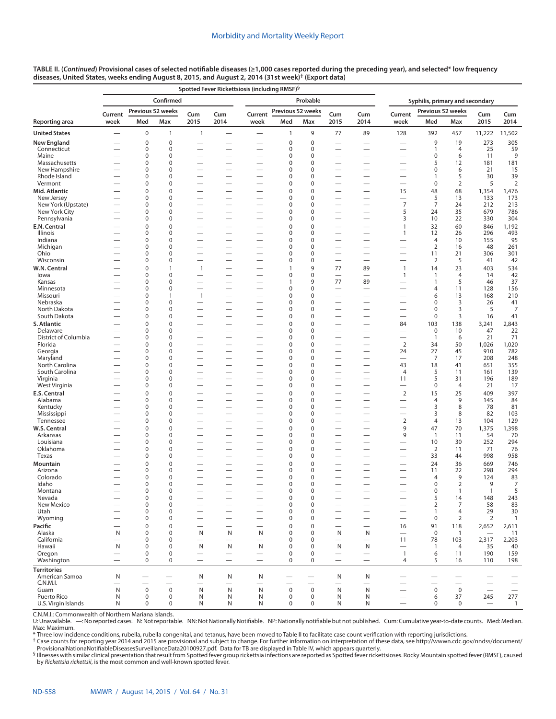|                              |                          |                            |                             |                                                      | Spotted Fever Rickettsiosis (including RMSF) <sup>§</sup> |                                                      |                            |                            |                          |                                                               |                                            |                              |                      |              |                          |
|------------------------------|--------------------------|----------------------------|-----------------------------|------------------------------------------------------|-----------------------------------------------------------|------------------------------------------------------|----------------------------|----------------------------|--------------------------|---------------------------------------------------------------|--------------------------------------------|------------------------------|----------------------|--------------|--------------------------|
|                              |                          |                            | Confirmed                   |                                                      |                                                           | Syphilis, primary and secondary                      |                            |                            |                          |                                                               |                                            |                              |                      |              |                          |
|                              | Current                  |                            | Previous 52 weeks           | Cum                                                  | Cum                                                       | Current                                              | Previous 52 weeks          |                            | Cum                      | Cum                                                           | Current                                    | Previous 52 weeks            |                      | Cum          | Cum                      |
| Reporting area               | week                     | Med                        | Max                         | 2015                                                 | 2014                                                      | week                                                 | Med                        | Max                        | 2015                     | 2014                                                          | week                                       | Med                          | Max                  | 2015         | 2014                     |
| <b>United States</b>         |                          | $\bf 0$                    | 1                           | $\mathbf{1}$                                         |                                                           | $\overline{\phantom{0}}$                             | 1                          | 9                          | 77                       | 89                                                            | 128                                        | 392                          | 457                  | 11,222       | 11,502                   |
| New England                  |                          | $\mathbf 0$                | $\mathbf 0$                 |                                                      |                                                           |                                                      | $\mathbf 0$                | $\mathbf 0$                |                          |                                                               |                                            | 9                            | 19                   | 273          | 305                      |
| Connecticut<br>Maine         |                          | $\mathbf 0$<br>$\mathbf 0$ | $\mathbf 0$<br>$\mathbf 0$  | $\overline{\phantom{0}}$                             |                                                           | —                                                    | 0<br>$\mathbf 0$           | $\mathbf 0$<br>$\mathbf 0$ |                          | $\overline{\phantom{0}}$                                      | -                                          | $\mathbf{1}$<br>0            | $\overline{4}$<br>6  | 25<br>11     | 59<br>9                  |
| Massachusetts                |                          | $\mathbf 0$                | $\Omega$                    |                                                      |                                                           | -                                                    | O                          | $\mathbf 0$                | -                        | $\overline{\phantom{0}}$                                      |                                            | 5                            | 12                   | 181          | 181                      |
| New Hampshire                |                          | $\mathbf 0$                | $\mathbf 0$                 |                                                      |                                                           |                                                      | 0                          | $\mathbf 0$                |                          |                                                               |                                            | 0                            | 6                    | 21           | 15                       |
| Rhode Island                 |                          | $\mathbf 0$                | $\Omega$                    | -                                                    |                                                           | —                                                    | $\Omega$                   | $\mathbf 0$                | -                        | $\overline{\phantom{0}}$                                      | -                                          | 1                            | 5                    | 30           | 39                       |
| Vermont                      |                          | 0                          | $\mathbf 0$                 |                                                      |                                                           | —                                                    | 0                          | $\mathbf 0$                | -                        | $\overline{\phantom{0}}$                                      | —                                          | 0                            | $\overline{2}$       | 5            | $\overline{2}$           |
| Mid. Atlantic<br>New Jersey  |                          | $\mathbf 0$<br>$\mathbf 0$ | $\mathbf 0$<br>$\mathbf 0$  |                                                      |                                                           | $\overline{\phantom{0}}$                             | $\Omega$<br>0              | $\mathbf 0$<br>$\mathbf 0$ |                          |                                                               | 15<br>—                                    | 48<br>5                      | 68<br>13             | 1,354<br>133 | 1,476<br>173             |
| New York (Upstate)           |                          | $\mathbf 0$                | $\mathbf 0$                 | $\overline{\phantom{0}}$                             | —                                                         | $\overline{\phantom{0}}$                             | $\Omega$                   | $\mathbf 0$                |                          |                                                               | $\overline{7}$                             | $\overline{7}$               | 24                   | 212          | 213                      |
| New York City                |                          | $\mathbf 0$                | $\mathbf 0$                 |                                                      |                                                           | —                                                    | 0                          | $\mathbf 0$                | —                        |                                                               | 5                                          | 24                           | 35                   | 679          | 786                      |
| Pennsylvania                 |                          | $\mathbf 0$                | $\mathbf 0$                 |                                                      | —                                                         | $\overline{\phantom{0}}$                             | 0                          | $\mathbf 0$                |                          | $\overline{\phantom{0}}$                                      | 3                                          | 10                           | 22                   | 330          | 304                      |
| E.N. Central                 |                          | $\mathbf 0$<br>0           | $\mathbf 0$<br>$\mathbf 0$  | -                                                    | —                                                         | $\overline{\phantom{0}}$<br>$\overline{\phantom{0}}$ | $\mathbf 0$<br>$\mathbf 0$ | $\mathbf 0$<br>$\mathbf 0$ |                          | -<br>$\overline{\phantom{0}}$                                 | $\overline{1}$<br>$\mathbf{1}$             | 32<br>12                     | 60                   | 846<br>296   | 1,192                    |
| Illinois<br>Indiana          |                          | $\mathbf 0$                | $\mathbf 0$                 | -                                                    |                                                           |                                                      | $\Omega$                   | $\mathbf 0$                |                          |                                                               |                                            | 4                            | 26<br>10             | 155          | 493<br>95                |
| Michigan                     |                          | 0                          | $\mathbf 0$                 |                                                      |                                                           |                                                      | $\mathbf 0$                | $\mathbf 0$                |                          |                                                               |                                            | $\overline{2}$               | 16                   | 48           | 261                      |
| Ohio                         |                          | 0                          | $\mathbf 0$                 |                                                      |                                                           |                                                      | $\Omega$                   | $\mathbf 0$                |                          |                                                               |                                            | 11                           | 21                   | 306          | 301                      |
| Wisconsin                    |                          | $\mathbf 0$                | $\mathbf 0$                 | -                                                    |                                                           | —                                                    | $\Omega$                   | $\mathbf 0$                | $\overline{\phantom{0}}$ |                                                               | -                                          | $\overline{2}$               | 5                    | 41           | 42                       |
| W.N. Central                 |                          | $\mathbf 0$<br>0           | $\mathbf{1}$<br>$\mathbf 0$ | $\mathbf{1}$<br>$\overline{\phantom{0}}$             |                                                           | $\overline{\phantom{0}}$                             | 1<br>$\mathbf 0$           | 9<br>$\mathbf 0$           | 77                       | 89                                                            | $\overline{1}$                             | 14                           | 23<br>$\overline{4}$ | 403          | 534                      |
| lowa<br>Kansas               |                          | 0                          | 0                           | $\overline{\phantom{0}}$                             | $\overline{\phantom{0}}$                                  | —                                                    | 1                          | 9                          | 77                       | 89                                                            | $\overline{1}$                             | $\mathbf{1}$<br>$\mathbf{1}$ | 5                    | 14<br>46     | 42<br>37                 |
| Minnesota                    |                          | $\mathbf 0$                | $\mathbf 0$                 |                                                      |                                                           |                                                      | $\Omega$                   | $\mathbf 0$                |                          |                                                               |                                            | 4                            | 11                   | 128          | 156                      |
| Missouri                     |                          | 0                          | $\mathbf{1}$                | $\mathbf{1}$                                         |                                                           |                                                      | $\mathbf 0$                | $\mathbf 0$                |                          |                                                               |                                            | 6                            | 13                   | 168          | 210                      |
| Nebraska                     |                          | $\mathbf 0$                | $\mathbf 0$                 |                                                      |                                                           |                                                      | $\mathbf 0$                | $\mathbf 0$                |                          |                                                               |                                            | 0                            | 3                    | 26           | 41                       |
| North Dakota<br>South Dakota |                          | $\mathbf 0$<br>0           | $\mathbf 0$<br>$\mathbf 0$  | -                                                    |                                                           | $\overline{\phantom{0}}$                             | $\Omega$<br>$\Omega$       | $\mathbf 0$<br>$\mathbf 0$ |                          |                                                               |                                            | $\pmb{0}$<br>$\mathbf 0$     | 3<br>3               | 5<br>16      | 7<br>41                  |
| S. Atlantic                  |                          | $\mathbf 0$                | $\mathbf 0$                 |                                                      |                                                           | -                                                    | $\mathbf 0$                | $\mathbf 0$                |                          |                                                               | 84                                         | 103                          | 138                  | 3,241        | 2,843                    |
| Delaware                     |                          | 0                          | 0                           | $\overline{\phantom{0}}$                             | $\overline{\phantom{0}}$                                  | $\overline{\phantom{0}}$                             | $\mathbf 0$                | 0                          | $\overline{\phantom{0}}$ | $\overline{\phantom{0}}$                                      |                                            | 0                            | 10                   | 47           | 22                       |
| District of Columbia         |                          | 0                          | $\mathbf 0$                 | -                                                    |                                                           | $\overline{\phantom{0}}$                             | $\mathbf 0$                | $\mathbf 0$                | $\overline{\phantom{0}}$ |                                                               | —                                          | $\mathbf{1}$                 | 6                    | 21           | 71                       |
| Florida                      |                          | 0                          | $\mathbf 0$                 |                                                      |                                                           | $\overline{\phantom{0}}$                             | $\mathbf 0$                | $\mathbf 0$                | $\overline{\phantom{0}}$ |                                                               | $\overline{2}$                             | 34                           | 50                   | 1,026        | 1,020                    |
| Georgia<br>Maryland          | $\overline{\phantom{0}}$ | 0<br>0                     | $\mathbf 0$<br>0            | $\overline{\phantom{0}}$<br>$\overline{\phantom{0}}$ | $\overline{\phantom{0}}$                                  | $\overline{\phantom{0}}$<br>—                        | $\mathbf 0$<br>$\mathbf 0$ | $\mathbf 0$<br>0           | —                        | $\overline{\phantom{0}}$                                      | 24<br>$\overline{\phantom{0}}$             | 27<br>$\overline{7}$         | 45<br>17             | 910<br>208   | 782<br>248               |
| North Carolina               |                          | $\mathbf 0$                | $\mathbf 0$                 |                                                      |                                                           |                                                      | $\Omega$                   | $\mathbf 0$                |                          | $\overline{\phantom{0}}$                                      | 43                                         | 18                           | 41                   | 651          | 355                      |
| South Carolina               |                          | 0                          | $\mathbf 0$                 |                                                      |                                                           |                                                      | $\mathbf 0$                | $\mathbf 0$                |                          |                                                               | 4                                          | 5                            | 11                   | 161          | 139                      |
| Virginia                     |                          | 0                          | $\mathbf 0$                 |                                                      |                                                           |                                                      | 0                          | $\mathbf 0$                |                          |                                                               | 11                                         | 5                            | 31                   | 196          | 189                      |
| West Virginia                |                          | 0                          | $\mathbf 0$                 |                                                      |                                                           |                                                      | $\Omega$                   | $\mathbf 0$                |                          |                                                               |                                            | $\pmb{0}$                    | $\overline{4}$       | 21           | 17                       |
| E.S. Central<br>Alabama      |                          | $\mathbf 0$<br>0           | $\mathbf 0$<br>$\mathbf 0$  | $\overline{\phantom{0}}$                             |                                                           | $\overline{\phantom{0}}$                             | $\mathbf 0$<br>$\mathbf 0$ | $\mathbf 0$<br>$\mathbf 0$ |                          |                                                               | $\overline{2}$<br>$\overline{\phantom{0}}$ | 15<br>4                      | 25<br>9              | 409<br>145   | 397<br>84                |
| Kentucky                     |                          | 0                          | 0                           | $\overline{\phantom{0}}$                             |                                                           | $\overline{\phantom{0}}$                             | $\mathbf 0$                | 0                          | $\overline{\phantom{0}}$ |                                                               |                                            | 3                            | 8                    | 78           | 81                       |
| Mississippi                  |                          | 0                          | $\mathbf 0$                 | -                                                    |                                                           | $\overline{\phantom{0}}$                             | 0                          | $\mathbf 0$                | $\overline{\phantom{0}}$ | $\overline{\phantom{0}}$                                      | —                                          | 3                            | 8                    | 82           | 103                      |
| Tennessee                    |                          | 0                          | $\mathbf 0$                 |                                                      |                                                           |                                                      | $\mathbf 0$                | $\mathbf 0$                |                          |                                                               | $\overline{2}$                             | 4                            | 13                   | 104          | 129                      |
| W.S. Central                 |                          | $\pmb{0}$<br>0             | $\mathbf 0$<br>$\Omega$     | $\overline{\phantom{0}}$                             |                                                           | —                                                    | $\Omega$<br>O              | $\mathbf 0$<br>$\mathbf 0$ | -                        | $\overline{\phantom{0}}$<br>$\overline{\phantom{0}}$          | 9                                          | 47                           | 70                   | 1,375        | 1,398                    |
| Arkansas<br>Louisiana        |                          | $\mathbf 0$                | $\mathbf 0$                 |                                                      |                                                           | -                                                    | 0                          | $\mathbf 0$                |                          |                                                               | 9                                          | $\mathbf{1}$<br>10           | 11<br>30             | 54<br>252    | 70<br>294                |
| Oklahoma                     |                          | $\mathbf 0$                | $\Omega$                    |                                                      |                                                           | —                                                    | $\Omega$                   | $\mathbf 0$                |                          | $\overline{\phantom{0}}$                                      | -                                          | 2                            | 11                   | 71           | 76                       |
| Texas                        |                          | 0                          | $\mathbf 0$                 | $\overline{\phantom{0}}$                             |                                                           | —                                                    | 0                          | $\mathbf 0$                |                          | $\overline{\phantom{0}}$                                      | —                                          | 33                           | 44                   | 998          | 958                      |
| Mountain                     |                          | $\mathbf 0$                | $\Omega$                    |                                                      |                                                           |                                                      | $\Omega$                   | $\mathbf 0$                |                          |                                                               |                                            | 24                           | 36                   | 669          | 746                      |
| Arizona<br>Colorado          |                          | $\mathbf 0$<br>0           | $\mathbf 0$<br>$\mathbf 0$  |                                                      |                                                           |                                                      | 0<br>$\mathbf 0$           | 0<br>$\mathbf 0$           |                          |                                                               |                                            | 11<br>4                      | 22<br>9              | 298<br>124   | 294<br>83                |
| Idaho                        |                          | $\mathbf 0$                | 0                           | $\overline{\phantom{0}}$                             |                                                           | —                                                    | 0                          | 0                          | $\overline{\phantom{0}}$ |                                                               | —                                          | $\mathbf 0$                  | $\overline{2}$       | 9            | $\overline{7}$           |
| Montana                      |                          | $\Omega$                   | $\Omega$                    |                                                      |                                                           |                                                      | $\Omega$                   | $\Omega$                   |                          |                                                               |                                            | $\Omega$                     | $\mathbf{1}$         | $\mathbf{1}$ | 5                        |
| Nevada                       |                          | $\bf 0$                    | $\mathbf 0$                 |                                                      |                                                           |                                                      | $\mathbf 0$                | $\pmb{0}$                  |                          |                                                               |                                            | 5                            | 14                   | 148          | 243                      |
| New Mexico                   |                          | 0<br>0                     | $\pmb{0}$<br>0              | $\overline{\phantom{0}}$                             | $\overline{\phantom{0}}$                                  | $\overline{\phantom{0}}$<br>—                        | 0<br>0                     | $\pmb{0}$<br>$\mathbf 0$   |                          | $\qquad \qquad -$                                             |                                            | $\overline{2}$               | 7<br>4               | 58<br>29     | 83<br>$30\,$             |
| Utah<br>Wyoming              |                          | 0                          | 0                           | $\overline{\phantom{0}}$                             | $\overline{\phantom{0}}$                                  | $\overline{\phantom{0}}$                             | 0                          | 0                          |                          | $\overbrace{\phantom{123221111}}$<br>$\equiv$                 | —<br>$\overline{\phantom{0}}$              | $\mathbf{1}$<br>0            | 2                    | 2            | $\overline{1}$           |
| Pacific                      |                          | $\mathbf 0$                | $\mathbf 0$                 | $\overline{\phantom{0}}$                             | $\overline{\phantom{0}}$                                  |                                                      | $\Omega$                   | $\mathbf 0$                |                          | $\overbrace{\phantom{12322111}}$                              | 16                                         | 91                           | 118                  | 2,652        | 2,611                    |
| Alaska                       | N                        | 0                          | $\mathbf 0$                 | N                                                    | N                                                         | N                                                    | 0                          | $\mathbf 0$                | N                        | N                                                             | $\qquad \qquad -$                          | $\mathbf 0$                  | $\mathbf{1}$         |              | 11                       |
| California                   | $\qquad \qquad$          | $\mathbf 0$                | $\mathbf 0$                 | $\overline{\phantom{0}}$                             |                                                           | $\overline{\phantom{0}}$                             | 0                          | 0                          | $\overline{\phantom{0}}$ | $\overbrace{\phantom{123221111}}$                             | 11                                         | 78                           | 103                  | 2,317        | 2,203                    |
| Hawaii                       | N                        | $\mathbf 0$<br>$\bf 0$     | $\mathbf 0$<br>0            | N                                                    | N                                                         | N                                                    | 0<br>0                     | $\mathbf 0$<br>0           | N                        | N                                                             | $\mathbf{1}$                               | $\mathbf{1}$                 | $\overline{4}$<br>11 | 35<br>190    | 40<br>159                |
| Oregon<br>Washington         |                          | $\mathbf 0$                | 0                           | $\overline{\phantom{0}}$                             | $\qquad \qquad -$                                         | $\overline{\phantom{0}}$                             | 0                          | $\mathbf 0$                | $\overline{\phantom{0}}$ | $\overbrace{\phantom{123221111}}$<br>$\overline{\phantom{m}}$ | $\overline{4}$                             | 6<br>5                       | 16                   | 110          | 198                      |
| <b>Territories</b>           |                          |                            |                             |                                                      |                                                           |                                                      |                            |                            |                          |                                                               |                                            |                              |                      |              |                          |
| American Samoa               | N                        | —                          | —                           | N                                                    | N                                                         | N                                                    | —                          | $\overline{\phantom{m}}$   | N                        | N                                                             | —                                          |                              | —                    |              |                          |
| C.N.M.I.                     | -                        |                            |                             |                                                      |                                                           |                                                      |                            |                            |                          |                                                               |                                            |                              |                      |              | $\overline{\phantom{0}}$ |
| Guam<br>Puerto Rico          | $\mathsf{N}$<br>N        | $\mathbf 0$<br>$\mathbf 0$ | $\boldsymbol{0}$<br>0       | N<br>N                                               | N<br>N                                                    | $\mathsf{N}$<br>N                                    | $\mathbf 0$<br>0           | $\pmb{0}$<br>$\pmb{0}$     | $\mathsf{N}$<br>N        | N<br>N                                                        | $\overline{\phantom{0}}$                   | $\boldsymbol{0}$<br>6        | $\mathsf 0$<br>37    | 245          | 277                      |
| U.S. Virgin Islands          | N                        | $\mathbf 0$                | 0                           | N                                                    | N                                                         | N                                                    | $\mathbf 0$                | 0                          | N                        | N                                                             |                                            | 0                            | $\mathbf 0$          |              | $\mathbf{1}$             |

C.N.M.I.: Commonwealth of Northern Mariana Islands.

U: Unavailable. —: No reported cases. N: Not reportable. NN: Not Nationally Notifiable. NP: Nationally notifiable but not published. Cum: Cumulative year-to-date counts. Med: Median. Max: Maximum.

\* Three low incidence conditions, rubella, rubella congenital, and tetanus, have been moved to Table II to facilitate case count verification with reporting jurisdictions.

† Case counts for reporting year 2014 and 2015 are provisional and subject to change. For further information on interpretation of these data, see [http://wwwn.cdc.gov/nndss/document/](http://wwwn.cdc.gov/nndss/document/ProvisionalNationaNotifiableDiseasesSurveillanceData20100927.pdf)

[ProvisionalNationaNotifiableDiseasesSurveillanceData20100927.pdf](http://wwwn.cdc.gov/nndss/document/ProvisionalNationaNotifiableDiseasesSurveillanceData20100927.pdf). Data for TB are displayed in Table IV, which appears quarterly.<br><sup>§</sup> Illnesses with similar clinical presentation that result from Spotted fever group ricket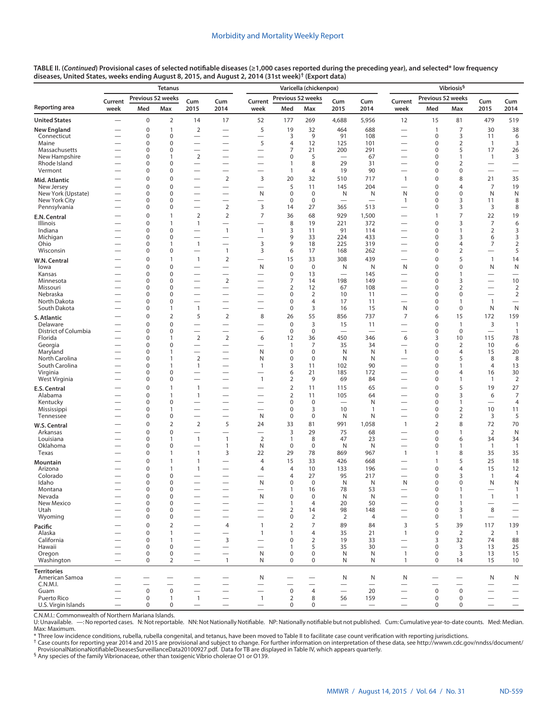|                                        |                                                      | <b>Tetanus</b>             |                     |                                                      |                                                      |                                                      | Varicella (chickenpox)      |                               |                                                      |                                |                                                      | Vibriosis <sup>§</sup>     |                                         |                          |                          |  |
|----------------------------------------|------------------------------------------------------|----------------------------|---------------------|------------------------------------------------------|------------------------------------------------------|------------------------------------------------------|-----------------------------|-------------------------------|------------------------------------------------------|--------------------------------|------------------------------------------------------|----------------------------|-----------------------------------------|--------------------------|--------------------------|--|
| Reporting area<br><b>United States</b> | Current<br>week                                      | Previous 52 weeks<br>Med   | Max                 | Cum<br>2015                                          | Cum<br>2014                                          | Current<br>week                                      | Previous 52 weeks<br>Med    | Max                           | Cum<br>2015                                          | Cum<br>2014                    | Current<br>week                                      | Previous 52 weeks<br>Med   | Max                                     | Cum<br>2015              | Cum<br>2014              |  |
|                                        |                                                      | 0                          | $\overline{2}$      | 14                                                   | 17                                                   | 52                                                   | 177                         | 269                           | 4,688                                                | 5,956                          | 12                                                   | 15                         | 81                                      | 479                      | 519                      |  |
| New England                            |                                                      | $\mathbf 0$                | 1                   | $\overline{2}$                                       |                                                      | 5                                                    | 19                          | 32                            | 464                                                  | 688                            |                                                      | $\mathbf{1}$               | $\overline{7}$                          | 30                       | 38                       |  |
| Connecticut                            |                                                      | $\mathbf 0$                | 0                   |                                                      |                                                      |                                                      | 3                           | 9                             | 91                                                   | 108                            |                                                      | $\mathbf 0$                | 3                                       | 11                       | 6                        |  |
| Maine                                  |                                                      | $\mathbf 0$                | 0                   | $\overline{\phantom{0}}$                             |                                                      | 5                                                    | $\overline{4}$              | 12                            | 125                                                  | 101                            |                                                      | 0                          | $\overline{2}$                          | $\overline{1}$           | 3                        |  |
| Massachusetts<br>New Hampshire         |                                                      | $\mathbf 0$<br>$\mathbf 0$ | 0<br>1              | $\overline{\phantom{0}}$<br>$\overline{2}$           | $\overline{\phantom{0}}$<br>$\overline{\phantom{0}}$ | $\overline{\phantom{0}}$<br>-                        | 7<br>0                      | 21<br>5                       | 200                                                  | 291<br>67                      | $\overline{\phantom{0}}$                             | 0<br>0                     | 5<br>$\mathbf{1}$                       | 17<br>$\mathbf{1}$       | 26<br>3                  |  |
| Rhode Island                           |                                                      | $\mathbf 0$                | 0                   |                                                      | $\overline{\phantom{0}}$                             | -                                                    | 1                           | 8                             | 29                                                   | 31                             | $\overline{\phantom{0}}$                             | 0                          | 2                                       |                          |                          |  |
| Vermont                                |                                                      | $\mathbf 0$                | 0                   | $\overline{\phantom{0}}$                             |                                                      |                                                      | $\mathbf{1}$                | 4                             | 19                                                   | 90                             |                                                      | 0                          | 0                                       | $\overline{\phantom{0}}$ | $\overline{\phantom{0}}$ |  |
| Mid. Atlantic                          |                                                      | $\mathbf 0$                | 0                   | -                                                    | $\overline{2}$                                       | 3                                                    | 20                          | 32                            | 510                                                  | 717                            | $\mathbf{1}$                                         | 0                          | 8                                       | 21                       | 35                       |  |
| New Jersey<br>New York (Upstate)       |                                                      | $\mathbf 0$<br>$\mathbf 0$ | 0<br>0              | $\overline{\phantom{0}}$                             | $\overline{\phantom{0}}$<br>$\overline{\phantom{0}}$ | $\overline{\phantom{0}}$<br>N                        | 5<br>$\pmb{0}$              | 11<br>$\mathbf 0$             | 145<br>N                                             | 204<br>N                       | $\overline{\phantom{0}}$<br>N                        | 0<br>0                     | 4<br>0                                  | $\overline{7}$<br>N      | 19<br>N                  |  |
| New York City                          |                                                      | $\mathbf 0$                | 0                   | $\overline{\phantom{0}}$                             | $\overline{\phantom{0}}$                             | -                                                    | $\mathbf 0$                 | $\mathbf 0$                   |                                                      |                                | $\mathbf{1}$                                         | 0                          | 3                                       | 11                       | 8                        |  |
| Pennsylvania                           |                                                      | $\mathbf 0$                | 0                   | $\overline{\phantom{0}}$                             | $\overline{2}$                                       | 3                                                    | 14                          | 27                            | 365                                                  | 513                            | $\overline{\phantom{0}}$                             | 0                          | 3                                       | 3                        | 8                        |  |
| E.N. Central                           |                                                      | $\mathbf 0$<br>$\mathbf 0$ | 1<br>1              | $\overline{2}$                                       | $\overline{2}$                                       | $\overline{7}$                                       | 36                          | 68                            | 929                                                  | 1,500                          | $\overline{\phantom{0}}$                             | $\mathbf{1}$<br>0          | 7                                       | 22<br>$\overline{7}$     | 19                       |  |
| Illinois<br>Indiana                    |                                                      | $\mathbf 0$                | 0                   | $\mathbf{1}$<br>$\overline{\phantom{0}}$             | $\mathbf{1}$                                         | $\mathbf{1}$                                         | 8<br>3                      | 19<br>11                      | 221<br>91                                            | 372<br>114                     |                                                      | 0                          | 3<br>$\mathbf{1}$                       | $\overline{2}$           | 6<br>3                   |  |
| Michigan                               |                                                      | $\mathbf 0$                | 0                   |                                                      | $\overline{\phantom{0}}$                             | -                                                    | 9                           | 33                            | 224                                                  | 433                            | $\overline{\phantom{0}}$                             | 0                          | 3                                       | 6                        | 3                        |  |
| Ohio<br>Wisconsin                      |                                                      | $\mathbf 0$<br>$\mathbf 0$ | 1<br>0              | $\mathbf{1}$                                         | $\overline{\phantom{0}}$<br>$\mathbf{1}$             | 3<br>3                                               | 9<br>6                      | 18<br>17                      | 225<br>168                                           | 319<br>262                     | —                                                    | 0<br>0                     | 4<br>$\overline{2}$                     | 7                        | $\overline{2}$<br>5      |  |
|                                        |                                                      | $\mathbf 0$                | 1                   | $\mathbf{1}$                                         | $\mathbf 2$                                          | $\overline{\phantom{0}}$                             | 15                          | 33                            | 308                                                  | 439                            |                                                      | 0                          | 5                                       | $\mathbf{1}$             | 14                       |  |
| W.N. Central<br>lowa                   |                                                      | $\mathbf 0$                | 0                   |                                                      |                                                      | N                                                    | $\pmb{0}$                   | $\mathbf 0$                   | N                                                    | N                              | N                                                    | 0                          | $\mathbf 0$                             | N                        | ${\sf N}$                |  |
| Kansas                                 |                                                      | $\mathbf 0$                | 0                   |                                                      |                                                      |                                                      | $\pmb{0}$                   | 13                            | $\overline{\phantom{0}}$                             | 145                            |                                                      | 0                          | 1                                       |                          |                          |  |
| Minnesota<br>Missouri                  |                                                      | $\mathbf 0$<br>$\mathbf 0$ | 0<br>0              | $\overline{\phantom{0}}$<br>$\overline{\phantom{0}}$ | $\overline{2}$                                       | $\overline{\phantom{0}}$                             | 7<br>2                      | 14<br>12                      | 198<br>67                                            | 149<br>108                     | $\overline{\phantom{0}}$                             | 0<br>0                     | 3<br>2                                  | $\overline{\phantom{0}}$ | 10<br>$\overline{2}$     |  |
| Nebraska                               |                                                      | $\mathbf 0$                | 0                   |                                                      |                                                      |                                                      | 0                           | $\overline{2}$                | 10                                                   | 11                             | —                                                    | 0                          | $\mathbf 0$                             |                          | $\overline{2}$           |  |
| North Dakota                           |                                                      | $\mathbf 0$                | 0                   | $\overline{\phantom{0}}$                             | $\overline{\phantom{0}}$                             |                                                      | 0                           | $\overline{4}$                | 17                                                   | 11                             | $\overline{\phantom{0}}$                             | 0                          | 1                                       | $\overline{1}$           |                          |  |
| South Dakota                           |                                                      | 0                          | 1                   | $\mathbf{1}$                                         | $\overline{\phantom{0}}$                             |                                                      | $\pmb{0}$                   | 3                             | 16                                                   | 15                             | N                                                    | 0                          | $\mathbf 0$                             | N                        | N                        |  |
| S. Atlantic<br>Delaware                |                                                      | $\mathbf 0$<br>$\mathbf 0$ | $\overline{2}$<br>0 | 5<br>$\overline{\phantom{0}}$                        | $\overline{2}$<br>$\overline{\phantom{0}}$           | 8                                                    | 26<br>$\mathbf 0$           | 55<br>3                       | 856<br>15                                            | 737<br>11                      | $\overline{7}$<br>$\overline{\phantom{0}}$           | 6<br>0                     | 15<br>$\mathbf{1}$                      | 172<br>3                 | 159<br>$\mathbf{1}$      |  |
| District of Columbia                   |                                                      | $\mathbf 0$                | 0                   |                                                      | $\overline{\phantom{0}}$                             | $\overline{\phantom{0}}$                             | $\mathbf 0$                 | $\mathbf 0$                   | $\overline{\phantom{0}}$                             |                                |                                                      | 0                          | $\mathbf 0$                             |                          | $\mathbf{1}$             |  |
| Florida                                |                                                      | $\mathbf 0$                | 1                   | $\overline{2}$                                       | $\overline{2}$                                       | 6                                                    | 12                          | 36                            | 450                                                  | 346                            | 6                                                    | 3                          | 10                                      | 115                      | 78                       |  |
| Georgia<br>Maryland                    |                                                      | $\mathbf 0$<br>$\mathbf 0$ | 0<br>1              | -<br>$\overline{\phantom{0}}$                        | $\overline{\phantom{0}}$                             | —<br>N                                               | $\mathbf{1}$<br>$\mathbf 0$ | $\overline{7}$<br>$\mathbf 0$ | 35<br>N                                              | 34<br>N                        | $\overline{\phantom{0}}$<br>$\mathbf{1}$             | 0<br>0                     | $\overline{2}$<br>4                     | 10<br>15                 | 6<br>20                  |  |
| North Carolina                         |                                                      | $\mathbf 0$                | 1                   | 2                                                    |                                                      | N                                                    | 0                           | $\mathbf 0$                   | N                                                    | N                              | $\overline{\phantom{0}}$                             | 0                          | 5                                       | 8                        | 8                        |  |
| South Carolina                         | -                                                    | $\mathbf 0$                | 1                   | $\mathbf{1}$                                         |                                                      | $\mathbf{1}$                                         | 3                           | 11                            | 102                                                  | 90                             | $\overline{\phantom{0}}$                             | 0                          | 1                                       | $\overline{4}$           | 13                       |  |
| Virginia<br>West Virginia              | $\overline{\phantom{0}}$                             | 0<br>0                     | 0<br>0              | $\overline{\phantom{0}}$<br>$\overline{\phantom{0}}$ | $\overline{\phantom{0}}$                             | -<br>$\mathbf{1}$                                    | 6<br>$\overline{2}$         | 21<br>9                       | 185<br>69                                            | 172<br>84                      | $\overline{\phantom{0}}$<br>$\overline{\phantom{0}}$ | 0<br>0                     | 4<br>1                                  | 16<br>$\mathbf{1}$       | 30<br>$\overline{2}$     |  |
| E.S. Central                           |                                                      | $\mathbf 0$                | 1                   | $\mathbf{1}$                                         | $\overline{\phantom{0}}$                             |                                                      | $\overline{2}$              | 11                            | 115                                                  | 65                             |                                                      | 0                          | 5                                       | 19                       | 27                       |  |
| Alabama                                |                                                      | $\mathbf 0$                | 1                   | $\mathbf{1}$                                         |                                                      |                                                      | $\overline{2}$              | 11                            | 105                                                  | 64                             | $\overline{\phantom{0}}$                             | 0                          | 3                                       | 6                        | $\overline{7}$           |  |
| Kentucky                               |                                                      | 0                          | 0                   |                                                      |                                                      | —                                                    | 0                           | $\mathbf 0$                   | $\overline{\phantom{0}}$                             | N                              |                                                      | 0                          | 1                                       |                          | $\overline{4}$           |  |
| Mississippi<br>Tennessee               |                                                      | $\mathbf 0$<br>0           | 1<br>0              | $\overline{\phantom{0}}$                             | $\overline{\phantom{0}}$                             | -<br>N                                               | 0<br>$\pmb{0}$              | 3<br>$\mathbf 0$              | 10<br>N                                              | $\mathbf{1}$<br>N              | $\overline{\phantom{0}}$                             | 0<br>0                     | $\overline{2}$<br>$\overline{2}$        | 10<br>3                  | 11<br>5                  |  |
| W.S. Central                           |                                                      | $\Omega$                   | $\overline{2}$      | $\mathbf 2$                                          | 5                                                    | 24                                                   | 33                          | 81                            | 991                                                  | 1,058                          | $\mathbf{1}$                                         | 2                          | 8                                       | 72                       | 70                       |  |
| Arkansas                               |                                                      | $\mathbf 0$                | 0                   | -                                                    | $\overline{\phantom{0}}$                             | —                                                    | 3                           | 29                            | 75                                                   | 68                             |                                                      | $\mathbf 0$                | $\mathbf{1}$                            | $\overline{2}$           | $\mathsf{N}$             |  |
| Louisiana                              |                                                      | $\mathbf 0$                | 1                   | $\mathbf{1}$                                         | $\mathbf{1}$                                         | $\overline{2}$                                       | $\mathbf{1}$                | 8                             | 47                                                   | 23                             |                                                      | 0                          | 6                                       | 34                       | 34                       |  |
| Oklahoma<br>Texas                      |                                                      | 0<br>$\mathbf 0$           | 0<br>1              | $\mathbf{1}$                                         | 1<br>3                                               | N<br>22                                              | $\mathbf 0$<br>29           | $\mathbf 0$<br>78             | N<br>869                                             | N<br>967                       | $\overline{1}$                                       | 0<br>$\mathbf{1}$          | 1<br>8                                  | $\overline{1}$<br>35     | $\overline{1}$<br>35     |  |
| Mountain                               |                                                      | $\mathbf 0$                | 1                   | $\mathbf{1}$                                         |                                                      | 4                                                    | 15                          | 33                            | 426                                                  | 668                            |                                                      | $\mathbf{1}$               | 5                                       | 25                       | 18                       |  |
| Arizona                                |                                                      | $\mathbf 0$                | 1                   | $\mathbf{1}$                                         | $\overline{\phantom{0}}$                             | 4                                                    | 4                           | 10                            | 133                                                  | 196                            | $\overline{\phantom{0}}$                             | 0                          | 4                                       | 15                       | 12                       |  |
| Colorado                               |                                                      | $\mathbf 0$                | 0                   |                                                      |                                                      |                                                      | 4                           | 27                            | 95                                                   | 217                            | $\overline{\phantom{0}}$                             | 0                          | 3                                       | $\mathbf{1}$             | 4                        |  |
| Idaho<br>Montana                       | -                                                    | $\mathbf 0$<br>$\Omega$    | 0<br>0              |                                                      |                                                      | N                                                    | 0<br>1                      | $\mathbf 0$<br>16             | N<br>78                                              | N<br>53                        | N                                                    | 0<br>0                     | 0                                       | N                        | N<br>1                   |  |
| Nevada                                 |                                                      | $\mathbf 0$                | $\pmb{0}$           |                                                      | $\overline{\phantom{0}}$                             | N                                                    | $\mathbf 0$                 | $\mathsf 0$                   | N                                                    | N                              | $\overline{\phantom{0}}$                             | $\mathsf 0$                | $\mathbf{1}$                            | $\overline{1}$           | $\mathbf{1}$             |  |
| New Mexico                             |                                                      | $\mathbf 0$                | 0                   | $\overline{\phantom{0}}$                             | $\overline{\phantom{0}}$                             | $\overline{\phantom{0}}$                             | $\mathbf{1}$                | $\overline{4}$                | 20                                                   | 50                             | $\overline{\phantom{0}}$                             | $\mathbf 0$                | $\mathbf{1}$                            | $\overline{\phantom{0}}$ |                          |  |
| Utah<br>Wyoming                        | $\overline{\phantom{0}}$<br>$\overline{\phantom{0}}$ | 0<br>0                     | 0<br>0              | $\overline{\phantom{0}}$<br>$\overline{\phantom{0}}$ | $\overline{\phantom{0}}$<br>$\overline{\phantom{0}}$ | $\overline{\phantom{0}}$<br>$\overline{\phantom{0}}$ | 2<br>0                      | 14<br>2                       | 98<br>2                                              | 148<br>4                       | $\overline{\phantom{0}}$<br>$\overline{\phantom{0}}$ | 0<br>$\mathbf 0$           | 3<br>$\mathbf{1}$                       | 8                        | $\overline{\phantom{0}}$ |  |
| Pacific                                |                                                      | $\mathbf 0$                | $\overline{2}$      | $\overline{\phantom{0}}$                             | 4                                                    | $\mathbf{1}$                                         | $\overline{2}$              | $\overline{7}$                | 89                                                   | 84                             | 3                                                    | 5                          | 39                                      | 117                      | 139                      |  |
| Alaska                                 |                                                      | $\mathbf 0$                | 1                   | $\overbrace{\phantom{123221111}}$                    |                                                      | $\mathbf{1}$                                         | $\mathbf{1}$                | $\overline{4}$                | 35                                                   | 21                             | $\mathbf{1}$                                         | $\mathbf 0$                | $\overline{2}$                          | $\overline{2}$           | $\overline{1}$           |  |
| California                             | $\overline{\phantom{0}}$                             | 0                          | 1                   |                                                      | 3                                                    | $\overline{\phantom{0}}$                             | $\pmb{0}$                   | $\mathbf 2$                   | 19                                                   | 33                             | $\overline{\phantom{0}}$                             | 3                          | 32                                      | 74                       | 88                       |  |
| Hawaii<br>Oregon                       | $\overline{\phantom{0}}$                             | 0<br>0                     | 0<br>$\pmb{0}$      | $\overline{\phantom{0}}$<br>$\equiv$                 | $\overline{\phantom{0}}$<br>$\equiv$                 | N                                                    | 1<br>0                      | 5<br>$\pmb{0}$                | 35<br>N                                              | 30<br>N                        | $\overline{\phantom{0}}$<br>$\mathbf{1}$             | $\mathbf 0$<br>$\mathbf 0$ | 3<br>3                                  | 13<br>13                 | 25<br>15                 |  |
| Washington                             | $\overline{\phantom{0}}$                             | $\mathbf 0$                | 2                   | $\equiv$                                             | $\mathbf{1}$                                         | N                                                    | $\mathbf 0$                 | $\mathbf 0$                   | N                                                    | N                              | $\mathbf{1}$                                         | $\Omega$                   | 14                                      | 15                       | 10                       |  |
| <b>Territories</b>                     |                                                      |                            |                     |                                                      |                                                      |                                                      |                             |                               |                                                      |                                |                                                      |                            |                                         |                          |                          |  |
| American Samoa                         |                                                      |                            |                     |                                                      | $\overline{\phantom{0}}$                             | N                                                    |                             |                               | N                                                    | N                              | N                                                    |                            | $\overline{\phantom{0}}$                | N                        | N                        |  |
| C.N.M.I.<br>Guam                       |                                                      | 0                          | $\mathbf 0$         | $\overline{\phantom{0}}$                             | $\overline{\phantom{0}}$                             | $\overline{\phantom{0}}$                             | $\mathbf 0$                 | 4                             | $\overline{\phantom{0}}$<br>$\overline{\phantom{0}}$ | $\overline{\phantom{0}}$<br>20 |                                                      | $\mathsf 0$                | $\overline{\phantom{0}}$<br>$\mathbf 0$ |                          |                          |  |
| Puerto Rico                            |                                                      | 0                          | $\mathbf{1}$        | $\mathbf{1}$                                         | $\overline{\phantom{0}}$                             | $\mathbf{1}$                                         | $\overline{2}$              | 8                             | 56                                                   | 159                            |                                                      | $\mathbf 0$                | $\mathbf 0$                             | $\overline{\phantom{0}}$ |                          |  |
| U.S. Virgin Islands                    | $\overbrace{\phantom{123221111}}$                    | 0                          | $\pmb{0}$           | $\qquad \qquad -$                                    | $\qquad \qquad -$                                    | $\overline{\phantom{m}}$                             | $\mathbf 0$                 | 0                             | $\overline{\phantom{m}}$                             | $\qquad \qquad -$              | $\qquad \qquad$                                      | 0                          | $\mathbf 0$                             | $\qquad \qquad -$        | $\qquad \qquad -$        |  |

C.N.M.I.: Commonwealth of Northern Mariana Islands.

U: Unavailable. —: No reported cases. N: Not reportable. NN: Not Nationally Notifiable. NP: Nationally notifiable but not published. Cum: Cumulative year-to-date counts. Med: Median. Max: Maximum.<br>\* Three low incidence conditions, rubella, rubella congenital, and tetanus, have been moved to Table II to facilitate case count verification with reporting jurisdictions.<br><sup>†</sup> Case counts for reporting year 2

[ProvisionalNationaNotifiableDiseasesSurveillanceData20100927.pdf](http://wwwn.cdc.gov/nndss/document/ProvisionalNationaNotifiableDiseasesSurveillanceData20100927.pdf). Data for TB are displayed in Table IV, which appears quarterly.<br><sup>§</sup> Any species of the family Vibrionaceae, other than toxigenic Vibrio cholerae O1 or O139.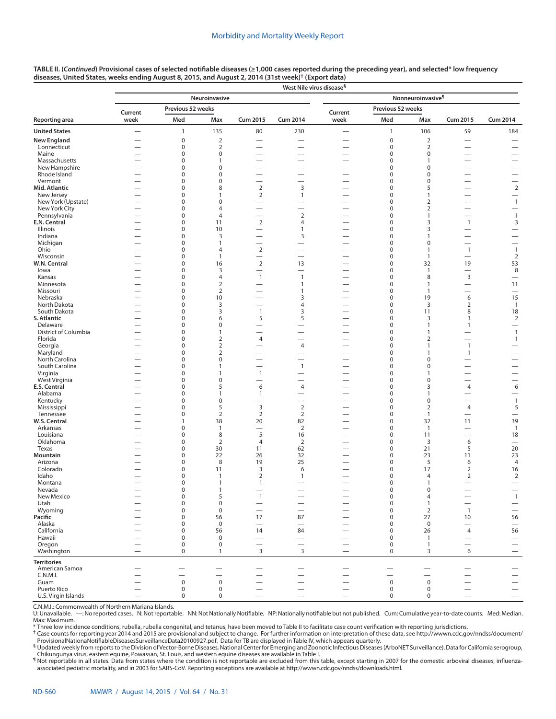|                               |                               |                            |                        |                                            | West Nile virus disease <sup>§</sup>                 |                                                      |                            |                               |                                            |                                                      |
|-------------------------------|-------------------------------|----------------------------|------------------------|--------------------------------------------|------------------------------------------------------|------------------------------------------------------|----------------------------|-------------------------------|--------------------------------------------|------------------------------------------------------|
|                               |                               |                            | Neuroinvasive          |                                            |                                                      |                                                      |                            | Nonneuroinvasive <sup>¶</sup> |                                            |                                                      |
|                               | Current                       | Previous 52 weeks          |                        |                                            |                                                      | Current                                              | Previous 52 weeks          |                               |                                            |                                                      |
| <b>Reporting area</b>         | week                          | Med                        | Max                    | <b>Cum 2015</b>                            | <b>Cum 2014</b>                                      | week                                                 | Med                        | Max                           | <b>Cum 2015</b>                            | <b>Cum 2014</b>                                      |
| <b>United States</b>          | $\overline{\phantom{0}}$      | $\mathbf{1}$               | 135                    | 80                                         | 230                                                  |                                                      | $\mathbf{1}$               | 106                           | 59                                         | 184                                                  |
| <b>New England</b>            |                               | $\mathbf 0$                | $\mathbf 2$            | $\overline{\phantom{0}}$                   |                                                      | $\overline{\phantom{0}}$                             | 0                          | $\overline{2}$                |                                            | $\overline{\phantom{0}}$                             |
| Connecticut                   |                               | 0                          | $\overline{2}$         | -                                          | $\overline{\phantom{0}}$                             | $\overline{\phantom{0}}$                             | 0                          | 2                             | $\overline{\phantom{0}}$                   |                                                      |
| Maine                         |                               | $\mathbf 0$                | $\pmb{0}$              |                                            | $\overline{\phantom{0}}$                             |                                                      | 0                          | 0                             | -                                          |                                                      |
| Massachusetts                 |                               | 0                          | $\mathbf{1}$           | $\overline{\phantom{0}}$                   | $\overline{\phantom{0}}$                             |                                                      | 0                          | 1                             | $\overline{\phantom{0}}$                   | $\overline{\phantom{0}}$                             |
| New Hampshire<br>Rhode Island | $\overline{\phantom{0}}$      | $\mathbf 0$<br>$\mathbf 0$ | $\pmb{0}$<br>$\pmb{0}$ | -<br>$\overline{\phantom{0}}$              | $\overline{\phantom{0}}$<br>$\overline{\phantom{0}}$ | $\overline{\phantom{0}}$                             | 0                          | 0<br>0                        | -<br>$\overline{\phantom{0}}$              | $\overline{\phantom{0}}$                             |
| Vermont                       |                               | $\mathbf 0$                | $\pmb{0}$              | $\overline{\phantom{0}}$                   |                                                      |                                                      | 0<br>0                     | 0                             | $\overline{\phantom{0}}$                   | $\overline{\phantom{0}}$                             |
| Mid. Atlantic                 |                               | 0                          | 8                      | $\overline{2}$                             | 3                                                    | $\overline{\phantom{0}}$                             | 0                          | 5                             | $\overline{\phantom{0}}$                   | $\overline{2}$                                       |
| New Jersey                    |                               | $\mathbf 0$                | $\mathbf{1}$           | $\overline{2}$                             | $\mathbf{1}$                                         | $\overline{\phantom{0}}$                             | 0                          | $\mathbf{1}$                  | -                                          |                                                      |
| New York (Upstate)            |                               | $\mathbf 0$                | $\pmb{0}$              | $\overline{\phantom{0}}$                   |                                                      |                                                      | 0                          | 2                             | $\overline{\phantom{0}}$                   | $\overline{1}$                                       |
| New York City                 |                               | $\mathbf 0$                | $\overline{4}$         | $\overline{\phantom{0}}$                   | $\overline{\phantom{0}}$                             |                                                      | 0                          | 2                             | $\overline{\phantom{0}}$                   | $\overline{\phantom{0}}$                             |
| Pennsylvania                  | $\overline{\phantom{0}}$      | 0                          | $\overline{4}$         | $\overline{\phantom{0}}$                   | $\overline{2}$                                       | $\overline{\phantom{0}}$                             | 0                          | 1                             |                                            | $\overline{1}$                                       |
| E.N. Central                  |                               | $\mathbf 0$                | 11                     | $\overline{2}$                             | $\overline{4}$                                       | $\overline{\phantom{0}}$                             | 0                          | 3                             | $\mathbf{1}$                               | 3                                                    |
| Illinois                      |                               | $\mathbf 0$                | 10                     | $\overline{\phantom{0}}$                   | $\mathbf{1}$                                         | $\overline{\phantom{0}}$                             | 0                          | 3                             | -                                          |                                                      |
| Indiana<br>Michigan           |                               | $\mathbf 0$<br>$\mathbf 0$ | 3<br>$\mathbf{1}$      | $\overline{\phantom{0}}$<br>—              | 3                                                    |                                                      | 0<br>0                     | $\mathbf{1}$<br>0             | -<br>-                                     | $\overline{\phantom{0}}$<br>$\overline{\phantom{0}}$ |
| Ohio                          |                               | $\mathbf 0$                | $\overline{4}$         | $\overline{2}$                             | $\overline{\phantom{0}}$                             | $\overline{\phantom{0}}$                             | 0                          | $\mathbf{1}$                  | $\overline{1}$                             | $\overline{1}$                                       |
| Wisconsin                     |                               | $\mathbf 0$                | $\mathbf{1}$           | $\overline{\phantom{0}}$                   |                                                      | $\overline{\phantom{0}}$                             | 0                          | $\overline{1}$                |                                            | $\overline{2}$                                       |
| W.N. Central                  |                               | $\mathbf 0$                | 16                     | $\overline{2}$                             | 13                                                   |                                                      | 0                          | 32                            | 19                                         | 53                                                   |
| lowa                          |                               | $\mathbf 0$                | 3                      | $\overline{\phantom{0}}$                   |                                                      | $\overline{\phantom{0}}$                             | 0                          | $\mathbf{1}$                  | $\overline{\phantom{0}}$                   | 8                                                    |
| Kansas                        | —                             | $\mathbf 0$                | $\overline{4}$         | $\overline{1}$                             | $\mathbf{1}$                                         | $\overbrace{\phantom{123221111}}$                    | 0                          | 8                             | $\overline{3}$                             | $\overline{\phantom{0}}$                             |
| Minnesota                     |                               | $\mathbf 0$                | $\mathbf 2$            | $\overline{\phantom{0}}$                   | 1                                                    | $\overline{\phantom{0}}$                             | 0                          | $\mathbf{1}$                  | $\overline{\phantom{0}}$                   | 11                                                   |
| Missouri                      | $\overline{\phantom{0}}$      | $\mathbf 0$                | $\mathbf 2$            | $\overline{\phantom{0}}$                   | 1                                                    |                                                      | 0                          | $\mathbf{1}$                  | $\overline{\phantom{0}}$                   | $\overline{\phantom{0}}$                             |
| Nebraska                      |                               | $\mathbf 0$                | 10                     | $\overline{\phantom{0}}$                   | 3                                                    |                                                      | 0                          | 19                            | 6                                          | 15                                                   |
| North Dakota<br>South Dakota  |                               | $\mathbf 0$<br>$\mathbf 0$ | 3<br>3                 | $\overline{\phantom{0}}$<br>$\overline{1}$ | $\overline{4}$<br>3                                  | $\overline{\phantom{0}}$                             | 0<br>0                     | 3<br>11                       | $\overline{2}$<br>8                        | $\overline{1}$<br>18                                 |
| <b>S. Atlantic</b>            | —<br>$\overline{\phantom{0}}$ | $\mathbf 0$                | 6                      | 5                                          | 5                                                    | $\overline{\phantom{0}}$                             | 0                          | 3                             | 3                                          | $\overline{2}$                                       |
| Delaware                      | $\overline{\phantom{0}}$      | $\mathbf 0$                | $\mathbf 0$            | -                                          | -                                                    |                                                      | 0                          | 1                             | $\mathbf{1}$                               |                                                      |
| District of Columbia          | $\overline{\phantom{0}}$      | $\mathbf 0$                | $\mathbf{1}$           | $\overline{\phantom{0}}$                   | $\overline{\phantom{0}}$                             | $\overline{\phantom{0}}$                             | 0                          | 1                             | $\overline{\phantom{0}}$                   | $\mathbf{1}$                                         |
| Florida                       |                               | $\mathbf 0$                | $\overline{2}$         | $\overline{4}$                             |                                                      |                                                      | 0                          | 2                             | $\overline{\phantom{0}}$                   | $\mathbf{1}$                                         |
| Georgia                       | $\overline{\phantom{0}}$      | $\mathbf 0$                | $\mathbf 2$            | $\overline{\phantom{0}}$                   | $\overline{4}$                                       | $\overline{\phantom{0}}$                             | 0                          | 1                             | $\overline{1}$                             |                                                      |
| Maryland                      |                               | $\mathbf 0$                | $\mathbf 2$            | -                                          |                                                      |                                                      | 0                          | 1                             | $\mathbf{1}$                               |                                                      |
| North Carolina                |                               | $\mathbf 0$                | $\pmb{0}$              | $\overline{\phantom{0}}$                   |                                                      | $\overline{\phantom{0}}$                             | 0                          | 0                             |                                            | $\overline{\phantom{0}}$                             |
| South Carolina                |                               | $\mathbf 0$                | 1                      | $\overline{\phantom{0}}$                   | $\mathbf{1}$                                         |                                                      | 0                          | 0                             |                                            | $\overline{\phantom{0}}$                             |
| Virginia                      | $\overline{\phantom{0}}$      | 0                          | $\mathbf{1}$           | $\overline{1}$                             | $\overline{\phantom{0}}$                             | $\overline{\phantom{0}}$                             | 0                          | 1                             | $\overline{\phantom{0}}$                   |                                                      |
| West Virginia<br>E.S. Central |                               | $\mathbf 0$<br>$\mathbf 0$ | $\pmb{0}$<br>5         | $\overline{\phantom{0}}$<br>6              | $\overline{\phantom{0}}$<br>$\overline{4}$           |                                                      | 0<br>0                     | 0<br>3                        | $\overline{\phantom{0}}$<br>$\overline{4}$ | $\overline{\phantom{0}}$<br>6                        |
| Alabama                       |                               | $\mathbf 0$                | $\mathbf{1}$           | $\overline{1}$                             | $\overline{\phantom{0}}$                             | $\overline{\phantom{0}}$                             | 0                          | 1                             | $\overline{\phantom{0}}$                   |                                                      |
| Kentucky                      |                               | 0                          | $\pmb{0}$              | -                                          | $\overline{\phantom{0}}$                             |                                                      | 0                          | 0                             | $\overline{\phantom{0}}$                   | $\overline{1}$                                       |
| Mississippi                   |                               | $\mathbf 0$                | 5                      | $\overline{3}$                             | $\mathbf 2$                                          |                                                      | 0                          | 2                             | $\overline{4}$                             | 5                                                    |
| Tennessee                     |                               | $\mathbf 0$                | $\overline{2}$         | 2                                          | $\overline{2}$                                       |                                                      | 0                          | $\overline{1}$                | $\overline{\phantom{0}}$                   | $\overline{\phantom{0}}$                             |
| W.S. Central                  |                               | $\mathbf{1}$               | 38                     | 20                                         | 82                                                   | $\overline{\phantom{0}}$                             | 0                          | 32                            | 11                                         | 39                                                   |
| Arkansas                      |                               | $\mathbf 0$                | $\mathbf{1}$           | $\overline{\phantom{0}}$                   | $\overline{2}$                                       | $\overline{\phantom{0}}$                             | 0                          | $\overline{1}$                | $\overline{\phantom{0}}$                   | $\overline{1}$                                       |
| Louisiana                     |                               | $\mathbf 0$                | 8                      | 5                                          | 16                                                   | $\overline{\phantom{0}}$                             | 0                          | 11                            |                                            | 18                                                   |
| Oklahoma                      |                               | $\mathbf 0$                | $\overline{2}$         | $\overline{4}$                             | $\overline{2}$                                       |                                                      | 0                          | 3                             | 6                                          |                                                      |
| Texas<br>Mountain             |                               | $\mathbf 0$<br>$\mathbf 0$ | 30<br>22               | 11<br>26                                   | 62<br>32                                             | $\overline{\phantom{0}}$<br>$\overline{\phantom{0}}$ | 0<br>0                     | 21<br>23                      | 5<br>11                                    | 20<br>23                                             |
| Arizona                       |                               | $\mathbf 0$                | 8                      | 19                                         | 25                                                   |                                                      | 0                          | 5                             | 6                                          | $\overline{4}$                                       |
| Colorado                      |                               | $\mathbf 0$                | 11                     | 3                                          | 6                                                    |                                                      | 0                          | 17                            | $\overline{2}$                             | 16                                                   |
| Idaho                         |                               | 0                          | $\mathbf{1}$           | $\overline{2}$                             | 1                                                    |                                                      | 0                          | 4                             | $\overline{2}$                             | $\mathbf 2$                                          |
| Montana                       |                               | $\mathbf 0$                | $\mathbf{1}$           | $\mathbf{1}$                               |                                                      | $\overline{\phantom{0}}$                             | 0                          | $\mathbf{1}$                  | $\overline{\phantom{0}}$                   |                                                      |
| Nevada                        |                               | 0                          | 1                      |                                            |                                                      |                                                      | $\Omega$                   | $\Omega$                      |                                            |                                                      |
| New Mexico                    |                               | $\mathbf 0$                | 5                      | $\overline{1}$                             |                                                      | $\overline{\phantom{0}}$                             | $\pmb{0}$                  | $\overline{4}$                |                                            | $\mathbf{1}$                                         |
| Utah                          |                               | $\pmb{0}$                  | $\pmb{0}$              | $\overline{\phantom{0}}$                   | -                                                    | $\overbrace{\phantom{123221111}}$                    | $\pmb{0}$                  | $\mathbf{1}$                  | $\overline{\phantom{0}}$                   | $\qquad \qquad -$                                    |
| Wyoming                       |                               | $\mathbf 0$                | $\mathbf 0$            |                                            |                                                      | $\overline{\phantom{0}}$                             | $\mathbf 0$                | 2                             | $\overline{1}$                             |                                                      |
| Pacific<br>Alaska             |                               | $\mathbf 0$<br>$\mathbf 0$ | 56<br>$\mathbf 0$      | 17                                         | 87                                                   |                                                      | $\mathbf 0$<br>$\mathbf 0$ | 27<br>$\mathsf 0$             | 10                                         | 56                                                   |
| California                    |                               | $\boldsymbol{0}$           | 56                     | 14                                         | 84                                                   |                                                      | 0                          | 26                            | $\overline{\phantom{0}}$<br>4              | $\overline{\phantom{m}}$<br>56                       |
| Hawaii                        |                               | $\mathbf 0$                | $\mathbf 0$            | $\overline{\phantom{0}}$                   | $\overline{\phantom{0}}$                             |                                                      | $\mathbf 0$                | $\mathbf{1}$                  | $\overline{\phantom{0}}$                   | $\overline{\phantom{0}}$                             |
| Oregon                        | $\overline{\phantom{0}}$      | $\mathbf 0$                | $\pmb{0}$              | $\equiv$                                   | $\equiv$                                             | $\overline{\phantom{0}}$                             | $\mathbf 0$                | $\mathbf{1}$                  | $\equiv$                                   | $\overline{\phantom{0}}$                             |
| Washington                    | $\overline{\phantom{0}}$      | $\mathbf 0$                | $\mathbf{1}$           | $\overline{3}$                             | 3                                                    | $\overline{\phantom{0}}$                             | $\mathbf 0$                | 3                             | 6                                          |                                                      |
| <b>Territories</b>            |                               |                            |                        |                                            |                                                      |                                                      |                            |                               |                                            |                                                      |
| American Samoa                |                               |                            |                        |                                            |                                                      |                                                      |                            |                               |                                            |                                                      |
| C.N.M.I.                      |                               |                            |                        |                                            |                                                      |                                                      |                            | $\overline{\phantom{0}}$      |                                            |                                                      |
| Guam                          |                               | $\mathsf 0$                | $\mathsf 0$            |                                            | -                                                    | $\overline{\phantom{0}}$                             | $\mathsf 0$                | $\mathsf 0$                   |                                            | $\overline{\phantom{0}}$                             |
| Puerto Rico                   | —                             | $\mathbf 0$                | $\mathsf 0$            | $\overline{\phantom{0}}$                   |                                                      |                                                      | $\mathbf 0$                | $\mathsf 0$                   | $\overline{\phantom{0}}$                   | $\overline{\phantom{0}}$                             |
| U.S. Virgin Islands           | $\overline{\phantom{0}}$      | $\mathsf 0$                | $\pmb{0}$              | $\overline{\phantom{0}}$                   | $\overline{\phantom{0}}$                             | $\overline{\phantom{0}}$                             | $\mathbf 0$                | $\mathsf 0$                   | $\overline{\phantom{0}}$                   | $\overline{\phantom{0}}$                             |

C.N.M.I.: Commonwealth of Northern Mariana Islands. -: No reported cases. N: Not reportable. NN: Not Nationally Notifiable. NP: Nationally notifiable but not published. Cum: Cumulative year-to-date counts. Med: Median. Max: Maximum.<br>\* Three low incidence conditions, rubella, rubella congenital, and tetanus, have been moved to Table II to facilitate case count verification with reporting jurisdictions.

† Case counts for reporting year 2014 and 2015 are provisional and subject to change. For further information on interpretation of these data, see [http://wwwn.cdc.gov/nndss/document/](http://wwwn.cdc.gov/nndss/document/ProvisionalNationaNotifiableDiseasesSurveillanceData20100927.pdf)

[ProvisionalNationaNotifiableDiseasesSurveillanceData20100927.pdf](http://wwwn.cdc.gov/nndss/document/ProvisionalNationaNotifiableDiseasesSurveillanceData20100927.pdf). Data for TB are displayed in Table IV, which appears quarterly.<br><sup>§</sup> Updated weekly from reports to the Division of Vector-Borne Diseases, National Center fo Chikungunya virus, eastern equine, Powassan, St. Louis, and western equine diseases are available in Table I.

¶ Not reportable in all states. Data from states where the condition is not reportable are excluded from this table, except starting in 2007 for the domestic arboviral diseases, influenzaassociated pediatric mortality, and in 2003 for SARS-CoV. Reporting exceptions are available at [http://wwwn.cdc.gov/nndss/downloads.html.](http://wwwn.cdc.gov/nndss/downloads.html)